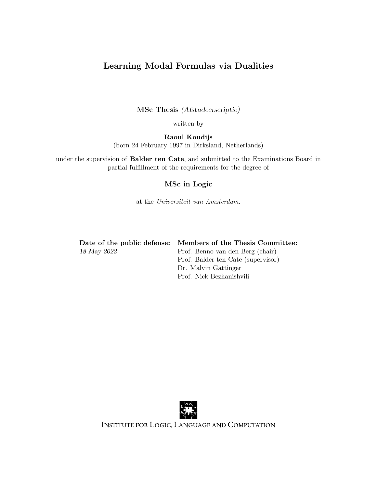## Learning Modal Formulas via Dualities

MSc Thesis (Afstudeerscriptie)

written by

Raoul Koudijs (born 24 February 1997 in Dirksland, Netherlands)

under the supervision of Balder ten Cate, and submitted to the Examinations Board in partial fulfillment of the requirements for the degree of

## MSc in Logic

at the Universiteit van Amsterdam.

Date of the public defense: Members of the Thesis Committee:

18 May 2022 Prof. Benno van den Berg (chair) Prof. Balder ten Cate (supervisor) Dr. Malvin Gattinger Prof. Nick Bezhanishvili



INSTITUTE FOR LOGIC, LANGUAGE AND COMPUTATION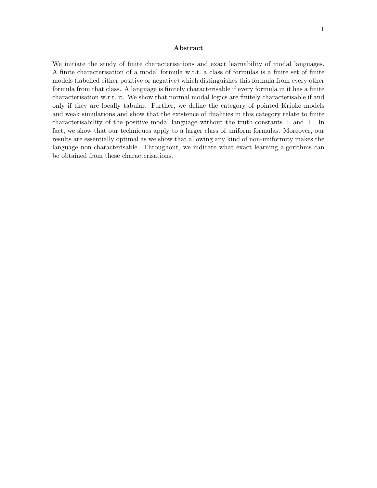### Abstract

We initiate the study of finite characterisations and exact learnability of modal languages. A finite characterisation of a modal formula w.r.t. a class of formulas is a finite set of finite models (labelled either positive or negative) which distinguishes this formula from every other formula from that class. A language is finitely characterisable if every formula in it has a finite characterisation w.r.t. it. We show that normal modal logics are finitely characterisable if and only if they are locally tabular. Further, we define the category of pointed Kripke models and weak simulations and show that the existence of dualities in this category relate to finite characterisability of the positive modal language without the truth-constants ⊤ and ⊥. In fact, we show that our techniques apply to a larger class of uniform formulas. Moreover, our results are essentially optimal as we show that allowing any kind of non-uniformity makes the language non-characterisable. Throughout, we indicate what exact learning algorithms can be obtained from these characterisations.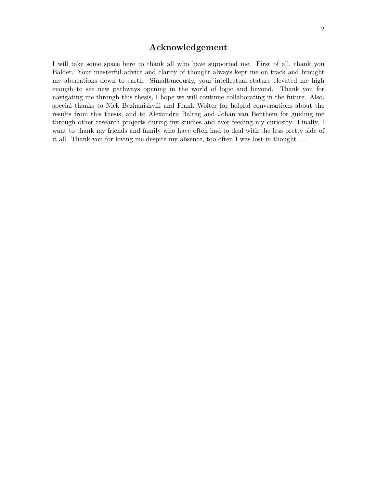## Acknowledgement

I will take some space here to thank all who have supported me. First of all, thank you Balder. Your masterful advice and clarity of thought always kept me on track and brought my aberrations down to earth. Simultaneously, your intellectual stature elevated me high enough to see new pathways opening in the world of logic and beyond. Thank you for navigating me through this thesis, I hope we will continue collaborating in the future. Also, special thanks to Nick Bezhanishvili and Frank Wolter for helpful conversations about the results from this thesis, and to Alexandru Baltag and Johan van Benthem for guiding me through other research projects during my studies and ever feeding my curiosity. Finally, I want to thank my friends and family who have often had to deal with the less pretty side of it all. Thank you for loving me despite my absence, too often I was lost in thought . . .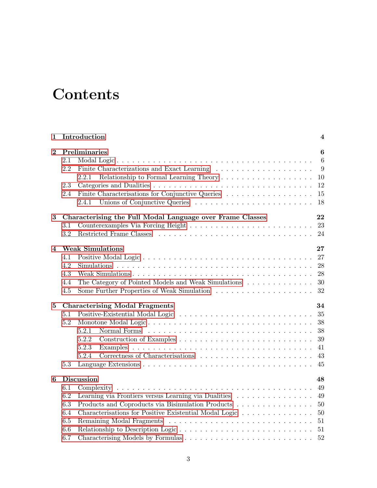# **Contents**

| Introduction<br>1       |                                                                                                                                                                                                                                    |                                                                 |  |
|-------------------------|------------------------------------------------------------------------------------------------------------------------------------------------------------------------------------------------------------------------------------|-----------------------------------------------------------------|--|
| $\mathbf{2}$            | Preliminaries<br>2.1<br>2.2<br>2.2.1<br>2.3<br>Finite Characterisations for Conjunctive Queries<br>2.4<br>2.4.1                                                                                                                    | $6\phantom{1}6$<br>$6\phantom{.}6$<br>9<br>10<br>12<br>15<br>18 |  |
| $\bf{3}$                | Characterising the Full Modal Language over Frame Classes<br>3.1<br>3.2                                                                                                                                                            | 22<br>23<br>24                                                  |  |
| $\overline{\mathbf{4}}$ | <b>Weak Simulations</b><br>4.1<br>4.2<br>4.3<br>The Category of Pointed Models and Weak Simulations<br>4.4<br>4.5                                                                                                                  | 27<br>27<br>28<br>28<br>30<br>32                                |  |
| 5                       | <b>Characterising Modal Fragments</b><br>5.1<br>5.2<br>Monotone Modal Logic<br>5.2.1<br>5.2.2<br>5.2.3<br>5.2.4<br>5.3                                                                                                             | 34<br>35<br>38<br>38<br>39<br>41<br>43<br>45                    |  |
| 6                       | Discussion<br>6.1<br>6.2<br>Learning via Frontiers versus Learning via Dualities<br>6.3<br>Products and Coproducts via Bisimulation Products<br>Characterisations for Positive Existential Modal Logic<br>6.4<br>6.5<br>6.6<br>6.7 | 48<br>49<br>49<br>50<br>50<br>51                                |  |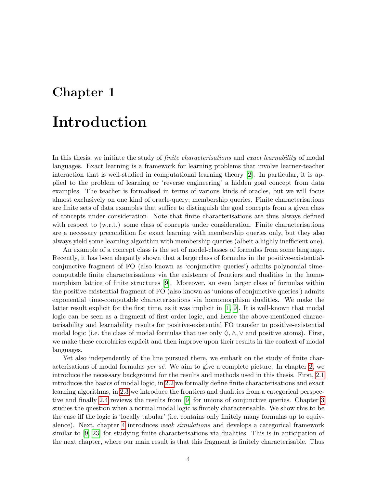## <span id="page-4-0"></span>Chapter 1

# Introduction

In this thesis, we initiate the study of *finite characterisations* and *exact learnability* of modal languages. Exact learning is a framework for learning problems that involve learner-teacher interaction that is well-studied in computational learning theory [\[2\]](#page-53-0). In particular, it is applied to the problem of learning or 'reverse engineering' a hidden goal concept from data examples. The teacher is formalised in terms of various kinds of oracles, but we will focus almost exclusively on one kind of oracle-query; membership queries. Finite characterisations are finite sets of data examples that suffice to distinguish the goal concepts from a given class of concepts under consideration. Note that finite characterisations are thus always defined with respect to (w.r.t.) some class of concepts under consideration. Finite characterisations are a necessary precondition for exact learning with membership queries only, but they also always yield some learning algorithm with membership queries (albeit a highly inefficient one).

An example of a concept class is the set of model-classes of formulas from some language. Recently, it has been elegantly shown that a large class of formulas in the positive-existentialconjunctive fragment of FO (also known as 'conjunctive queries') admits polynomial timecomputable finite characterisations via the existence of frontiers and dualities in the homomorphism lattice of finite structures [\[9\]](#page-53-1). Moreover, an even larger class of formulas within the positive-existential fragment of FO (also known as 'unions of conjunctive queries') admits exponential time-computable characterisations via homomorphism dualities. We make the latter result explicit for the first time, as it was implicit in [\[1,](#page-53-2) [9\]](#page-53-1). It is well-known that modal logic can be seen as a fragment of first order logic, and hence the above-mentioned characterisability and learnability results for positive-existential FO transfer to positive-existential modal logic (i.e. the class of modal formulas that use only  $\Diamond, \wedge, \vee$  and positive atoms). First, we make these corrolaries explicit and then improve upon their results in the context of modal languages.

Yet also independently of the line pursued there, we embark on the study of finite characterisations of modal formulas *per sé*. We aim to give a complete picture. In chapter [2,](#page-6-0) we introduce the necessary background for the results and methods used in this thesis. First, [2.1](#page-6-1) introduces the basics of modal logic, in [2.2](#page-9-0) we formally define finite characterisations and exact learning algorithms, in [2.3](#page-12-0) we introduce the frontiers and dualities from a categorical perspective and finally [2.4](#page-15-0) reviews the results from [\[9\]](#page-53-1) for unions of conjunctive queries. Chapter [3](#page-22-0) studies the question when a normal modal logic is finitely characterisable. We show this to be the case iff the logic is 'locally tabular' (i.e. contains only finitely many formulas up to equivalence). Next, chapter [4](#page-27-0) introduces weak simulations and develops a categorical framework similar to [\[9,](#page-53-1) [23\]](#page-54-0) for studying finite characterisations via dualities. This is in anticipation of the next chapter, where our main result is that this fragment is finitely characterisable. Thus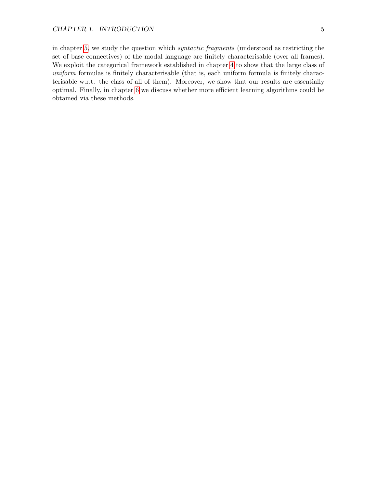in chapter [5,](#page-34-0) we study the question which syntactic fragments (understood as restricting the set of base connectives) of the modal language are finitely characterisable (over all frames). We exploit the categorical framework established in chapter [4](#page-27-0) to show that the large class of uniform formulas is finitely characterisable (that is, each uniform formula is finitely characterisable w.r.t. the class of all of them). Moreover, we show that our results are essentially optimal. Finally, in chapter [6](#page-48-0) we discuss whether more efficient learning algorithms could be obtained via these methods.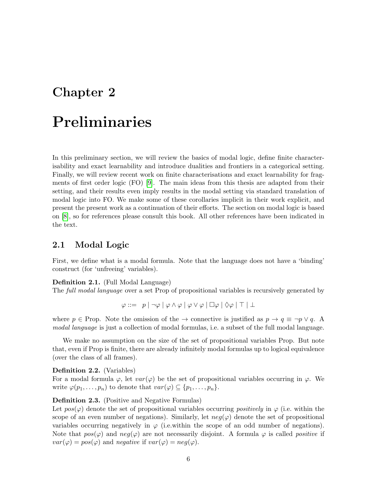## <span id="page-6-0"></span>Chapter 2

# Preliminaries

In this preliminary section, we will review the basics of modal logic, define finite characterisability and exact learnability and introduce dualities and frontiers in a categorical setting. Finally, we will review recent work on finite characterisations and exact learnability for fragments of first order logic (FO) [\[9\]](#page-53-1). The main ideas from this thesis are adapted from their setting, and their results even imply results in the modal setting via standard translation of modal logic into FO. We make some of these corollaries implicit in their work explicit, and present the present work as a continuation of their efforts. The section on modal logic is based on [\[8\]](#page-53-3), so for references please consult this book. All other references have been indicated in the text.

## <span id="page-6-1"></span>2.1 Modal Logic

First, we define what is a modal formula. Note that the language does not have a 'binding' construct (for 'unfreeing' variables).

#### Definition 2.1. (Full Modal Language)

The full modal language over a set Prop of propositional variables is recursively generated by

$$
\varphi ::= p | \neg \varphi | \varphi \wedge \varphi | \varphi \vee \varphi | \Box \varphi | \Diamond \varphi | \top | \bot
$$

where  $p \in \text{Prop}$ . Note the omission of the  $\rightarrow$  connective is justified as  $p \rightarrow q \equiv \neg p \lor q$ . A modal language is just a collection of modal formulas, i.e. a subset of the full modal language.

We make no assumption on the size of the set of propositional variables Prop. But note that, even if Prop is finite, there are already infinitely modal formulas up to logical equivalence (over the class of all frames).

### Definition 2.2. (Variables)

For a modal formula  $\varphi$ , let  $var(\varphi)$  be the set of propositional variables occurring in  $\varphi$ . We write  $\varphi(p_1,\ldots,p_n)$  to denote that  $var(\varphi) \subseteq \{p_1,\ldots,p_n\}$ .

## Definition 2.3. (Positive and Negative Formulas)

Let  $pos(\varphi)$  denote the set of propositional variables occurring positively in  $\varphi$  (i.e. within the scope of an even number of negations). Similarly, let  $neg(\varphi)$  denote the set of propositional variables occurring negatively in  $\varphi$  (i.e.within the scope of an odd number of negations). Note that  $pos(\varphi)$  and  $neg(\varphi)$  are not necessarily disjoint. A formula  $\varphi$  is called *positive* if  $var(\varphi) = pos(\varphi)$  and negative if  $var(\varphi) = neg(\varphi)$ .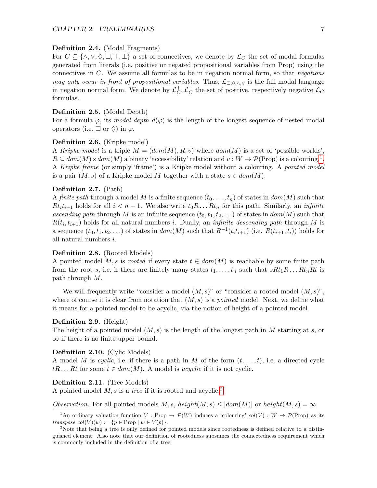#### <span id="page-7-3"></span>Definition 2.4. (Modal Fragments)

For  $C \subseteq \{\wedge, \vee, \Diamond, \Box, \top, \bot\}$  a set of connectives, we denote by  $\mathcal{L}_C$  the set of modal formulas generated from literals (i.e. positive or negated propositional variables from Prop) using the connectives in  $C$ . We assume all formulas to be in negation normal form, so that *negations* may only occur in front of propositional variables. Thus,  $\mathcal{L}_{\Box,\Diamond,\wedge,\vee}$  is the full modal language in negation normal form. We denote by  $\mathcal{L}_C^+$  $_C^+$ ,  $\mathcal{L}_C^ \bar{C}$  the set of positive, respectively negative  $\mathcal{L}_C$ formulas.

#### Definition 2.5. (Modal Depth)

For a formula  $\varphi$ , its modal depth  $d(\varphi)$  is the length of the longest sequence of nested modal operators (i.e.  $\Box$  or  $\Diamond$ ) in  $\varphi$ .

## Definition 2.6. (Kripke model)

A Kripke model is a triple  $M = (dom(M), R, v)$  where  $dom(M)$  is a set of 'possible worlds',  $R \subseteq dom(M) \times dom(M)$  a binary 'accessibility' relation and  $v: W \to \mathcal{P}(\text{Prop})$  is a colouring.<sup>[1](#page-7-0)</sup>. A Kripke frame (or simply 'frame') is a Kripke model without a colouring. A pointed model is a pair  $(M, s)$  of a Kripke model M together with a state  $s \in dom(M)$ .

## <span id="page-7-5"></span>Definition 2.7. (Path)

A finite path through a model M is a finite sequence  $(t_0, \ldots, t_n)$  of states in  $dom(M)$  such that  $Rt_i t_{i+1}$  holds for all  $i < n-1$ . We also write  $t_0R \ldots Rt_n$  for this path. Similarly, an *infinite* ascending path through M is an infinite sequence  $(t_0, t_1, t_2, \ldots)$  of states in  $dom(M)$  such that  $R(t_i, t_{i+1})$  holds for all natural numbers i. Dually, an *infinite descending path* through M is a sequence  $(t_0, t_1, t_2, \ldots)$  of states in  $dom(M)$  such that  $R^{-1}(t_i t_{i+1})$  (i.e.  $R(t_{i+1}, t_i)$ ) holds for all natural numbers i.

#### Definition 2.8. (Rooted Models)

A pointed model M, s is rooted if every state  $t \in dom(M)$  is reachable by some finite path from the root s, i.e. if there are finitely many states  $t_1, \ldots, t_n$  such that  $sRt_1R \ldots Rt_nRt$  is path through M.

We will frequently write "consider a model  $(M, s)$ " or "consider a rooted model  $(M, s)$ ", where of course it is clear from notation that  $(M, s)$  is a *pointed* model. Next, we define what it means for a pointed model to be acyclic, via the notion of height of a pointed model.

#### Definition 2.9. (Height)

The height of a pointed model  $(M, s)$  is the length of the longest path in M starting at s, or  $\infty$  if there is no finite upper bound.

#### <span id="page-7-4"></span>Definition 2.10. (Cylic Models)

A model M is cyclic, i.e. if there is a path in M of the form  $(t, \ldots, t)$ , i.e. a directed cycle  $tR \dots Rt$  for some  $t \in dom(M)$ . A model is *acyclic* if it is not cyclic.

### <span id="page-7-2"></span>Definition 2.11. (Tree Models)

A pointed model  $M$ , s is a tree if it is rooted and acyclic.<sup>[2](#page-7-1)</sup>

Observation. For all pointed models M, s, height $(M, s) \leq |dom(M)|$  or height $(M, s) = \infty$ 

<span id="page-7-0"></span><sup>&</sup>lt;sup>1</sup>An ordinary valuation function V : Prop  $\rightarrow \mathcal{P}(W)$  induces a 'colouring' col(V) :  $W \rightarrow \mathcal{P}(\text{Prop})$  as its transpose  $col(V)(w) := \{p \in \text{Prop} \mid w \in V(p)\}.$ 

<span id="page-7-1"></span><sup>&</sup>lt;sup>2</sup>Note that being a tree is only defined for pointed models since rootedness is defined relative to a distinguished element. Also note that our definition of rootedness subsumes the connectedness requirement which is commonly included in the definition of a tree.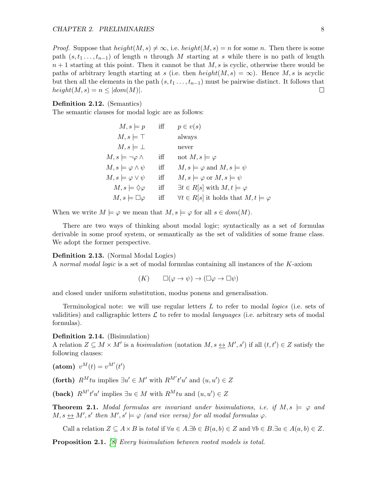*Proof.* Suppose that  $height(M, s) \neq \infty$ , i.e.  $height(M, s) = n$  for some n. Then there is some path  $(s, t_1, \ldots, t_{n-1})$  of length n through M starting at s while there is no path of length  $n+1$  starting at this point. Then it cannot be that  $M, s$  is cyclic, otherwise there would be paths of arbitrary length starting at s (i.e. then height $(M, s) = \infty$ ). Hence M, s is acyclic but then all the elements in the path  $(s, t_1, \ldots, t_{n-1})$  must be pairwise distinct. It follows that  $height(M, s) = n \leq |dom(M)|.$  $\Box$ 

#### Definition 2.12. (Semantics)

The semantic clauses for modal logic are as follows:

| $M, s \models p$                   | iff | $p \in v(s)$                                              |
|------------------------------------|-----|-----------------------------------------------------------|
| $M, s \models \top$                |     | always                                                    |
| $M, s \models \bot$                |     | never                                                     |
| $M, s \models \neg \varphi \wedge$ | iff | not $M, s \models \varphi$                                |
| $M, s \models \varphi \land \psi$  | iff | $M, s \models \varphi \text{ and } M, s \models \psi$     |
| $M, s \models \varphi \vee \psi$   | iff | $M, s \models \varphi$ or $M, s \models \psi$             |
| $M, s \models \Diamond \varphi$    | iff | $\exists t \in R[s]$ with $M, t \models \varphi$          |
| $M, s \models \Box \varphi$        | iff | $\forall t \in R[s]$ it holds that $M, t \models \varphi$ |

When we write  $M \models \varphi$  we mean that  $M, s \models \varphi$  for all  $s \in dom(M)$ .

There are two ways of thinking about modal logic; syntactically as a set of formulas derivable in some proof system, or semantically as the set of validities of some frame class. We adopt the former perspective.

#### Definition 2.13. (Normal Modal Logics)

A normal modal logic is a set of modal formulas containing all instances of the K-axiom

$$
(K) \qquad \Box(\varphi \to \psi) \to (\Box \varphi \to \Box \psi)
$$

and closed under uniform substitution, modus ponens and generalisation.

Terminological note: we will use regular letters  $L$  to refer to modal *logics* (i.e. sets of validities) and calligraphic letters  $\mathcal L$  to refer to modal languages (i.e. arbitrary sets of modal formulas).

## Definition 2.14. (Bisimulation)

A relation  $Z \subseteq M \times M'$  is a *bisimulation* (notation  $M, s \leftrightarrow M', s'$ ) if all  $(t, t') \in Z$  satisfy the following clauses:

(atom)  $v^M(t) = v^{M'}(t')$ 

(forth)  $R^M t u$  implies  $\exists u' \in M'$  with  $R^{M'} t' u'$  and  $(u, u') \in Z$ 

(back)  $R^{M'}t'u'$  implies  $\exists u \in M$  with  $R^{M}tu$  and  $(u, u') \in Z$ 

**Theorem 2.1.** Modal formulas are invariant under bisimulations, i.e. if  $M, s \models \varphi$  and  $M, s \leftrightarrow M', s'$  then  $M', s' \models \varphi$  (and vice versa) for all modal formulas  $\varphi$ .

Call a relation  $Z \subseteq A \times B$  is total if  $\forall a \in A \exists b \in B(a, b) \in Z$  and  $\forall b \in B \exists a \in A(a, b) \in Z$ .

<span id="page-8-0"></span>**Proposition 2.1.** [\[8\]](#page-53-3) Every bisimulation between rooted models is total.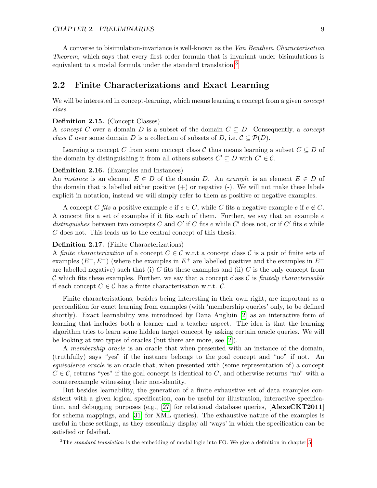A converse to bisimulation-invariance is well-known as the Van Benthem Characterisation Theorem, which says that every first order formula that is invariant under bisimulations is equivalent to a modal formula under the standard translation.<sup>[3](#page-9-1)</sup>

## <span id="page-9-0"></span>2.2 Finite Characterizations and Exact Learning

We will be interested in concept-learning, which means learning a concept from a given *concept* class.

## Definition 2.15. (Concept Classes)

A concept C over a domain D is a subset of the domain  $C \subseteq D$ . Consequently, a concept class C over some domain D is a collection of subsets of D, i.e.  $\mathcal{C} \subseteq \mathcal{P}(D)$ .

Learning a concept C from some concept class C thus means learning a subset  $C \subseteq D$  of the domain by distinguishing it from all others subsets  $C' \subseteq D$  with  $C' \in \mathcal{C}$ .

#### Definition 2.16. (Examples and Instances)

An *instance* is an element  $E \in D$  of the domain D. An example is an element  $E \in D$  of the domain that is labelled either positive  $(+)$  or negative  $(-)$ . We will not make these labels explicit in notation, instead we will simply refer to them as positive or negative examples.

A concept C fits a positive example e if  $e \in C$ , while C fits a negative example e if  $e \notin C$ . A concept fits a set of examples if it fits each of them. Further, we say that an example  $e$ distinguishes between two concepts C and C' if C fits e while C' does not, or if C' fits e while C does not. This leads us to the central concept of this thesis.

#### Definition 2.17. (Finite Characterizations)

A finite characterization of a concept  $C \in \mathcal{C}$  w.r.t a concept class  $\mathcal{C}$  is a pair of finite sets of examples  $(E^+, E^-)$  (where the examples in  $E^+$  are labelled positive and the examples in  $E^$ are labelled negative) such that (i) C fits these examples and (ii) C is the only concept from C which fits these examples. Further, we say that a concept class C is finitely characterisable if each concept  $C \in \mathcal{C}$  has a finite characterisation w.r.t.  $\mathcal{C}$ .

Finite characterisations, besides being interesting in their own right, are important as a precondition for exact learning from examples (with 'membership queries' only, to be defined shortly). Exact learnability was introduced by Dana Angluin [\[2\]](#page-53-0) as an interactive form of learning that includes both a learner and a teacher aspect. The idea is that the learning algorithm tries to learn some hidden target concept by asking certain oracle queries. We will be looking at two types of oracles (but there are more, see [\[2\]](#page-53-0)).

A membership oracle is an oracle that when presented with an instance of the domain, (truthfully) says "yes" if the instance belongs to the goal concept and "no" if not. An equivalence oracle is an oracle that, when presented with (some representation of) a concept  $C \in \mathcal{C}$ , returns "yes" if the goal concept is identical to C, and otherwise returns "no" with a counterexample witnessing their non-identity.

But besides learnability, the generation of a finite exhaustive set of data examples consistent with a given logical specification, can be useful for illustration, interactive specifica-tion, and debugging purposes (e.g., [\[27\]](#page-54-1) for relational database queries,  $[{\bf AlexeCKT2011}]$ for schema mappings, and [\[31\]](#page-54-2) for XML queries). The exhaustive nature of the examples is useful in these settings, as they essentially display all 'ways' in which the specification can be satisfied or falsified.

<span id="page-9-1"></span> $3$ The standard translation is the embedding of modal logic into FO. We give a definition in chapter [5.](#page-34-0)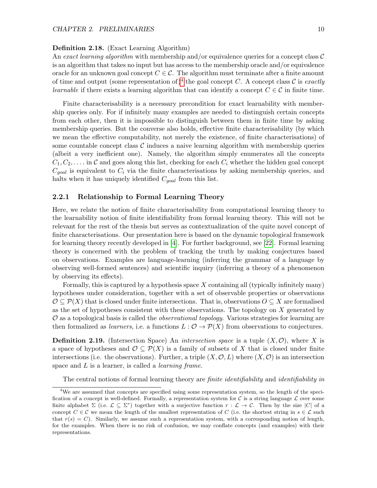## Definition 2.18. (Exact Learning Algorithm)

An exact learning algorithm with membership and/or equivalence queries for a concept class  $\mathcal C$ is an algorithm that takes no input but has access to the membership oracle and/or equivalence oracle for an unknown goal concept  $C \in \mathcal{C}$ . The algorithm must terminate after a finite amount of time and output (some representation of)<sup>[4](#page-10-1)</sup> the goal concept C. A concept class C is exactly *learnable* if there exists a learning algorithm that can identify a concept  $C \in \mathcal{C}$  in finite time.

Finite characterisability is a necessary precondition for exact learnability with membership queries only. For if infinitely many examples are needed to distinguish certain concepts from each other, then it is impossible to distinguish between them in finite time by asking membership queries. But the converse also holds, effective finite characterisability (by which we mean the effective computability, not merely the existence, of finite characterisations) of some countable concept class  $\mathcal C$  induces a naive learning algorithm with membership queries (albeit a very inefficient one). Namely, the algorithm simply enumerates all the concepts  $C_1, C_2, \ldots$  in C and goes along this list, checking for each  $C_i$  whether the hidden goal concept  $C_{goal}$  is equivalent to  $C_i$  via the finite characterisations by asking membership queries, and halts when it has uniquely identified  $C_{goal}$  from this list.

## <span id="page-10-0"></span>2.2.1 Relationship to Formal Learning Theory

Here, we relate the notion of finite characterisability from computational learning theory to the learnability notion of finite identifiability from formal learning theory. This will not be relevant for the rest of the thesis but serves as contextualization of the quite novel concept of finite characterisations. Our presentation here is based on the dynamic topological framework for learning theory recently developed in [\[4\]](#page-53-4). For further background, see [\[22\]](#page-54-3). Formal learning theory is concerned with the problem of tracking the truth by making conjectures based on observations. Examples are language-learning (inferring the grammar of a language by observing well-formed sentences) and scientific inquiry (inferring a theory of a phenomenon by observing its effects).

Formally, this is captured by a hypothesis space  $X$  containing all (typically infinitely many) hypotheses under consideration, together with a set of observable properties or observations  $\mathcal{O} \subseteq \mathcal{P}(X)$  that is closed under finite intersections. That is, observations  $O \subseteq X$  are formalised as the set of hypotheses consistent with these observations. The topology on X generated by  $\mathcal O$  as a topological basis is called the *observational topology*. Various strategies for learning are then formalized as *learners*, i.e. a functions  $L: \mathcal{O} \to \mathcal{P}(X)$  from observations to conjectures.

**Definition 2.19.** (Intersection Space) An *intersection space* is a tuple  $(X, \mathcal{O})$ , where X is a space of hypotheses and  $\mathcal{O} \subseteq \mathcal{P}(X)$  is a family of subsets of X that is closed under finite intersections (i.e. the observations). Further, a triple  $(X, \mathcal{O}, L)$  where  $(X, \mathcal{O})$  is an intersection space and  $L$  is a learner, is called a *learning frame*.

<span id="page-10-1"></span>The central notions of formal learning theory are *finite identifiability* and *identifiability in* 

<sup>&</sup>lt;sup>4</sup>We are assumed that concepts are specified using some representation system, so the length of the specification of a concept is well-defined. Formally, a representation system for  $C$  is a string language  $\mathcal L$  over some finite alphabet  $\Sigma$  (i.e.  $\mathcal{L} \subseteq \Sigma^*$ ) together with a surjective function  $r : \mathcal{L} \to \mathcal{C}$ . Then by the size  $|C|$  of a concept C ∈ C we mean the length of the smallest representation of C (i.e. the shortest string in  $s \in \mathcal{L}$  such that  $r(s) = C$ ). Similarly, we assume such a representation system, with a corresponding notion of length, for the examples. When there is no risk of confusion, we may conflate concepts (and examples) with their representations.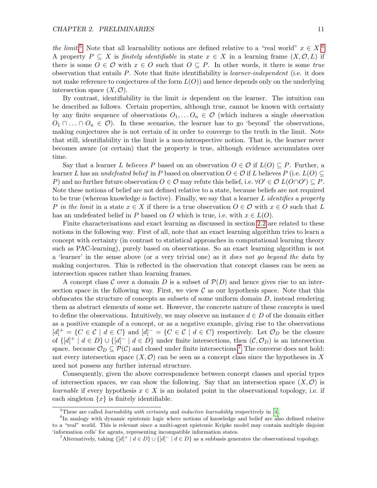the limit.<sup>[5](#page-11-0)</sup> Note that all learnability notions are defined relative to a "real world"  $x \in X$ .<sup>[6](#page-11-1)</sup> A property  $P \subseteq X$  is *finitely identifiable* in state  $x \in X$  in a learning frame  $(X, \mathcal{O}, L)$  if there is some  $O \in \mathcal{O}$  with  $x \in O$  such that  $O \subseteq P$ . In other words, it there is some true observation that entails P. Note that finite identifiability is learner-independent (i.e. it does not make reference to conjectures of the form  $L(O)$  and hence depends only on the underlying intersection space  $(X, \mathcal{O})$ .

By contrast, identifiability in the limit is dependent on the learner. The intuition can be described as follows. Certain properties, although true, cannot be known with certainty by any finite sequence of observations  $O_1, \ldots, O_n \in \mathcal{O}$  (which induces a single observation  $O_1 \cap \ldots \cap O_n \in \mathcal{O}$ . In these scenarios, the learner has to go 'beyond' the observations, making conjectures she is not certain of in order to converge to the truth in the limit. Note that still, identifiability in the limit is a non-introspective notion. That is, the learner never becomes aware (or certain) that the property is true, although evidence accumulates over time.

Say that a learner L believes P based on an observation  $O \in \mathcal{O}$  if  $L(O) \subseteq P$ . Further, a learner L has an undefeated belief in P based on observation  $O \in \mathcal{O}$  if L believes P (i.e.  $L(O) \subset$ P) and no further future observation  $O \in \mathcal{O}$  may refute this belief, i.e.  $\forall O' \in \mathcal{O}$   $L(O \cap O') \subseteq P$ . Note these notions of belief are not defined relative to a state, because beliefs are not required to be true (whereas knowledge is factive). Finally, we say that a learner  $L$  identifies a property P in the limit in a state  $x \in X$  if there is a true observation  $O \in \mathcal{O}$  with  $x \in O$  such that L has an undefeated belief in P based on O which is true, i.e. with  $x \in L(O)$ .

Finite characterisations and exact learning as discussed in section [2.2](#page-9-0) are related to these notions in the following way. First of all, note that an exact learning algorithm tries to learn a concept with certainty (in contrast to statistical approaches in computational learning theory such as PAC-learning), purely based on observations. So an exact learning algorithm is not a 'learner' in the sense above (or a very trivial one) as it does not go beyond the data by making conjectures. This is reflected in the observation that concept classes can be seen as intersection spaces rather than learning frames.

A concept class C over a domain D is a subset of  $\mathcal{P}(D)$  and hence gives rise to an intersection space in the following way. First, we view  $\mathcal C$  as our hypothesis space. Note that this obfuscates the structure of concepts as subsets of some uniform domain  $D$ , instead rendering them as abstract elements of some set. However, the concrete nature of these concepts is used to define the observations. Intuitively, we may observe an instance  $d \in D$  of the domain either as a positive example of a concept, or as a negative example, giving rise to the observations  $[d]^{+} = \{C \in \mathcal{C} \mid d \in C\}$  and  $[d]^{-} = \{C \in \mathcal{C} \mid d \in C\}$  respectively. Let  $\mathcal{O}_D$  be the closure of  $\{[d]^+ \mid d \in D\} \cup \{[d]^- \mid d \in D\}$  under finite intersections, then  $(\mathcal{C}, \mathcal{O}_D)$  is an intersection space. because  $\mathcal{O}_D \subseteq \mathcal{P}(\mathcal{C})$  and closed under finite intersections.<sup>[7](#page-11-2)</sup> The converse does not hold: not every intersection space  $(X, \mathcal{O})$  can be seen as a concept class since the hypotheses in X need not possess any further internal structure.

Consequently, given the above correspondence between concept classes and special types of intersection spaces, we can show the following. Say that an intersection space  $(X, \mathcal{O})$  is *learnable* if every hypothesis  $x \in X$  is an isolated point in the observational topology, i.e. if each singleton  $\{x\}$  is finitely identifiable.

<span id="page-11-1"></span><span id="page-11-0"></span> $5$ These are called *learnability with certainty* and *inductive learnability* respectively in [\[4\]](#page-53-4).

<sup>&</sup>lt;sup>6</sup>In analogy with dynamic epistemic logic where notions of knowledge and belief are also defined relative to a "real" world. This is relevant since a multi-agent epistemic Kripke model may contain multiple disjoint 'information cells' for agents, representing incompatible information states.

<span id="page-11-2"></span><sup>&</sup>lt;sup>7</sup>Alternatively, taking  $\{[d]^+ | d \in D\} \cup \{[d]^- | d \in D\}$  as a subbasis generates the observational topology.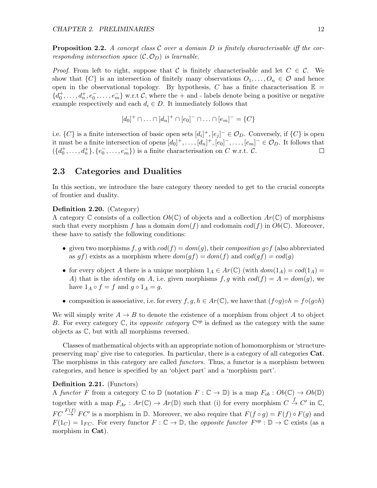**Proposition 2.2.** A concept class C over a domain D is finitely characterisable iff the corresponding intersection space  $(C, \mathcal{O}_D)$  is learnable.

*Proof.* From left to right, suppose that C is finitely characterisable and let  $C \in \mathcal{C}$ . We show that  $\{C\}$  is an intersection of finitely many observations  $O_1, \ldots, O_n \in \mathcal{O}$  and hence open in the observational topology. By hypothesis, C has a finite characterisation  $\mathbb{E}$  =  $\{d_0^+, \ldots, d_n^+, e_0^-, \ldots, e_m^-\}$  w.r.t C, where the  $+$  and - labels denote being a positive or negative example respectively and each  $d_i \in D$ . It immediately follows that

$$
[d_0]^+ \cap \ldots \cap [d_n]^+ \cap [e_0]^-\cap \ldots \cap [e_m]^-=\{C\}
$$

i.e.  $\{C\}$  is a finite intersection of basic open sets  $[d_i]^+$ ,  $[e_j]^-\in\mathcal{O}_D$ . Conversely, if  $\{C\}$  is open it must be a finite intersection of opens  $[d_0]^+, \ldots, [d_n]^+, [e_0]^-, \ldots, [e_m]^-\in \mathcal{O}_D$ . It follows that  $({d_0^+, ..., d_n^+}, {e_0^-, ..., e_m^+})$  is a finite characterisation on C w.r.t. C. □

## <span id="page-12-0"></span>2.3 Categories and Dualities

In this section, we introduce the bare category theory needed to get to the crucial concepts of frontier and duality.

### Definition 2.20. (Category)

A category C consists of a collection  $Ob(\mathbb{C})$  of objects and a collection  $Ar(\mathbb{C})$  of morphisms such that every morphism f has a domain  $dom(f)$  and codomain  $cod(f)$  in  $Ob(\mathbb{C})$ . Moreover, these have to satisfy the following conditions:

- given two morphisms f, g with  $cod(f) = dom(g)$ , their composition g∘f (also abbreviated as gf) exists as a morphism where  $dom(gf) = dom(f)$  and  $cod(gf) = cod(g)$
- for every object A there is a unique morphism  $1_A \in Ar(\mathbb{C})$  (with  $dom(1_A) = cod(1_A) =$ A) that is the *identity* on A, i.e. given morphisms  $f, g$  with  $cod(f) = A = dom(g)$ , we have  $1_A \circ f = f$  and  $g \circ 1_A = g$ .
- composition is associative, i.e. for every  $f, g, h \in Ar(\mathbb{C})$ , we have that  $(f \circ g) \circ h = f \circ (g \circ h)$

We will simply write  $A \rightarrow B$  to denote the existence of a morphism from object A to object B. For every category  $\mathbb{C}$ , its *opposite category*  $\mathbb{C}^{op}$  is defined as the category with the same objects as C, but with all morphisms reversed.

Classes of mathematical objects with an appropriate notion of homomorphism or 'structurepreserving map' give rise to categories. In particular, there is a category of all categories Cat. The morphisms in this category are called *functors*. Thus, a functor is a morphism between categories, and hence is specified by an 'object part' and a 'morphism part'.

### Definition 2.21. (Functors)

A functor F from a category  $\mathbb C$  to  $\mathbb D$  (notation  $F : \mathbb C \to \mathbb D$ ) is a map  $F_{ob} : Ob(\mathbb C) \to Ob(\mathbb D)$ together with a map  $F_{Ar}$ :  $Ar(\mathbb{C}) \to Ar(\mathbb{D})$  such that (i) for every morphism  $C \stackrel{f}{\to} C'$  in  $\mathbb{C}$ ,  $FC \stackrel{F(f)}{\rightarrow} FC'$  is a morphism in  $D$ . Moreover, we also require that  $F(f \circ g) = F(f) \circ F(g)$  and  $F(1_C) = 1_{FC}$ . For every functor  $F : \mathbb{C} \to \mathbb{D}$ , the *opposite functor*  $F^{op} : \mathbb{D} \to \mathbb{C}$  exists (as a morphism in Cat).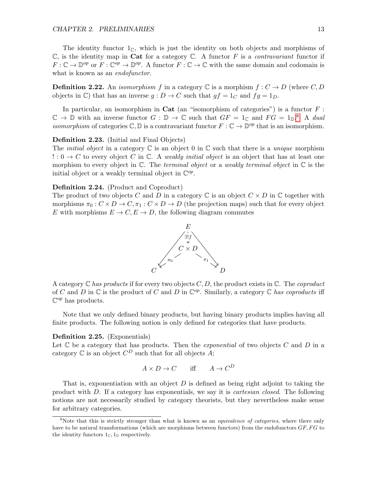The identity functor  $1_{\mathbb{C}}$ , which is just the identity on both objects and morphisms of  $\mathbb C$ , is the identity map in Cat for a category  $\mathbb C$ . A functor F is a *contravariant* functor if  $F:\mathbb{C}\to\mathbb{D}^{op}$  or  $F:\mathbb{C}^{op}\to\mathbb{D}^{op}$ . A functor  $F:\mathbb{C}\to\mathbb{C}$  with the same domain and codomain is what is known as an *endofunctor*.

**Definition 2.22.** An *isomorphism* f in a category  $\mathbb C$  is a morphism  $f : C \to D$  (where C, D) objects in C) that has an inverse  $g: D \to C$  such that  $gf = 1_C$  and  $fg = 1_D$ .

In particular, an isomorphism in **Cat** (an "isomorphism of categories") is a functor  $F$ :  $\mathbb{C} \to \mathbb{D}$  with an inverse functor  $G : \mathbb{D} \to \mathbb{C}$  such that  $GF = 1_{\mathbb{C}}$  and  $FG = 1_{\mathbb{D}}$ .<sup>[8](#page-13-0)</sup> A dual *isomorphism* of categories  $\mathbb{C}, \mathbb{D}$  is a contravariant functor  $F : \mathbb{C} \to \mathbb{D}^{op}$  that is an isomorphism.

## Definition 2.23. (Initial and Final Objects)

The *initial object* in a category  $\mathbb C$  is an object 0 in  $\mathbb C$  such that there is a *unique* morphism  $\cdot : 0 \to C$  to every object C in C. A weakly initial object is an object that has at least one morphism to every object in  $\mathbb C$ . The terminal object or a weakly terminal object in  $\mathbb C$  is the initial object or a weakly terminal object in  $\mathbb{C}^{op}$ .

## Definition 2.24. (Product and Coproduct)

The product of two objects C and D in a category  $\mathbb C$  is an object  $C \times D$  in  $\mathbb C$  together with morphisms  $\pi_0 : C \times D \to C, \pi_1 : C \times D \to D$  (the projection maps) such that for every object E with morphisms  $E \to C, E \to D$ , the following diagram commutes



A category  $\mathbb C$  has products if for every two objects  $C, D$ , the product exists in  $\mathbb C$ . The coproduct of C and D in  $\mathbb C$  is the product of C and D in  $\mathbb C^{op}$ . Similarly, a category  $\mathbb C$  has coproducts iff  $\mathbb{C}^{op}$  has products.

Note that we only defined binary products, but having binary products implies having all finite products. The following notion is only defined for categories that have products.

#### Definition 2.25. (Exponentials)

Let  $\mathbb C$  be a category that has products. Then the *exponential* of two objects  $C$  and  $D$  in a category  $\mathbb C$  is an object  $C^D$  such that for all objects A;

$$
A \times D \to C \quad \text{iff} \quad A \to C^D
$$

That is, exponentiation with an object  $D$  is defined as being right adjoint to taking the product with D. If a category has exponentials, we say it is cartesian closed. The following notions are not necessarily studied by category theorists, but they nevertheless make sense for arbitrary categories.

<span id="page-13-0"></span><sup>&</sup>lt;sup>8</sup>Note that this is strictly stronger than what is known as an *equivalence of categories*, where there only have to be natural transformations (which are morphisms between functors) from the endofunctors  $GF, FG$  to the identity functors  $1_{\mathbb{C}}$ ,  $1_{\mathbb{D}}$  respectively.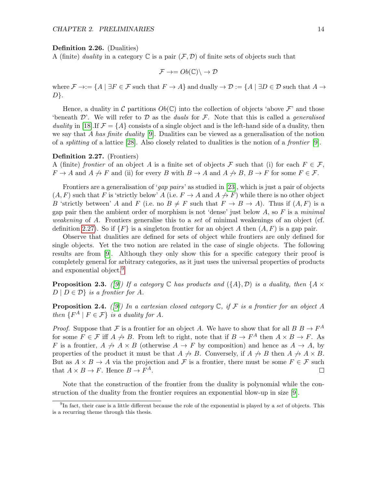#### Definition 2.26. (Dualities)

A (finite) duality in a category  $\mathbb C$  is a pair  $(\mathcal F, \mathcal D)$  of finite sets of objects such that

$$
\mathcal{F} \to = Ob(\mathbb{C}) \setminus \to \mathcal{D}
$$

where  $\mathcal{F} \to := \{A \mid \exists F \in \mathcal{F} \text{ such that } F \to A\}$  and dually  $\to \mathcal{D} := \{A \mid \exists D \in \mathcal{D} \text{ such that } A \to A\}$  $D$ .

Hence, a duality in C partitions  $Ob(\mathbb{C})$  into the collection of objects 'above F' and those 'beneath  $\mathcal{D}'$ . We will refer to  $\mathcal D$  as the *duals* for  $\mathcal F$ . Note that this is called a *generalised* duality in [\[18\]](#page-54-4). If  $\mathcal{F} = \{A\}$  consists of a single object and is the left-hand side of a duality, then we say that A has finite duality  $[9]$ . Dualities can be viewed as a generalisation of the notion of a splitting of a lattice [\[28\]](#page-54-5). Also closely related to dualities is the notion of a frontier [\[9\]](#page-53-1).

## <span id="page-14-0"></span>Definition 2.27. (Frontiers)

A (finite) frontier of an object A is a finite set of objects F such that (i) for each  $F \in \mathcal{F}$ ,  $F \to A$  and  $A \not\to F$  and (ii) for every B with  $B \to A$  and  $A \not\to B$ ,  $B \to F$  for some  $F \in \mathcal{F}$ .

Frontiers are a generalisation of 'gap pairs' as studied in [\[23\]](#page-54-0), which is just a pair of objects  $(A, F)$  such that F is 'strictly below' A (i.e.  $F \to A$  and  $A \not\to F$ ) while there is no other object B 'strictly between' A and F (i.e. no  $B \neq F$  such that  $F \to B \to A$ ). Thus if  $(A, F)$  is a gap pair then the ambient order of morphism is not 'dense' just below  $A$ , so  $F$  is a minimal weakening of A. Frontiers generalise this to a set of minimal weakenings of an object (cf. definition [2.27\)](#page-14-0). So if  $\{F\}$  is a singleton frontier for an object A then  $(A, F)$  is a gap pair.

Observe that dualities are defined for sets of object while frontiers are only defined for single objects. Yet the two notion are related in the case of single objects. The following results are from [\[9\]](#page-53-1). Although they only show this for a specific category their proof is completely general for arbitrary categories, as it just uses the universal properties of products and exponential object.<sup>[9](#page-14-1)</sup>

<span id="page-14-2"></span>**Proposition 2.3.** ([\[9\]](#page-53-1)) If a category  $\mathbb C$  has products and  $(\{A\}, \mathcal{D})$  is a duality, then  $\{A \times$  $D \mid D \in \mathcal{D}$  is a frontier for A.

<span id="page-14-3"></span>**Proposition 2.4.** ([\[9\]](#page-53-1)) In a cartesian closed category  $\mathbb{C}$ , if F is a frontier for an object A then  $\{F^A \mid F \in \mathcal{F}\}\$ is a duality for A.

*Proof.* Suppose that F is a frontier for an object A. We have to show that for all  $B \to F^A$ for some  $F \in \mathcal{F}$  iff  $A \not\rightarrow B$ . From left to right, note that if  $B \rightarrow F^A$  then  $A \times B \rightarrow F$ . As F is a frontier,  $A \nrightarrow A \times B$  (otherwise  $A \rightarrow F$  by composition) and hence as  $A \rightarrow A$ , by properties of the product it must be that  $A \nrightarrow B$ . Conversely, if  $A \nrightarrow B$  then  $A \nrightarrow A \times B$ . But as  $A \times B \to A$  via the projection and F is a frontier, there must be some  $F \in \mathcal{F}$  such that  $A \times B \to F$ . Hence  $B \to F^A$ .  $\Box$ 

Note that the construction of the frontier from the duality is polynomial while the construction of the duality from the frontier requires an exponential blow-up in size [\[9\]](#page-53-1).

<span id="page-14-1"></span> $^{9}$ In fact, their case is a little different because the role of the exponential is played by a set of objects. This is a recurring theme through this thesis.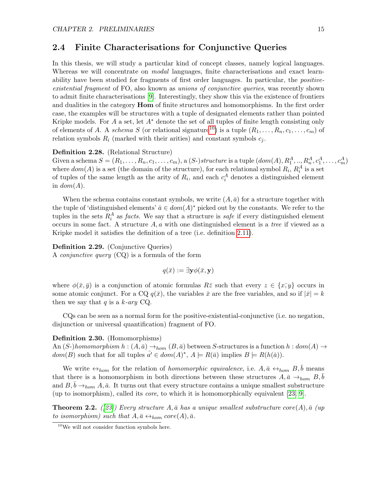## <span id="page-15-0"></span>2.4 Finite Characterisations for Conjunctive Queries

In this thesis, we will study a particular kind of concept classes, namely logical languages. Whereas we will concentrate on *modal* languages, finite characterisations and exact learnability have been studied for fragments of first order languages. In particular, the *positive*existential fragment of FO, also known as unions of conjunctive queries, was recently shown to admit finite characterisations [\[9\]](#page-53-1). Interestingly, they show this via the existence of frontiers and dualities in the category **Hom** of finite structures and homomorphisms. In the first order case, the examples will be structures with a tuple of designated elements rather than pointed Kripke models. For A a set, let  $A^*$  denote the set of all tuples of finite length consisting only of elements of A. A schema S (or relational signature<sup>[10](#page-15-1)</sup>) is a tuple  $(R_1, \ldots, R_n, c_1, \ldots, c_m)$  of relation symbols  $R_i$  (marked with their arities) and constant symbols  $c_j$ .

### Definition 2.28. (Relational Structure)

Given a schema  $S = (R_1, \ldots, R_n, c_1, \ldots, c_m)$ , a  $(S-)structure$  is a tuple  $(dom(A), R_1^A, \ldots, R_n^A, c_1^A, \ldots, c_m^A)$ where  $dom(A)$  is a set (the domain of the structure), for each relational symbol  $R_i$ ,  $R_i^A$  is a set of tuples of the same length as the arity of  $R_i$ , and each  $c_i^A$  denotes a distinguished element in  $dom(A)$ .

When the schema contains constant symbols, we write  $(A, \bar{a})$  for a structure together with the tuple of 'distinguished elements'  $\bar{a} \in dom(A)^*$  picked out by the constants. We refer to the tuples in the sets  $R_i^A$  as *facts*. We say that a structure is *safe* if every distinguished element occurs in some fact. A structure  $A, a$  with one distinguished element is a tree if viewed as a Kripke model it satisfies the definition of a tree (i.e. definition [2.11\)](#page-7-2).

#### Definition 2.29. (Conjunctive Queries)

A conjunctive query (CQ) is a formula of the form

$$
q(\bar{x}) := \exists \mathbf{y} \phi(\bar{x}, \mathbf{y})
$$

where  $\phi(\bar{x}, \bar{y})$  is a conjunction of atomic formulas  $R\bar{z}$  such that every  $z \in \{x, y\}$  occurs in some atomic conjunct. For a CQ  $q(\bar{x})$ , the variables  $\bar{x}$  are the free variables, and so if  $|\bar{x}| = k$ then we say that q is a  $k$ -ary CQ.

CQs can be seen as a normal form for the positive-existential-conjunctive (i.e. no negation, disjunction or universal quantification) fragment of FO.

#### Definition 2.30. (Homomorphisms)

An  $(S-)homomorphism h : (A, \bar{a}) \rightarrow_{hom} (B, \bar{a})$  between S-structures is a function  $h : dom(A) \rightarrow$  $dom(B)$  such that for all tuples  $\bar{a'} \in dom(A)^*$ ,  $A \models R(\bar{a})$  implies  $B \models R(h(\bar{a}))$ .

We write  $\leftrightarrow_{hom}$  for the relation of *homomorphic equivalence*, i.e.  $A, \bar{a} \leftrightarrow_{hom} B, \bar{b}$  means that there is a homomorphism in both directions between these structures  $A, \bar{a} \rightarrow_{hom} B, b$ and  $B, b \rightarrow_{hom} A, \bar{a}$ . It turns out that every structure contains a unique smallest substructure (up to isomorphism), called its core, to which it is homomorphically equivalent [\[23,](#page-54-0) [9\]](#page-53-1).

**Theorem 2.2.** ([\[23\]](#page-54-0)) Every structure A,  $\bar{a}$  has a unique smallest substructure core(A),  $\bar{a}$  (up) to isomorphism) such that  $A, \bar{a} \leftrightarrow_{hom} core(A), \bar{a}$ .

<span id="page-15-1"></span><sup>10</sup>We will not consider function symbols here.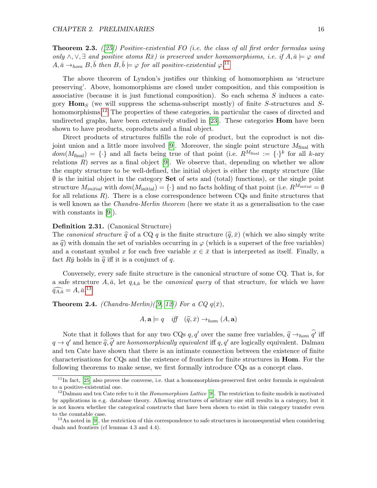<span id="page-16-4"></span>**Theorem 2.3.** ([\[25\]](#page-54-6)) Positive-existential FO (i.e. the class of all first order formulas using only  $\wedge$ ,  $\vee$ ,  $\exists$  and positive atoms  $R\bar{x}$ ) is preserved under homomorphisms, i.e. if  $A, \bar{a} \models \varphi$  and  $A, \bar{a} \rightarrow_{hom} B, \bar{b} \text{ then } B, \bar{b} \models \varphi \text{ for all positive-existential } \varphi.$ <sup>[11](#page-16-0)</sup>

The above theorem of Lyndon's justifies our thinking of homomorphism as 'structure preserving'. Above, homomorphisms are closed under composition, and this composition is associative (because it is just functional composition). So each schema  $S$  induces a category  $\mathbf{Hom}_S$  (we will suppress the schema-subscript mostly) of finite S-structures and S-homomorphisms.<sup>[12](#page-16-1)</sup> The properties of these categories, in particular the cases of directed and undirected graphs, have been extensively studied in  $[23]$ . These categories **Hom** have been shown to have products, coproducts and a final object.

Direct products of structures fulfills the role of product, but the coproduct is not dis-joint union and a little more involved [\[9\]](#page-53-1). Moreover, the single point structure  $M_{\text{final}}$  with  $dom(M_{\text{final}}) = {\cdot}$  and all facts being true of that point (i.e.  $R^{M_{\text{final}}} := {\cdot}^k$  for all k-ary relations  $R$ ) serves as a final object [\[9\]](#page-53-1). We observe that, depending on whether we allow the empty structure to be well-defined, the initial object is either the empty structure (like  $\emptyset$  is the initial object in the category **Set** of sets and (total) functions), or the single point structure  $M_{initial}$  with  $dom(M_{initial}) = \{\cdot\}$  and no facts holding of that point (i.e.  $R^{\overline{M}_{initial}} = \emptyset$ for all relations  $R$ ). There is a close correspondence between  $CQs$  and finite structures that is well known as the Chandra-Merlin theorem (here we state it as a generalisation to the case with constants in [\[9\]](#page-53-1)).

## Definition 2.31. (Canonical Structure)

The canonical structure  $\hat{q}$  of a CQ q is the finite structure  $(\hat{q}, \bar{x})$  (which we also simply write as  $\hat{q}$ ) with domain the set of variables occurring in  $\varphi$  (which is a superset of the free variables) and a constant symbol x for each free variable  $x \in \bar{x}$  that is interpreted as itself. Finally, a fact  $R\bar{y}$  holds in  $\hat{q}$  iff it is a conjunct of q.

Conversely, every safe finite structure is the canonical structure of some CQ. That is, for a safe structure  $A, \bar{a}$ , let  $q_{A,\bar{a}}$  be the *canonical query* of that structure, for which we have  $\widehat{q_{A,\bar{a}}} = A, \bar{a}.^{13}$  $\widehat{q_{A,\bar{a}}} = A, \bar{a}.^{13}$  $\widehat{q_{A,\bar{a}}} = A, \bar{a}.^{13}$ 

<span id="page-16-3"></span>**Theorem 2.4.** (Chandra-Merlin)([\[9,](#page-53-1) [12\]](#page-53-5)) For a CQ  $q(\bar{x})$ ,

 $A, \mathbf{a} \models q \quad \text{iff} \quad (\widehat{q}, \overline{x}) \rightarrow_{\text{hom}} (A, \mathbf{a})$ 

Note that it follows that for any two CQs  $q, q'$  over the same free variables,  $\hat{q} \rightarrow_{hom} \hat{q}'$  iff  $q \rightarrow q'$  and hence  $\hat{q}, \hat{q'}$  are homomorphically equivalent iff  $q, q'$  are logically equivalent. Dalmau and ten Cate have shown that there is an intimate connection between the existence of finite characterisations for CQs and the existence of frontiers for finite structures in Hom. For the following theorems to make sense, we first formally introduce CQs as a concept class.

<span id="page-16-0"></span> $11$ In fact, [\[25\]](#page-54-6) also proves the converse, i.e. that a homomorphism-preserved first order formula is equivalent to a positive-existential one.

<span id="page-16-1"></span> $12\,\text{D}$ almau and ten Cate refer to it the *Homomorphism Lattice* [\[9\]](#page-53-1). The restriction to finite models is motivated by applications in e.g. database theory. Allowing structures of arbitrary size still results in a category, but it is not known whether the categorical constructs that have been shown to exist in this category transfer even to the countable case.

<span id="page-16-2"></span> $13$ As noted in [\[9\]](#page-53-1), the restriction of this correspondence to safe structures is inconsequential when considering duals and frontiers (cf lemmas 4.3 and 4.4).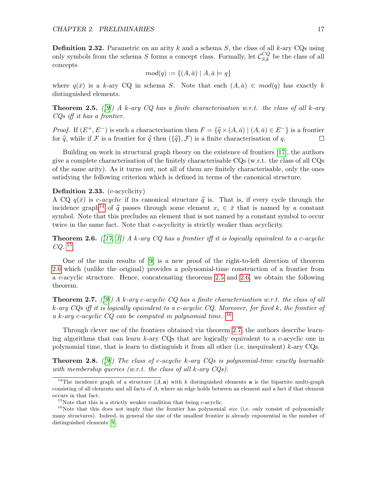**Definition 2.32.** Parametric on an arity k and a schema S, the class of all k-ary CQs using only symbols from the schema S forms a concept class. Formally, let  $\mathcal{C}_{S,k}^{CQ}$  be the class of all concepts

$$
mod(q) := \{(A,\bar{a}) \mid A,\bar{a} \models q\}
$$

where  $q(\bar{x})$  is a k-ary CQ in schema S. Note that each  $(A, \bar{a}) \in \text{mod}(q)$  has exactly k distinguished elements.

<span id="page-17-3"></span>**Theorem 2.5.** ([\[9\]](#page-53-1)) A k-ary CQ has a finite characterisation w.r.t. the class of all k-ary CQs iff it has a frontier.

*Proof.* If  $(E^+, E^-)$  is such a characterisation then  $F = \{\hat{q} \times (A, \bar{a}) \mid (A, \bar{a}) \in E^-\}$  is a frontier for  $\hat{a}$ , while if  $\mathcal F$  is a frontier for  $\hat{a}$  then  $(\{\hat{a}\}, \mathcal F)$  is a finite characterisation of  $a$ . for  $\hat{q}$ , while if F is a frontier for  $\hat{q}$  then  $({\{\hat{q}\}}, \mathcal{F})$  is a finite characterisation of q.

Building on work in structural graph theory on the existence of frontiers [\[17\]](#page-54-7), the authors give a complete characterisation of the finitely characterisable CQs (w.r.t. the class of all CQs of the same arity). As it turns out, not all of them are finitely characterisable, only the ones satisfying the following criterion which is defined in terms of the canonical structure.

#### Definition 2.33. (*c*-acyclicity)

A CQ  $q(\bar{x})$  is *c*-acyclic if its canonical structure  $\hat{q}$  is. That is, if every cycle through the incidence graph<sup>[14](#page-17-0)</sup> of  $\hat{q}$  passes through some element  $x_i \in \bar{x}$  that is named by a constant symbol. Note that this precludes an element that is not named by a constant symbol to occur twice in the same fact. Note that c-acyclicity is strictly weaker than acyclicity.

<span id="page-17-2"></span>**Theorem 2.6.** ([\[17,](#page-54-7) [1\]](#page-53-2)) A k-ary CQ has a frontier iff it is logically equivalent to a c-acyclic  $CQ.$ <sup>[15](#page-17-1)</sup>

One of the main results of [\[9\]](#page-53-1) is a new proof of the right-to-left direction of theorem [2.6](#page-17-2) which (unlike the original) provides a polynomial-time construction of a frontier from a c-acyclic structure. Hence, concatenating theorems [2.5](#page-17-3) and [2.6,](#page-17-2) we obtain the following theorem.

<span id="page-17-5"></span>**Theorem 2.7.** ([\[9\]](#page-53-1)) A k-ary c-acyclic CQ has a finite characterisation w.r.t. the class of all  $k$ -ary CQs iff it is logically equivalent to a c-acyclic CQ. Moreover, for fixed k, the frontier of a k-ary c-acyclic  $CQ$  can be computed in polynomial time.  $^{16}$  $^{16}$  $^{16}$ 

Through clever use of the frontiers obtained via theorem [2.7,](#page-17-5) the authors describe learning algorithms that can learn  $k$ -ary CQs that are logically equivalent to a c-acyclic one in polynomial time, that is learn to distinguish it from all other (i.e. inequivalent)  $k$ -ary CQs.

<span id="page-17-6"></span>**Theorem 2.8.** ([\[9\]](#page-53-1)) The class of c-acyclic k-ary  $CQs$  is polynomial-time exactly learnable with membership queries (w.r.t. the class of all  $k$ -ary  $CQs$ ).

<span id="page-17-0"></span><sup>&</sup>lt;sup>14</sup>The incidence graph of a structure  $(A, a)$  with k distinguished elements a is the bipartite multi-graph consisting of all elements and all facts of  $A$ , where an edge holds between an element and a fact if that element occurs in that fact.

<span id="page-17-4"></span><span id="page-17-1"></span><sup>&</sup>lt;sup>15</sup>Note that this is a strictly weaker condition that being *c*-acyclic.

<sup>&</sup>lt;sup>16</sup>Note that this does not imply that the frontier has polynomial size (i.e. only consist of polynomially many structures). Indeed, in general the size of the smallest frontier is already exponential in the number of distinguished elements [\[9\]](#page-53-1).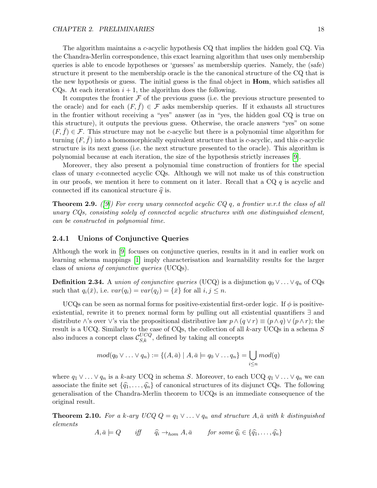The algorithm maintains a c-acyclic hypothesis CQ that implies the hidden goal CQ. Via the Chandra-Merlin correspondence, this exact learning algorithm that uses only membership queries is able to encode hypotheses or 'guesses' as membership queries. Namely, the (safe) structure it present to the membership oracle is the the canonical structure of the CQ that is the new hypothesis or guess. The initial guess is the final object in Hom, which satisfies all CQs. At each iteration  $i + 1$ , the algorithm does the following.

It computes the frontier  $\mathcal F$  of the previous guess (i.e. the previous structure presented to the oracle) and for each  $(F, \bar{f}) \in \mathcal{F}$  asks membership queries. If it exhausts all structures in the frontier without receiving a "yes" answer (as in "yes, the hidden goal CQ is true on this structure), it outputs the previous guess. Otherwise, the oracle answers "yes" on some  $(F, f) \in \mathcal{F}$ . This structure may not be c-acyclic but there is a polynomial time algorithm for turning  $(F, f)$  into a homomorphically equivalent structure that is c-acyclic, and this c-acyclic structure is its next guess (i.e. the next structure presented to the oracle). This algorithm is polynomial because at each iteration, the size of the hypothesis strictly increases [\[9\]](#page-53-1).

Moreover, they also present a polynomial time construction of frontiers for the special class of unary c-connected acyclic CQs. Although we will not make us of this construction in our proofs, we mention it here to comment on it later. Recall that a  $CQ q$  is acyclic and connected iff its canonical structure  $\hat{q}$  is.

<span id="page-18-2"></span>**Theorem 2.9.** ([\[9\]](#page-53-1)) For every unary connected acyclic CQ q, a frontier w.r.t the class of all unary CQs, consisting solely of connected acyclic structures with one distinguished element, can be constructed in polynomial time.

## <span id="page-18-0"></span>2.4.1 Unions of Conjunctive Queries

Although the work in [\[9\]](#page-53-1) focuses on conjunctive queries, results in it and in earlier work on learning schema mappings [\[1\]](#page-53-2) imply characterisation and learnability results for the larger class of unions of conjunctive queries (UCQs).

**Definition 2.34.** A union of conjunctive queries (UCQ) is a disjunction  $q_0 \vee \ldots \vee q_n$  of CQs such that  $q_i(\bar{x})$ , i.e.  $var(q_i) = var(q_j) = {\bar{x}}$  for all  $i, j \leq n$ .

UCQs can be seen as normal forms for positive-existential first-order logic. If  $\phi$  is positiveexistential, rewrite it to prenex normal form by pulling out all existential quantifiers ∃ and distribute ∧'s over  $\vee$ 's via the propositional distributive law  $p \wedge (q \vee r) \equiv (p \wedge q) \vee (p \wedge r)$ ; the result is a UCQ. Similarly to the case of CQs, the collection of all  $k$ -ary UCQs in a schema S also induces a concept class  $\mathcal{C}_{S,k}^{UCQ}$ , defined by taking all concepts

$$
mod(q_0 \vee \ldots \vee q_n) := \{(A,\bar{a}) \mid A,\bar{a} \models q_0 \vee \ldots q_n\} = \bigcup_{i \leq n} mod(q)
$$

where  $q_1 \vee \ldots \vee q_n$  is a k-ary UCQ in schema S. Moreover, to each UCQ  $q_1 \vee \ldots \vee q_n$  we can associate the finite set  $\{\hat{q}_1, \ldots, \hat{q}_n\}$  of canonical structures of its disjunct CQs. The following generalisation of the Chandra-Merlin theorem to UCQs is an immediate consequence of the original result.

<span id="page-18-1"></span>**Theorem 2.10.** For a k-ary UCQ  $Q = q_1 \vee \ldots \vee q_n$  and structure  $A, \bar{a}$  with k distinguished elements

$$
A, \bar{a} \models Q \quad \text{iff} \quad \hat{q}_i \rightarrow_{hom} A, \bar{a} \quad \text{for some } \hat{q}_i \in \{\hat{q}_1, \dots, \hat{q}_n\}
$$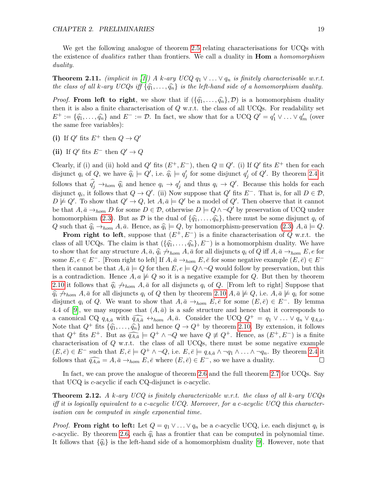We get the following analogue of theorem [2.5](#page-17-3) relating characterisations for UCQs with the existence of *dualities* rather than frontiers. We call a duality in **Hom** a *homomorphism* duality.

<span id="page-19-0"></span>**Theorem 2.11.** (implicit in [\[1\]](#page-53-2)) A k-ary UCQ  $q_1 \vee \ldots \vee q_n$  is finitely characterisable w.r.t. the class of all k-ary UCQs iff  $\{\widehat{q}_1, \ldots, \widehat{q}_n\}$  is the left-hand side of a homomorphism duality.

*Proof.* From left to right, we show that if  $(\{\hat{q}_1, \ldots, \hat{q}_n\}, \mathcal{D})$  is a homomorphism duality then it is also a finite characterisation of  $Q$  w.r.t. the class of all UCQs. For readability set  $E^+ := \{\widehat{q}_1, \ldots, \widehat{q}_n\}$  and  $E^- := \mathcal{D}$ . In fact, we show that for a UCQ  $Q' = q'_1 \vee \ldots \vee q'_m$  (over the same free variables): the same free variables):

- (i) If  $Q'$  fits  $E^+$  then  $Q \to Q'$
- (ii) If  $Q'$  fits  $E^-$  then  $Q' \rightarrow Q$

Clearly, if (i) and (ii) hold and  $Q'$  fits  $(E^+, E^-)$ , then  $Q \equiv Q'$ . (i) If  $Q'$  fits  $E^+$  then for each disjunct  $q_i$  of  $Q$ , we have  $\widehat{q}_i \models Q'$ , i.e.  $\widehat{q}_i \models q'_j$  for some disjunct  $q'_j$  of  $Q'$ . By theorem [2.4](#page-16-3) it follows that  $\hat{q}_j' \rightarrow_{hom} \hat{q}_i$  and hence  $q_i \rightarrow q'_j$  and thus  $q_i \rightarrow Q'$ . Because this holds for each distance is formally  $\hat{q}_i \rightarrow \hat{q}'$ . disjunct  $q_i$ , it follows that  $Q \to Q'$ . (ii) Now suppose that  $Q'$  fits  $E^-$ . That is, for all  $D \in \mathcal{D}$ ,  $D \not\models Q'$ . To show that  $Q' \to Q$ , let  $A, \bar{a} \models Q'$  be a model of  $Q'$ . Then observe that it cannot be that  $A, \bar{a} \to_{hom} D$  for some  $D \in \mathcal{D}$ , otherwise  $D \models Q \land \neg Q'$  by preservation of UCQ under homomorphism [\(2.3\)](#page-16-4). But as  $\mathcal D$  is the dual of  $\{\hat{q}_1, \ldots, \hat{q}_n\}$ , there must be some disjunct  $q_i$  of Q such that  $\hat{q}_i \rightarrow_{hom} A$ ,  $\bar{a}$ . Hence, as  $\hat{q}_i \models Q$ , by homomorphism-preservation [\(2.3\)](#page-16-4)  $A$ ,  $\bar{a} \models Q$ .<br>From right to left suppose that  $(F^+ F^-)$  is a finite shape tensoring of  $Q$  w.r.t. the

**From right to left**, suppose that  $(E^+, E^-)$  is a finite characterisation of Q w.r.t. the class of all UCQs. The claim is that  $(\{\hat{q}_1, \ldots, \hat{q}_n\}, E^-)$  is a homomorphism duality. We have to show that for any structure  $A, \bar{a}, \hat{q}_i \nrightarrow_{hom} A, \bar{a}$  for all disjuncts  $q_i$  of Q iff  $A, \bar{a} \rightarrow_{hom} E, e$  for some  $E, e \in E^-$ . [From right to left] If  $A, \bar{a} \to_{hom} E, \bar{e}$  for some negative example  $(E, \bar{e}) \in E^$ then it cannot be that  $A, \bar{a} \models Q$  for then  $E, e \models Q \land \neg Q$  would follow by preservation, but this is a contradiction. Hence  $A, a \not\models Q$  so it is a negative example for Q. But then by theorem [2.10](#page-18-1) it follows that  $\hat{q}_i \nleftrightarrow_{hom} A$ ,  $\bar{a}$  for all disjuncts  $q_i$  of Q. [From left to right] Suppose that  $\widehat{q}_i \not\rightarrow_{hom} A, \bar{a}$  for all disjuncts  $q_i$  of Q then by theorem [2.10](#page-18-1)  $A, \bar{a} \not\models Q$ , i.e.  $A, \bar{a} \not\models q_i$  for some disjunct  $q_i$  of Q. We want to show that  $A, \bar{a} \rightarrow_{hom} E, \bar{e}$  for some  $(E, \bar{e}) \in E^-$ . By lemma 4.4 of [\[9\]](#page-53-1), we may suppose that  $(A, \bar{a})$  is a safe structure and hence that it corresponds to a canonical CQ  $q_{A,\bar{a}}$  with  $\widehat{q_{A,\bar{a}}} \leftrightarrow_{hom} A, \bar{a}$ . Consider the UCQ  $Q^+ = q_1 \vee \ldots \vee q_n \vee q_{A,\bar{a}}$ . Note that  $Q^+$  fits  $\{\hat{q}_1, \ldots, \hat{q}_n\}$  and hence  $Q \to Q^+$  by theorem [2.10.](#page-18-1) By extension, it follows that  $Q^+$  fits  $E^+$ . But as  $\widehat{q_{A,\bar{a}}} \models Q^+ \land \neg Q$  we have  $Q \not\equiv Q^+$ . Hence, as  $(E^+, E^-)$  is a finite characterisation of  $Q$  w.r.t. the class of all UCQs, there must be some negative example  $(E, \bar{e}) \in E^-$  such that  $E, \bar{e} \models Q^+ \land \neg Q$ , i.e.  $E, \bar{e} \models q_{A, \bar{a}} \land \neg q_1 \land \dots \land \neg q_n$ . By theorem [2.4](#page-16-3) it follows that  $\widehat{q_{A,a}} = A, \bar{a} \rightarrow_{hom} E, \bar{e}$  where  $(E, \bar{e}) \in E^-$ , so we have a duality. □

In fact, we can prove the analogue of theorem [2.6](#page-17-2) and the full theorem [2.7](#page-17-5) for UCQs. Say that UCQ is c-acyclic if each CQ-disjunct is c-acyclic.

<span id="page-19-1"></span>**Theorem 2.12.** A k-ary UCQ is finitely characterizable w.r.t. the class of all k-ary UCQs iff it is logically equivalent to a c-acyclic UCQ. Moreover, for a c-acyclic UCQ this characterisation can be computed in single exponential time.

*Proof.* From right to left: Let  $Q = q_1 \vee \ldots \vee q_n$  be a c-acyclic UCQ, i.e. each disjunct  $q_i$  is c-acyclic. By theorem [2.6,](#page-17-2) each  $\hat{q}_i$  has a frontier that can be computed in polynomial time. It follows that  $\{\widehat{q}_i\}$  is the left-hand side of a homomorphism duality [\[9\]](#page-53-1). However, note that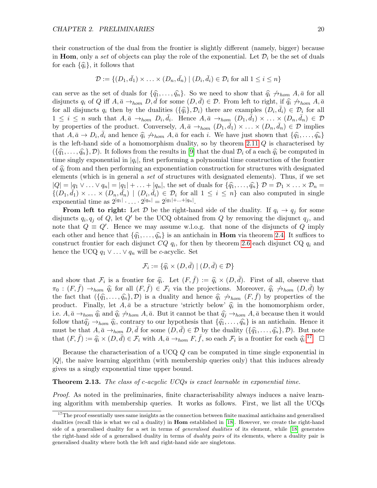their construction of the dual from the frontier is slightly different (namely, bigger) because in **Hom**, only a set of objects can play the role of the exponential. Let  $\mathcal{D}_i$  be the set of duals for each  $\{\widehat{q}_i\}$ , it follows that

$$
\mathcal{D} := \{ (D_1, \bar{d}_1) \times \ldots \times (D_n, \bar{d}_n) \mid (D_i, \bar{d}_i) \in \mathcal{D}_i \text{ for all } 1 \leq i \leq n \}
$$

can serve as the set of duals for  $\{\hat{q}_1, \ldots, \hat{q}_n\}$ . So we need to show that  $\hat{q}_i \nleftrightarrow_{hom} A, \bar{a}$  for all disjuncts  $q_i$  of Q iff  $A, \bar{a} \to_{hom} D, \bar{d}$  for some  $(D, \bar{d}) \in \mathcal{D}$ . From left to right, if  $\hat{q}_i \not\to_{hom} A, \bar{a}$ for all disjuncts  $q_i$  then by the dualities  $(\{\widehat{q}_i\}, \mathcal{D}_i)$  there are examples  $(D_i, \overline{d}_i) \in \mathcal{D}_i$  for all  $1 \leq i \leq n$  and that  $A_i \overline{d}_i \geq 0$ . Hence  $A_i \overline{d}_i \geq 0$ .  $1 \leq i \leq n$  such that  $A, \bar{a} \to_{hom} D_i, \bar{d}_i$ . Hence  $A, \bar{a} \to_{hom} (D_1, \bar{d}_1) \times \ldots \times (D_n, \bar{d}_n) \in \mathcal{D}$ by properties of the product. Conversely,  $A, \bar{a} \to_{hom} (D_1, \bar{d}_1) \times \ldots \times (D_n, \bar{d}_n) \in \mathcal{D}$  implies that  $A, \bar{a} \to D_i, \bar{d}_i$  and hence  $\hat{q}_i \nrightarrow_{hom} A, \bar{a}$  for each i. We have just shown that  $\{\hat{q}_1, \ldots, \hat{q}_n\}$ is the left-hand side of a homomorphism duality, so by theorem [2.11](#page-19-0) Q is characterised by  $(\{\hat{q}_1,\ldots,\hat{q}_n\}, \mathcal{D})$ . It follows from the results in [\[9\]](#page-53-1) that the dual  $\mathcal{D}_i$  of a each  $\hat{q}_i$  be computed in time singly exponential in  $|q_i|$ , first performing a polynomial time construction of the frontier of  $\hat{q}_i$  from and then performing an exponentiation construction for structures with designated elements (which is in general a set of structures with designated elements). Thus, if we set  $|Q| = |q_1 \vee \ldots \vee q_n| = |q_1| + \ldots + |q_n|$ , the set of duals for  $\{\widehat{q}_1, \ldots, \widehat{q}_n\}$   $D = D_1 \times \ldots \times D_n$  $\{(D_1,\bar{d_1})\times\ldots\times(D_n,\bar{d_n})\mid (D_i,\bar{d_i})\in\mathcal{D}_i\text{ for all }1\leq i\leq n\}$  can also computed in single exponential time as  $2^{|q_1|} \cdot \ldots \cdot 2^{|q_n|} = 2^{|q_1| + \ldots + |q_n|}$ .

**From left to right:** Let D be the right-hand side of the duality. If  $q_i \rightarrow q_j$  for some disjuncts  $q_i, q_j$  of Q, let Q' be the UCQ obtained from Q by removing the disjunct  $q_j$ , and note that  $Q \equiv Q'$ . Hence we may assume w.l.o.g. that none of the disjuncts of Q imply each other and hence that  $\{\hat{q}_1, \ldots, \hat{q}_n\}$  is an antichain in **Hom** via theorem [2.4.](#page-16-3) It suffices to construct frontier for each disjunct  $CQ$   $q_i$ , for then by theorem [2.6](#page-17-2) each disjunct  $CQ$   $q_i$  and hence the UCQ  $q_1 \vee \ldots \vee q_n$  will be c-acyclic. Set

$$
\mathcal{F}_i := \{ \widehat{q_i} \times (D, \bar{d}) \mid (D, \bar{d}) \in \mathcal{D} \}
$$

and show that  $\mathcal{F}_i$  is a frontier for  $\hat{q}_i$ . Let  $(F, \bar{f}) := \hat{q}_i \times (D, \bar{d})$ . First of all, observe that  $\pi_{\alpha} : (F, \bar{f}) \to \hat{\alpha}$  for all  $(F, \bar{f}) \in \mathcal{F}$  via the projections. Moreover  $\hat{\alpha} \wedge \dots \wedge (D, \bar{d})$  by  $\pi_0 : (F, \bar{f}) \to_{hom} \hat{q}_i$  for all  $(F, \bar{f}) \in \mathcal{F}_i$  via the projections. Moreover,  $\hat{q}_i \not\to_{hom} (D, \bar{d})$  by the fact that  $(\{\hat{q}_1, \ldots, \hat{q}_n\}, \mathcal{D})$  is a duality and hence  $\hat{q}_i \nrightarrow_{hom} (F, f)$  by properties of the product. Finally, let  $A, \bar{a}$  be a structure 'strictly below'  $\hat{q}_i$  in the homomorphism order, i.e.  $A, \bar{a} \to_{hom} \hat{q}_i$  and  $\hat{q}_i \to_{hom} A, \bar{a}$ . But it cannot be that  $\hat{q}_j \to_{hom} A, \bar{a}$  because then it would follow that  $\hat{q}_j \rightarrow_{hom} \hat{q}_i$ , contrary to our hypothesis that  $\{\hat{q}_1, \ldots, \hat{q}_n\}$  is an antichain. Hence it must be that  $A, \bar{a} \rightarrow_{hom} D, \bar{d}$  for some  $(D, \bar{d}) \in \mathcal{D}$  by the duality  $(\{\hat{q}_1, \ldots, \hat{q}_n\}, \mathcal{D})$ . But note that  $(F, \bar{f}) := \hat{q}_i \times (D, \bar{d}) \in \mathcal{F}_i$  with  $A, \bar{a} \to_{hom} F, \bar{f},$  so each  $\mathcal{F}_i$  is a frontier for each  $\hat{q}_i$ .<sup>[17](#page-20-0)</sup>

Because the characterisation of a UCQ Q can be computed in time single exponential in  $|Q|$ , the naive learning algorithm (with membership queries only) that this induces already gives us a singly exponential time upper bound.

#### <span id="page-20-1"></span>**Theorem 2.13.** The class of c-acyclic UCQs is exact learnable in exponential time.

Proof. As noted in the preliminaries, finite characterisability always induces a naive learning algorithm with membership queries. It works as follows. First, we list all the UCQs

<span id="page-20-0"></span><sup>&</sup>lt;sup>17</sup>The proof essentially uses same insights as the connection between finite maximal antichains and generalised dualities (recall this is what we cal a duality) in **Hom** established in [\[18\]](#page-54-4). However, we create the right-hand side of a generalised duality for a set in terms of generalised dualities of its element, while [\[18\]](#page-54-4) generates the right-hand side of a generalised duality in terms of duality pairs of its elements, where a duality pair is generalised duality where both the left and right-hand side are singletons.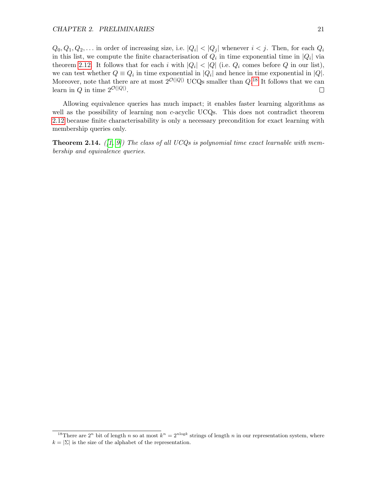$Q_0, Q_1, Q_2, \ldots$  in order of increasing size, i.e.  $|Q_i| < |Q_j|$  whenever  $i < j$ . Then, for each  $Q_i$ in this list, we compute the finite characterisation of  $Q_i$  in time exponential time in  $|Q_i|$  via theorem [2.12.](#page-19-1) It follows that for each i with  $|Q_i| < |Q|$  (i.e.  $Q_i$  comes before Q in our list), we can test whether  $Q \equiv Q_i$  in time exponential in  $|Q_i|$  and hence in time exponential in  $|Q|$ . Moreover, note that there are at most  $2^{\mathcal{O}(|Q|)}$  UCQs smaller than  $Q$ <sup>[18](#page-21-0)</sup> It follows that we can learn in Q in time  $2^{\mathcal{O}(|Q|)}$ .  $\Box$ 

Allowing equivalence queries has much impact; it enables faster learning algorithms as well as the possibility of learning non c-acyclic UCQs. This does not contradict theorem [2.12](#page-19-1) because finite characterisability is only a necessary precondition for exact learning with membership queries only.

**Theorem 2.14.** ([\[1,](#page-53-2) [9\]](#page-53-1)) The class of all UCQs is polynomial time exact learnable with membership and equivalence queries.

<span id="page-21-0"></span><sup>&</sup>lt;sup>18</sup>There are 2<sup>n</sup> bit of length n so at most  $k^n = 2^{n \log k}$  strings of length n in our representation system, where  $k = |\Sigma|$  is the size of the alphabet of the representation.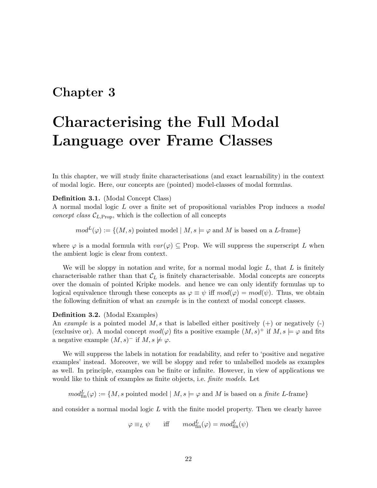## <span id="page-22-0"></span>Chapter 3

# Characterising the Full Modal Language over Frame Classes

In this chapter, we will study finite characterisations (and exact learnability) in the context of modal logic. Here, our concepts are (pointed) model-classes of modal formulas.

## Definition 3.1. (Modal Concept Class)

A normal modal logic L over a finite set of propositional variables Prop induces a modal *concept class*  $\mathcal{C}_{L,Prop}$ , which is the collection of all concepts

 $mod^L(\varphi) := \{(M, s) \text{ pointed model} \mid M, s \models \varphi \text{ and } M \text{ is based on a } L\text{-frame}\}\$ 

where  $\varphi$  is a modal formula with  $var(\varphi) \subseteq$  Prop. We will suppress the superscript L when the ambient logic is clear from context.

We will be sloppy in notation and write, for a normal modal logic  $L$ , that  $L$  is finitely characterisable rather than that  $\mathcal{C}_L$  is finitely characterisable. Modal concepts are concepts over the domain of pointed Kripke models. and hence we can only identify formulas up to logical equivalence through these concepts as  $\varphi \equiv \psi$  iff  $mod(\varphi) = mod(\psi)$ . Thus, we obtain the following definition of what an example is in the context of modal concept classes.

### Definition 3.2. (Modal Examples)

An example is a pointed model  $M, s$  that is labelled either positively  $(+)$  or negatively  $(-)$ (exclusive or). A modal concept  $mod(\varphi)$  fits a positive example  $(M, s)^+$  if  $M, s \models \varphi$  and fits a negative example  $(M, s)$ <sup>-</sup> if  $M, s \not\models \varphi$ .

We will suppress the labels in notation for readability, and refer to 'positive and negative examples' instead. Moreover, we will be sloppy and refer to unlabelled models as examples as well. In principle, examples can be finite or infinite. However, in view of applications we would like to think of examples as finite objects, i.e. *finite models*. Let

 $mod^L_{fin}(\varphi) := \{M, s \text{ pointed model} \mid M, s \models \varphi \text{ and } M \text{ is based on a finite } L\text{-frame}\}\$ 

and consider a normal modal logic  $L$  with the finite model property. Then we clearly havee

 $\varphi \equiv_L \psi$  iff  $mod_{\text{fin}}^L(\varphi) = mod_{\text{fin}}^L(\psi)$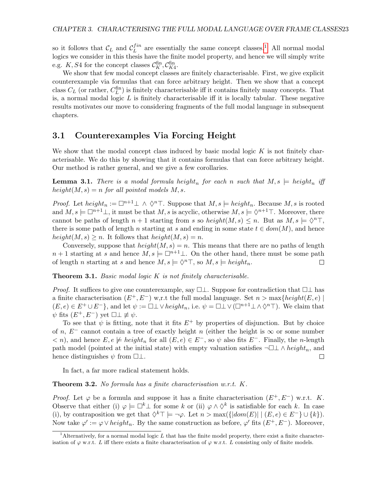so it follows that  $\mathcal{C}_L$  and  $\mathcal{C}_L^{fin}$  $L^{fin}$  are essentially the same concept classes.<sup>[1](#page-23-1)</sup> All normal modal logics we consider in this thesis have the finite model property, and hence we will simply write e.g. K, S4 for the concept classes  $\mathcal{C}_K^{\text{fin}}, \mathcal{C}_{K4}^{\text{fin}}$ .

We show that few modal concept classes are finitely characterisable. First, we give explicit counterexample via formulas that can force arbitrary height. Then we show that a concept class  $C_L$  (or rather,  $C_L^{\text{fin}}$ ) is finitely characterisable iff it contains finitely many concepts. That is, a normal modal logic  $L$  is finitely characterisable iff it is locally tabular. These negative results motivates our move to considering fragments of the full modal language in subsequent chapters.

## <span id="page-23-0"></span>3.1 Counterexamples Via Forcing Height

We show that the modal concept class induced by basic modal logic  $K$  is not finitely characterisable. We do this by showing that it contains formulas that can force arbitrary height. Our method is rather general, and we give a few corollaries.

<span id="page-23-2"></span>**Lemma 3.1.** There is a modal formula height<sub>n</sub> for each n such that  $M, s \models height_n$  iff height $(M, s) = n$  for all pointed models M, s.

*Proof.* Let  $height_n := \Box^{n+1} \bot \land \Diamond^n \top$ . Suppose that  $M, s \models height_n$ . Because  $M, s$  is rooted and  $M, s \models \Box^{n+1} \bot$ , it must be that  $M, s$  is acyclic, otherwise  $M, s \models \Diamond^{n+1} \top$ . Moreover, there cannot be paths of length  $n + 1$  starting from s so height $(M, s) \leq n$ . But as  $M, s \models \Diamond^n \top$ , there is some path of length n starting at s and ending in some state  $t \in dom(M)$ , and hence  $height(M, s) \geq n$ . It follows that  $height(M, s) = n$ .

Conversely, suppose that  $height(M, s) = n$ . This means that there are no paths of length  $n+1$  starting at s and hence  $M, s \models \Box^{n+1} \bot$ . On the other hand, there must be some path of length *n* starting at *s* and hence  $M, s \models \Diamond^n \top$ , so  $M, s \models height_n$ .  $\Box$ 

<span id="page-23-4"></span>**Theorem 3.1.** Basic modal logic K is not finitely characterisable.

*Proof.* It suffices to give one counterexample, say  $\Box \bot$ . Suppose for contradiction that  $\Box \bot$  has a finite characterisation  $(E^+, E^-)$  w,r.t the full modal language. Set  $n > \max\{height(E, e) \mid$  $(E, e) \in E^+ \cup E^-$ , and let  $\psi := \Box \bot \vee height_n$ , i.e.  $\psi = \Box \bot \vee (\Box^{n+1} \bot \wedge \Diamond^n \top)$ . We claim that  $\psi$  fits  $(E^+, E^-)$  yet  $\square \not\equiv \psi$ .

To see that  $\psi$  is fitting, note that it fits  $E^+$  by properties of disjunction. But by choice of n,  $E^-$  cannot contain a tree of exactly height n (either the height is  $\infty$  or some number  $\langle n \rangle$ , and hence  $E, e \not\models height_n$  for all  $(E, e) \in E^-$ , so  $\psi$  also fits  $E^-$ . Finally, the *n*-length path model (pointed at the initial state) with empty valuation satisfies  $\neg \Box \bot \wedge height_n$ , and hence distinguishes  $\psi$  from  $\Box \bot$ .  $\Box$ 

In fact, a far more radical statement holds.

<span id="page-23-3"></span>Theorem 3.2. No formula has a finite characterisation w.r.t. K.

*Proof.* Let  $\varphi$  be a formula and suppose it has a finite characterisation  $(E^+, E^-)$  w.r.t. K. Observe that either (i)  $\varphi \models \Box^k \bot$  for some k or (ii)  $\varphi \land \Diamond^k$  is satisfiable for each k. In case (i), by contraposition we get that  $\diamond^k \top \models \neg \varphi$ . Let  $n > \max(\{|dom(E)| \mid (E, e) \in E^- \} \cup \{k\}).$ Now take  $\varphi' := \varphi \vee height_n$ . By the same construction as before,  $\varphi'$  fits  $(E^+, E^-)$ . Moreover,

<span id="page-23-1"></span><sup>&</sup>lt;sup>1</sup>Alternatively, for a normal modal logic L that has the finite model property, there exist a finite characterisation of  $\varphi$  w.r.t. L iff there exists a finite characterisation of  $\varphi$  w.r.t. L consisting only of finite models.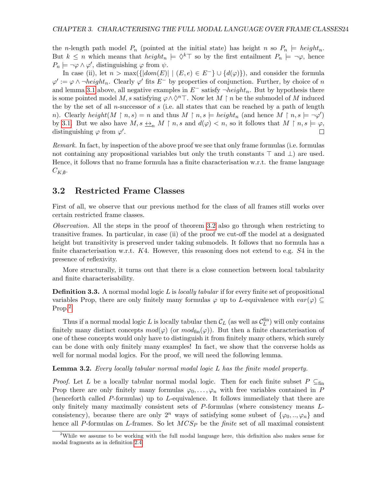the *n*-length path model  $P_n$  (pointed at the initial state) has height *n* so  $P_n \models height_n$ . But  $k \leq n$  which means that  $height_n \models \Diamond^k \top$  so by the first entailment  $P_n \models \neg \varphi$ , hence  $P_n \models \neg \varphi \land \varphi',$  distinguishing  $\varphi$  from  $\psi$ .

In case (ii), let  $n > \max(\{|dom(E)| | (E, e) \in E^{-}\}\cup \{d(\varphi)\})$ , and consider the formula  $\varphi' := \varphi \wedge \neg height_n$ . Clearly  $\varphi'$  fits  $E^-$  by properties of conjunction. Further, by choice of n and lemma [3.1](#page-23-2) above, all negative examples in  $E^-$  satisfy  $\neg height_n$ . But by hypothesis there is some pointed model M, s satisfying  $\varphi \wedge \Diamond^n$ . Now let M  $\restriction n$  be the submodel of M induced the by the set of all n-successor of s (i.e. all states that can be reached by a path of length n). Clearly  $height(M \upharpoonright n, s) = n$  and thus  $M \upharpoonright n, s \models height_n$  (and hence  $M \upharpoonright n, s \models \neg \varphi'$ ) by [3.1.](#page-23-2) But we also have  $M, s \leq_n M \upharpoonright n, s$  and  $d(\varphi) < n$ , so it follows that  $M \upharpoonright n, s \models \varphi$ , distinguishing  $\varphi$  from  $\varphi'$ .  $\Box$ 

Remark. In fact, by inspection of the above proof we see that only frame formulas (i.e. formulas not containing any propositional variables but only the truth constants ⊤ and ⊥) are used. Hence, it follows that no frame formula has a finite characterisation w.r.t. the frame language  $C_{K,\emptyset}$ .

## <span id="page-24-0"></span>3.2 Restricted Frame Classes

First of all, we observe that our previous method for the class of all frames still works over certain restricted frame classes.

Observation. All the steps in the proof of theorem [3.2](#page-23-3) also go through when restricting to transitive frames. In particular, in case (ii) of the proof we cut-off the model at a designated height but transitivity is preserved under taking submodels. It follows that no formula has a finite characterisation w.r.t.  $K4$ . However, this reasoning does not extend to e.g.  $S4$  in the presence of reflexivity.

More structurally, it turns out that there is a close connection between local tabularity and finite characterisability.

**Definition 3.3.** A normal modal logic L is *locally tabular* if for every finite set of propositional variables Prop, there are only finitely many formulas  $\varphi$  up to L-equivalence with  $var(\varphi) \subseteq$ Prop.[2](#page-24-1)

Thus if a normal modal logic L is locally tabular then  $\mathcal{C}_L$  (as well as  $\mathcal{C}_L^{\text{fin}}$ ) will only contains finitely many distinct concepts  $mod(\varphi)$  (or  $mod_{fin}(\varphi)$ ). But then a finite characterisation of one of these concepts would only have to distinguish it from finitely many others, which surely can be done with only finitely many examples! In fact, we show that the converse holds as well for normal modal logics. For the proof, we will need the following lemma.

<span id="page-24-2"></span>Lemma 3.2. Every locally tabular normal modal logic L has the finite model property.

*Proof.* Let L be a locally tabular normal modal logic. Then for each finite subset  $P \subseteq_{fin}$ Prop there are only finitely many formulas  $\varphi_0, \ldots, \varphi_n$  with free variables contained in P (henceforth called P-formulas) up to L-equivalence. It follows immediately that there are only finitely many maximally consistent sets of P-formulas (where consistency means Lconsistency), because there are only  $2^n$  ways of satisfying some subset of  $\{\varphi_0, ..., \varphi_n\}$  and hence all P-formulas on L-frames. So let  $MCS_P$  be the *finite* set of all maximal consistent

<span id="page-24-1"></span><sup>&</sup>lt;sup>2</sup>While we assume to be working with the full modal language here, this definition also makes sense for modal fragments as in definition [2.4.](#page-7-3)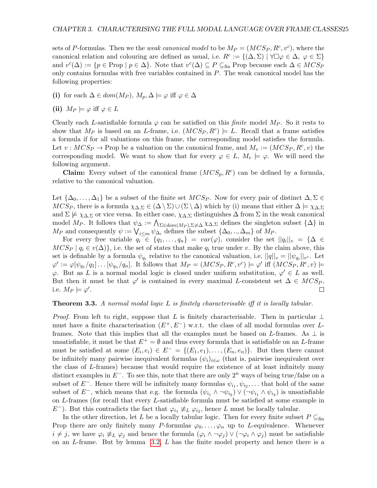sets of P-formulas. Then we the *weak canonical model* to be  $M_P = (MCS_P, R^c, v^c)$ , where the canonical relation and colouring are defined as usual, i.e.  $R^c := \{(\Delta, \Sigma) \mid \forall \Box \varphi \in \Delta, \varphi \in \Sigma\}$ and  $v^c(\Delta) := \{ p \in \text{Prop} \mid p \in \Delta \}.$  Note that  $v^c(\Delta) \subseteq P \subseteq_{\text{fin}} \text{Prop}$  because each  $\Delta \in MCS_P$ only contains formulas with free variables contained in P. The weak canonical model has the following properties:

- (i) for each  $\Delta \in dom(M_P), M_p, \Delta \models \varphi$  iff  $\varphi \in \Delta$
- (ii)  $M_P \models \varphi$  iff  $\varphi \in L$

Clearly each L-satisfiable formula  $\varphi$  can be satisfied on this *finite* model  $M_P$ . So it rests to show that  $M_P$  is based on an L-frame, i.e.  $(MCS_P, R^c) \models L$ . Recall that a frame satisfies a formula if for all valuations on this frame, the corresponding model satisfies the formula. Let  $v: MCS_P \to \text{Prop}$  be a valuation on the canonical frame, and  $M_v := (MCS_P, R^c, v)$  the corresponding model. We want to show that for every  $\varphi \in L$ ,  $M_v \models \varphi$ . We will need the following argument.

**Claim:** Every subset of the canonical frame  $(MCS_p, R^c)$  can be defined by a formula, relative to the canonical valuation.

Let  $\{\Delta_0,\ldots,\Delta_1\}$  be a subset of the finite set  $MCS_P$ . Now for every pair of distinct  $\Delta,\Sigma \in$  $MCS_P$ , there is a formula  $\chi_{\Delta,\Sigma} \in (\Delta \setminus \Sigma) \cup (\Sigma \setminus \Delta)$  which by (i) means that either  $\Delta \models \chi_{\Delta,\Sigma}$ and  $\Sigma \not\models \chi_{\Delta,\Sigma}$  or vice versa. In either case,  $\chi_{\Delta,\Sigma}$  distinguishes  $\Delta$  from  $\Sigma$  in the weak canonical model  $M_P$ . It follows that  $\psi_{\Delta} := \bigwedge_{\Sigma \in dom(M_P), \Sigma \neq \Delta} \chi_{\Delta,\Sigma}$  defines the singleton subset  $\{\Delta\}$  in  $M_P$  and consequently  $\psi := \bigvee_{i \leq m} \psi_{\Delta_i}$  defines the subset  $\{\Delta_0, ..., \Delta_m\}$  of  $M_P$ .

For every free variable  $q_i \in \{q_1, \ldots, q_n\} = \text{var}(\varphi)$ , consider the set  $||q_i||_v = \{\Delta \in$  $MCS_P | q_i \in v(\Delta) \},$  i.e. the set of states that make  $q_i$  true under v. By the claim above, this set is definable by a formula  $\psi_{q_i}$  relative to the canonical valuation, i.e.  $||q||_v = ||\psi_{q_i}||_{v^c}$ . Let  $\varphi' := \varphi[\psi_{q_1}/q_1] \dots [\psi_{q_n}/q_n]$ . It follows that  $M_P = (MCS_P, R^c, v^c) \models \varphi'$  iff  $(MCS_P, R^c, v) \models$ φ. But as L is a normal modal logic is closed under uniform substitution,  $\varphi' \in L$  as well. But then it must be that  $\varphi'$  is contained in every maximal L-consistent set  $\Delta \in MCS_P$ , i.e.  $M_P \models \varphi'.$  $\Box$ 

#### <span id="page-25-0"></span>**Theorem 3.3.** A normal modal logic L is finitely characterisable iff it is locally tabular.

*Proof.* From left to right, suppose that L is finitely characterisable. Then in particular  $\perp$ must have a finite characterisation  $(E^+, E^-)$  w.r.t. the class of all modal formulas over Lframes. Note that this implies that all the examples must be based on L-frames. As  $\perp$  is unsatisfiable, it must be that  $E^+ = \emptyset$  and thus every formula that is satisfiable on an L-frame must be satisfied at some  $(E_i, e_i) \in E^- = \{(E_1, e_1), \ldots, (E_n, e_n)\}.$  But then there cannot be infinitely many pairwise inequivalent formulas  $(\psi_i)_{i \in \omega}$  (that is, pairwise inequivalent over the class of L-frames) because that would require the existence of at least infinitely many distinct examples in  $E^-$ . To see this, note that there are only 2<sup>n</sup> ways of being true/false on a subset of  $E^-$ . Hence there will be infinitely many formulas  $\psi_{i_1}, \psi_{i_2}, \dots$  that hold of the same subset of  $E^-$ , which means that e.g. the formula  $(\psi_{i_1} \wedge \neg \psi_{i_2}) \vee (\neg \psi_{i_1} \wedge \psi_{i_2})$  is unsatisfiable on L-frames (for recall that every L-satisfiable formula must be satisfied at some example in  $E^-$ ). But this contradicts the fact that  $\varphi_{i_1} \not\equiv_L \varphi_{i_2}$ , hence L must be locally tabular.

In the other direction, let L be a locally tabular logic. Then for every finite subset  $P \subseteq_{fin}$ Prop there are only finitely many P-formulas  $\varphi_0, \ldots, \varphi_n$  up to L-equivalence. Whenever  $i \neq j$ , we have  $\varphi_i \neq_L \varphi_j$  and hence the formula  $(\varphi_i \wedge \neg \varphi_j) \vee (\neg \varphi_i \wedge \varphi_j)$  must be satisfiable on an L-frame. But by lemma [3.2,](#page-24-2) L has the finite model property and hence there is a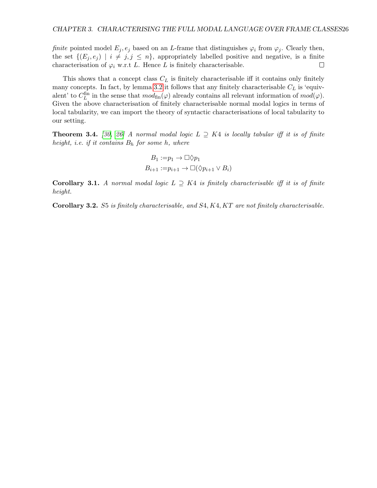finite pointed model  $E_i, e_i$  based on an L-frame that distinguishes  $\varphi_i$  from  $\varphi_i$ . Clearly then, the set  $\{(E_j, e_j) \mid i \neq j, j \leq n\}$ , appropriately labelled positive and negative, is a finite characterisation of  $\varphi_i$  w.r.t L. Hence L is finitely characterisable.  $\Box$ 

This shows that a concept class  $C_L$  is finitely characterisable iff it contains only finitely many concepts. In fact, by lemma [3.2](#page-24-2) it follows that any finitely characterisable  $C_L$  is 'equivalent' to  $C_L^{\text{fin}}$  in the sense that  $mod_{\text{fin}}(\varphi)$  already contains all relevant information of  $mod(\varphi)$ . Given the above characterisation of finitely characterisable normal modal logics in terms of local tabularity, we can import the theory of syntactic characterisations of local tabularity to our setting.

**Theorem 3.4.** [\[30,](#page-54-8) [26\]](#page-54-9) A normal modal logic  $L \supseteq K4$  is locally tabular iff it is of finite height, i.e. if it contains  $B_h$  for some h, where

$$
B_1 := p_1 \to \Box \Diamond p_1
$$
  

$$
B_{i+1} := p_{i+1} \to \Box(\Diamond p_{i+1} \lor B_i)
$$

Corollary 3.1. A normal modal logic  $L \supseteq K4$  is finitely characterisable iff it is of finite height.

Corollary 3.2. S5 is finitely characterisable, and S4, K4, KT are not finitely characterisable.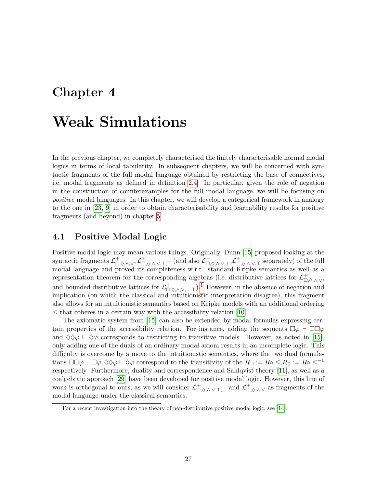## <span id="page-27-0"></span>Chapter 4

# Weak Simulations

In the previous chapter, we completely characterised the finitely characterisable normal modal logics in terms of local tabularity. In subsequent chapters, we will be concerned with syntactic fragments of the full modal language obtained by restricting the base of connectives, i.e. modal fragments as defined in definition [2.4.](#page-7-3) In particular, given the role of negation in the construction of counterexamples for the full modal language, we will be focusing on positive modal languages. In this chapter, we will develop a categorical framework in analogy to the one in [\[23,](#page-54-0) [9\]](#page-53-1) in order to obtain characterisability and learnability results for positive fragments (and beyond) in chapter [5.](#page-34-0)

## <span id="page-27-1"></span>4.1 Positive Modal Logic

Positive modal logic may mean various things. Originally, Dunn [\[15\]](#page-54-10) proposed looking at the syntactic fragments  $\mathcal{L}^+_{\Box,\Diamond,\land,\lor},\mathcal{L}^+_{\Box,\Diamond,\land,\lor,\bot,\top}$  (and also  $\mathcal{L}^+_{\Box,\Diamond,\land,\lor,\bot},\mathcal{L}^+_{\Box,\Diamond,\land,\lor,\top}$  separately) of the full modal language and proved its completeness w.r.t. standard Kripke semantics as well as a representation theorem for the corresponding algebras (i.e. distributive lattices for  $\mathcal{L}^+_{\Box,\Diamond,\wedge,\vee}$ , and bounded distributive lattices for  $\mathcal{L}^+_{\Box,\Diamond,\wedge,\vee,\bot,\top}$ .<sup>[1](#page-27-2)</sup> However, in the absence of negation and implication (on which the classical and intuitionistic interpretation disagree), this fragment also allows for an intuitionistic semantics based on Kripke models with an additional ordering  $\leq$  that coheres in a certain way with the accessibility relation [\[10\]](#page-53-6).

The axiomatic system from [\[15\]](#page-54-10) can also be extended by modal formulas expressing certain properties of the accessibility relation. For instance, adding the sequents  $\Box \varphi \vdash \Box \Box \varphi$ and  $\Diamond \Diamond \varphi \vdash \Diamond \varphi$  corresponds to restricting to transitive models. However, as noted in [\[15\]](#page-54-10), only adding one of the duals of an ordinary modal axiom results in an incomplete logic. This difficulty is overcome by a move to the intuitionistic semantics, where the two dual formulations  $\Box \Box \varphi \vdash \Box \varphi, \Diamond \Diamond \varphi \vdash \Diamond \varphi$  correspond to the transitivity of the  $R_{\Box} := R \circ \leq R_{\Diamond} := R \circ \leq^{-1}$ respectively. Furthermore, duality and correspondence and Sahlqvist theory [\[11\]](#page-53-7), as well as a coalgebraic approach [\[29\]](#page-54-11) have been developed for positive modal logic. However, this line of work is orthogonal to ours, as we will consider  $\mathcal{L}^+_{\Box,\Diamond,\wedge,\vee,\top,\bot}$  and  $\mathcal{L}^+_{\Box,\Diamond,\wedge,\vee}$  as fragments of the modal language under the classical semantics.

<span id="page-27-2"></span><sup>&</sup>lt;sup>1</sup>For a recent investigation into the theory of non-distributive positive modal logic, see [\[14\]](#page-54-12).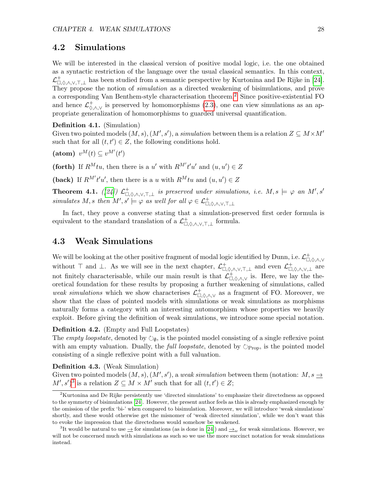## <span id="page-28-0"></span>4.2 Simulations

We will be interested in the classical version of positive modal logic, i.e. the one obtained as a syntactic restriction of the language over the usual classical semantics. In this context,  $\mathcal{L}^+_{\Box,\Diamond,\wedge,\vee,\top,\bot}$  has been studied from a semantic perspective by Kurtonina and De Rijke in [\[24\]](#page-54-13). They propose the notion of *simulation* as a directed weakening of bisimulations, and prove a corresponding Van Benthem-style characterisation theorem.[2](#page-28-2) Since positive-existential FO and hence  $\mathcal{L}^+_{\Diamond,\wedge,\vee}$  is preserved by homomorphisms [\(2.3\)](#page-16-4), one can view simulations as an appropriate generalization of homomorphisms to guarded universal quantification.

## Definition 4.1. (Simulation)

Given two pointed models  $(M, s), (M', s')$ , a simulation between them is a relation  $Z \subseteq M \times M'$ such that for all  $(t, t') \in Z$ , the following conditions hold.

(atom)  $v^M(t) \subseteq v^{M'}(t')$ 

(forth) If  $R^M t u$ , then there is a u' with  $R^{M'} t' u'$  and  $(u, u') \in Z$ 

(back) If  $R^{M'}t'u'$ , then there is a u with  $R^Mtu$  and  $(u, u') \in Z$ 

**Theorem 4.1.** ([\[24\]](#page-54-13))  $\mathcal{L}^+_{\Box,\Diamond,\wedge,\vee,\top,\bot}$  is preserved under simulations, i.e.  $M, s \models \varphi$  an  $M', s'$ simulates M, s then  $M', s' \models \varphi$  as well for all  $\varphi \in \mathcal{L}^+_{\Box, \Diamond, \land, \lor, \top, \bot}$ 

In fact, they prove a converse stating that a simulation-preserved first order formula is equivalent to the standard translation of a  $\mathcal{L}^+_{\Box,\Diamond,\wedge,\vee,\top,\bot}$  formula.

## <span id="page-28-1"></span>4.3 Weak Simulations

We will be looking at the other positive fragment of modal logic identified by Dunn, i.e.  $\mathcal{L}^+_{\Box,\Diamond,\wedge,\vee}$ without  $\top$  and  $\bot$ . As we will see in the next chapter,  $\mathcal{L}^+_{\Box,\Diamond,\wedge,\vee,\top,\bot}$  and even  $\mathcal{L}^+_{\Box,\Diamond,\wedge,\vee,\bot}$  are not finitely characterisable, while our main result is that  $\mathcal{L}^+_{\Box,\Diamond,\wedge,\vee}$  is. Here, we lay the theoretical foundation for these results by proposing a further weakening of simulations, called weak simulations which we show characterises  $\mathcal{L}^+_{\Box,\Diamond,\wedge,\vee}$  as a fragment of FO. Moreover, we show that the class of pointed models with simulations or weak simulations as morphisms naturally forms a category with an interesting automorphism whose properties we heavily exploit. Before giving the definition of weak simulations, we introduce some special notation.

### Definition 4.2. (Empty and Full Loopstates)

The *empty loopstate*, denoted by  $\circlearrowright_{\emptyset}$ , is the pointed model consisting of a single reflexive point with am empty valuation. Dually, the *full loopstate*, denoted by  $\Diamond_{\text{Prop}}$ , is the pointed model consisting of a single reflexive point with a full valuation.

## Definition 4.3. (Weak Simulation)

Given two pointed models  $(M, s), (M', s')$ , a weak simulation between them (notation:  $M, s \rightarrow$  $M', s'$ <sup>[3](#page-28-3)</sup> is a relation  $Z \subseteq M \times M'$  such that for all  $(t, t') \in Z$ ;

<span id="page-28-2"></span><sup>&</sup>lt;sup>2</sup>Kurtonina and De Rijke persistently use 'directed simulations' to emphasize their directedness as opposed to the symmetry of bisimulations [\[24\]](#page-54-13). However, the present author feels as this is already emphasized enough by the omission of the prefix 'bi-' when compared to bisimulation. Moreover, we will introduce 'weak simulations' shortly, and these would otherwise get the misnomer of 'weak directed simulation', while we don't want this to evoke the impression that the directedness would somehow be weakened.

<span id="page-28-3"></span><sup>&</sup>lt;sup>3</sup>It would be natural to use  $\rightarrow$  for simulations (as is done in [\[24\]](#page-54-13)) and  $\rightarrow_w$  for weak simulations. However, we will not be concerned much with simulations as such so we use the more succinct notation for weak simulations instead.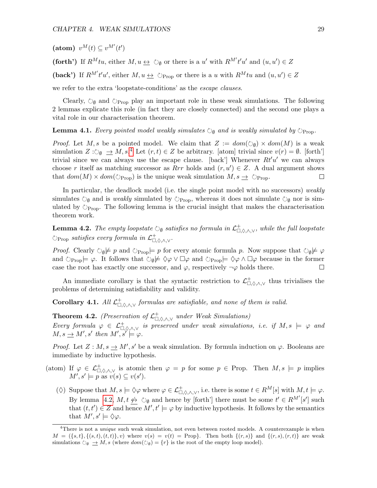(atom)  $v^M(t) \subseteq v^{M'}(t')$ 

(forth') If  $R^M t u$ , either  $M, u \leftrightarrow \circledcirc_{\emptyset}$  or there is a u' with  $R^{M'} t' u'$  and  $(u, u') \in Z$ 

(back') If  $R^{M'}t'u'$ , either  $M, u \leftrightarrow \circlearrowright$  prop or there is a u with  $R^{M}tu$  and  $(u, u') \in Z$ 

we refer to the extra 'loopstate-conditions' as the escape clauses.

Clearly,  $\circlearrowright_{\emptyset}$  and  $\circlearrowright_{\text{Prop}}$  play an important role in these weak simulations. The following 2 lemmas explicate this role (in fact they are closely connected) and the second one plays a vital role in our characterisation theorem.

#### <span id="page-29-3"></span>**Lemma 4.1.** Every pointed model weakly simulates  $\circlearrowright_{\mathfrak{g}}$  and is weakly simulated by  $\circlearrowright_{\text{Prop}}$ .

*Proof.* Let M, s be a pointed model. We claim that  $Z := dom(\bigcirc_{\emptyset}) \times dom(M)$  is a weak simulation  $Z: \circlearrowright_{\emptyset} \longrightarrow M$ , s.<sup>[4](#page-29-0)</sup> Let  $(r, t) \in Z$  be arbitrary. [atom] trivial since  $v(r) = \emptyset$ . [forth'] trivial since we can always use the escape clause. [back'] Whenever  $Rt'u'$  we can always choose r itself as matching successor as  $Rrr$  holds and  $(r, u') \in Z$ . A dual argument shows that  $dom(M) \times dom(\mathcal{O}_{\text{Prop}})$  is the unique weak simulation  $M, s \to \mathcal{O}_{\text{Prop}}$ . □

In particular, the deadlock model (i.e. the single point model with no successors) weakly simulates  $\circlearrowright_{\emptyset}$  and is weakly simulated by  $\circlearrowright_{\text{Prop}}$ , whereas it does not simulate  $\circlearrowright_{\emptyset}$  nor is simulated by  $\circlearrowright_{\text{Prop}}$ . The following lemma is the crucial insight that makes the characterisation theorem work.

<span id="page-29-1"></span>**Lemma 4.2.** The empty loopstate  $\circlearrowright_{\emptyset}$  satisfies no formula in  $\mathcal{L}^+_{\Box,\Diamond,\wedge,\vee}$ , while the full loopstate  $\circlearrowright_{\text{Prop}}$  satisfies every formula in  $\mathcal{L}^+_{\Box,\Diamond,\wedge,\vee}$ .

*Proof.* Clearly  $\circ \psi \not\models p$  and  $\circlearrowright_{\text{Prop}}\models p$  for every atomic formula p. Now suppose that  $\circ \psi \not\models \varphi$ and  $\Diamond_{\text{Prop}}\models \varphi$ . It follows that  $\Diamond_{\emptyset}\not\models \Diamond \varphi \lor \Box \varphi$  and  $\Diamond_{\text{Prop}}\models \Diamond \varphi \land \Box \varphi$  because in the former case the root has exactly one successor, and  $\varphi$ , respectively  $\neg \varphi$  holds there. П

An immediate corollary is that the syntactic restriction to  $\mathcal{L}^+_{\Box,\Diamond,\wedge,\vee}$  thus trivialises the problems of determining satisfiability and validity.

<span id="page-29-2"></span>**Corollary 4.1.** All  $\mathcal{L}^+_{\Box,\Diamond,\wedge,\vee}$  formulas are satisfiable, and none of them is valid.

<span id="page-29-4"></span>**Theorem 4.2.** (Preservation of  $\mathcal{L}^+_{\Box,\Diamond,\wedge,\vee}$  under Weak Simulations) Every formula  $\varphi \in \mathcal{L}^+_{\Box,\Diamond,\wedge,\vee}$  is preserved under weak simulations, i.e. if  $M, s \models \varphi$  and  $M, s \rightarrow M', s'$  then  $M', s' \models \varphi$ .

*Proof.* Let  $Z : M$ ,  $s \to M'$ ,  $s'$  be a weak simulation. By formula induction on  $\varphi$ . Booleans are immediate by inductive hypothesis.

- (atom) If  $\varphi \in \mathcal{L}^+_{\Box,\Diamond,\wedge,\vee}$  is atomic then  $\varphi = p$  for some  $p \in \text{Prop}$ . Then  $M, s \models p$  implies  $M', s' \models p \text{ as } v(s) \subseteq v(s').$ 
	- ( $\diamond$ ) Suppose that  $M, s \models \Diamond \varphi$  where  $\varphi \in \mathcal{L}^+_{\Box, \Diamond, \land, \lor}$ , i.e. there is some  $t \in R^M[s]$  with  $M, t \models \varphi$ . By lemma [4.2,](#page-29-1)  $M, t \nleftrightarrow \circledcirc_{\emptyset}$  and hence by [forth'] there must be some  $t' \in R^{M'}[s']$  such that  $(t, t') \in Z$  and hence  $M', t' \models \varphi$  by inductive hypothesis. It follows by the semantics that  $M', s' \models \Diamond \varphi$ .

<span id="page-29-0"></span><sup>&</sup>lt;sup>4</sup>There is not a *unique* such weak simulation, not even between rooted models. A counterexample is when  $M = (\{s, t\}, \{(s, t), (t, t)\}, v)$  where  $v(s) = v(t) = \text{Prop}$ . Then both  $\{(r, s)\}\$  and  $\{(r, s), (r, t)\}\$  are weak simulations  $\circlearrowright_{\emptyset} \rightrightarrows M$ , s (where  $dom(\circlearrowright_{\emptyset}) = \{r\}$  is the root of the empty loop model).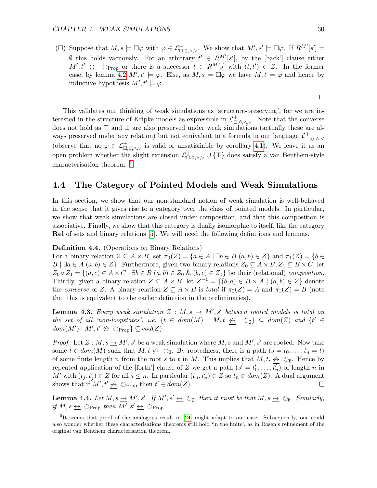( $\square$ ) Suppose that  $M, s \models \square \varphi$  with  $\varphi \in \mathcal{L}^+_{\square, \Diamond, \land, \lor}$ . We show that  $M', s' \models \square \varphi$ . If  $R^{M'}[s'] =$  $\emptyset$  this holds vacuously. For an arbitrary  $t' \in R^{M'}[s']$ , by the [back'] clause either  $M', t' \Leftrightarrow$   $\Diamond_{\text{Prop}}$  or there is a successor  $t \in R^M[s]$  with  $(t, t') \in Z$ . In the former case, by lemma [4.2](#page-29-1)  $M'$ ,  $t' \models \varphi$ . Else, as  $M, s \models \Box \varphi$  we have  $M, t \models \varphi$  and hence by inductive hypothesis  $M', t' \models \varphi$ .

This validates our thinking of weak simulations as 'structure-preserving', for we are interested in the structure of Kripke models as expressible in  $\mathcal{L}^+_{\Box,\Diamond,\wedge,\vee}$ . Note that the converse does not hold as ⊤ and ⊥ are also preserved under weak simulations (actually these are always preserved under any relation) but not equivalent to a formula in our language  $\mathcal{L}^+_{\Box,\Diamond,\wedge,\vee}$ (observe that no  $\varphi \in \mathcal{L}^+_{\Box,\Diamond,\wedge,\vee}$  is valid or unsatisfiable by corollary [4.1\)](#page-29-2). We leave it as an open problem whether the slight extension  $\mathcal{L}^+_{\Box,\Diamond,\wedge,\vee} \cup \{\top\}$  does satisfy a van Benthem-style characterisation theorem.<sup>[5](#page-30-1)</sup>

## <span id="page-30-0"></span>4.4 The Category of Pointed Models and Weak Simulations

In this section, we show that our non-standard notion of weak simulation is well-behaved in the sense that it gives rise to a category over the class of pointed models. In particular, we show that weak simulations are closed under composition, and that this composition is associative. Finally, we show that this category is dually isomorphic to itself, like the category Rel of sets and binary relations [\[5\]](#page-53-8). We will need the following definitions and lemmas.

## Definition 4.4. (Operations on Binary Relations)

For a binary relation  $Z \subseteq A \times B$ , set  $\pi_0(Z) = \{a \in A \mid \exists b \in B \ (a, b) \in Z\}$  and  $\pi_1(Z) = \{b \in A \mid \exists c \in A \mid \exists d \in B \ (a, b) \in Z\}$  $B \mid \exists a \in A \ (a, b) \in Z$ . Furthermore, given two binary relations  $Z_0 \subseteq A \times B$ ,  $Z_1 \subseteq B \times C$ , let  $Z_0 \circ Z_1 = \{(a, c) \in A \times C \mid \exists b \in B \ (a, b) \in Z_0 \ \& \ (b, c) \in Z_1\}$  be their (relational) composition. Thirdly, given a binary relation  $Z \subseteq A \times B$ , let  $Z^{-1} = \{(b, a) \in B \times A \mid (a, b) \in Z\}$  denote the converse of Z. A binary relation  $Z \subseteq A \times B$  is total if  $\pi_0(Z) = A$  and  $\pi_1(Z) = B$  (note that this is equivalent to the earlier definition in the preliminaries).

<span id="page-30-2"></span>**Lemma 4.3.** Every weak simulation  $Z : M, s \rightarrow M', s'$  between rooted models is total on the set of all 'non-loopstates', i.e.  $\{t \in dom(M) \mid M, t \not\leftrightarrow \circlearrowright_{\emptyset}\} \subseteq dom(Z)$  and  $\{t' \in \emptyset\}$  $dom(M') \mid M', t' \nleftrightarrow \Diamond_{Prop} \} \subseteq cod(Z).$ 

*Proof.* Let  $Z : M$ ,  $s \to M'$ ,  $s'$  be a weak simulation where M, s and M', s' are rooted. Now take some  $t \in dom(M)$  such that  $M, t \not\leftrightarrow \circlearrowright_{\emptyset}$ . By rootedness, there is a path  $(s = t_0, \ldots, t_n = t)$ of some finite length n from the root s to t in M. This implies that  $M, t_i \nleftrightarrow \circlearrowright_{\emptyset}$ . Hence by repeated application of the [forth'] clause of Z we get a path  $(s' = t'_0, \ldots, \overline{t'_n})$  of length n in M' with  $(t_j, t'_j) \in Z$  for all  $j \leq n$ . In particular  $(t_n, t'_n) \in Z$  so  $t_n \in dom(Z)$ . A dual argument shows that if  $M', t' \nleftrightarrow \circlearrowright_{Prop}$  then  $t' \in dom(Z)$ . П

<span id="page-30-3"></span>**Lemma 4.4.** Let  $M, s \to M', s'$ . If  $M', s' \to \bigcirc_{\emptyset}$ , then it must be that  $M, s \to \bigcirc_{\emptyset}$ . Similarly, if  $M, s \leftrightarrow \circlearrowright$  prop then  $M', s' \leftrightarrow \circlearrowright$  Prop.

 $\Box$ 

<span id="page-30-1"></span><sup>&</sup>lt;sup>5</sup>It seems that proof of the analogous result in [\[24\]](#page-54-13) might adapt to our case. Subsequently, one could also wonder whether these characterisations theorems still hold 'in the finite', as in Rosen's refinement of the original van Benthem characterisation theorem.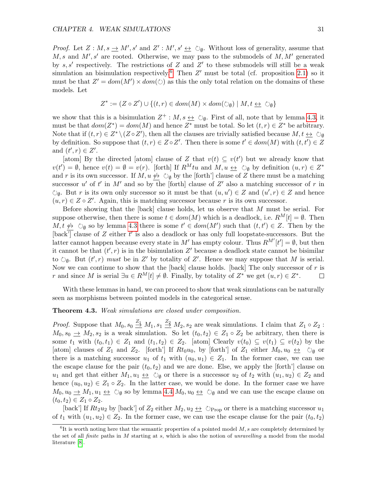*Proof.* Let  $Z : M, s \to M', s'$  and  $Z' : M', s' \to \mathcal{O}_{\emptyset}$ . Without loss of generality, assume that  $M, s$  and  $M', s'$  are rooted. Otherwise, we may pass to the submodels of  $M, M'$  generated by  $s, s'$  respectively. The restrictions of Z and Z' to these submodels will still be a weak simulation an bisimulation respectively.<sup>[6](#page-31-0)</sup> Then  $Z'$  must be total (cf. proposition [2.1\)](#page-8-0) so it must be that  $Z' = dom(M') \times dom(\circlearrowright)$  as this the only total relation on the domains of these models. Let

$$
Z^* := (Z \circ Z') \cup \{(t, r) \in dom(M) \times dom(\circlearrowright_{\emptyset}) \mid M, t \leq \circlearrowright_{\emptyset}\}
$$

we show that this is a bisimulation  $Z^+ : M, s \leftrightarrow \circlearrowright_{\emptyset}$ . First of all, note that by lemma [4.3,](#page-30-2) it must be that  $dom(Z^*) = dom(M)$  and hence  $Z^*$  must be total. So let  $(t, r) \in Z^*$  be arbitrary. Note that if  $(t, r) \in Z^* \setminus (Z \circ Z')$ , then all the clauses are trivially satisfied because  $M, t \leftrightarrow \circ \circ \phi$ by definition. So suppose that  $(t, r) \in Z \circ Z'$ . Then there is some  $t' \in dom(M)$  with  $(t, t') \in Z$ and  $(t', r) \in Z'$ .

[atom] By the directed [atom] clause of Z that  $v(t) \subseteq v(t')$  but we already know that  $v(t') = \emptyset$ , hence  $v(t) = \emptyset = v(r)$ . [forth] If  $R^M t u$  and  $M, u \leftrightarrow \circlearrowright_{\emptyset}$  by definition  $(u, r) \in Z^*$ and r is its own successor. If  $M, u \nleftrightarrow \Diamond_{\emptyset}$  by the [forth'] clause of Z there must be a matching successor u' of t' in M' and so by the [forth] clause of Z' also a matching successor of r in  $\circlearrowright_{\emptyset}$ . But r is its own only successor so it must be that  $(u, u') \in Z$  and  $(u', r) \in Z$  and hence  $(u, r) \in Z \circ Z'$ . Again, this is matching successor because r is its own successor.

Before showing that the [back] clause holds, let us observe that M must be serial. For suppose otherwise, then there is some  $t \in dom(M)$  which is a deadlock, i.e.  $R^M[t] = \emptyset$ . Then  $M, t \nleftrightarrow \circledcirc_{\emptyset}$  so by lemma [4.3](#page-30-2) there is some  $t' \in dom(M')$  such that  $(t, t') \in Z$ . Then by the  $[\text{back}^{\prime}]$  clause of Z either t' is also a deadlock or has only full loopstate-successors. But the latter cannot happen because every state in M' has empty colour. Thus  $R^{M'}[t'] = \emptyset$ , but then it cannot be that  $(t', r)$  is in the bisimulation Z' because a deadlock state cannot be bisimilar to  $\circlearrowright_{\emptyset}$ . But  $(t', r)$  must be in Z' by totality of Z'. Hence we may suppose that M is serial. Now we can continue to show that the [back] clause holds. [back] The only successor of  $r$  is r and since M is serial  $\exists u \in R^M[t] \neq \emptyset$ . Finally, by totality of  $Z^*$  we get  $(u, r) \in Z^*$ . □

With these lemmas in hand, we can proceed to show that weak simulations can be naturally seen as morphisms between pointed models in the categorical sense.

## Theorem 4.3. Weak simulations are closed under composition.

*Proof.* Suppose that  $M_0$ ,  $s_0 \stackrel{Z_1}{\to} M_1$ ,  $s_1 \stackrel{Z_2}{\to} M_2$ ,  $s_2$  are weak simulations. I claim that  $Z_1 \circ Z_2$ :  $M_0, s_0 \rightarrow M_2, s_2$  is a weak simulation. So let  $(t_0, t_2) \in Z_1 \circ Z_2$  be arbitrary, then there is some  $t_1$  with  $(t_0, t_1) \in Z_1$  and  $(t_1, t_2) \in Z_2$ . [atom] Clearly  $v(t_0) \subseteq v(t_1) \subseteq v(t_2)$  by the [atom] clauses of  $Z_1$  and  $Z_2$ . [forth'] If  $Rt_0u_0$ , by [forth'] of  $Z_1$  either  $M_0, u_0 \leftrightarrow \circ \circ$  or there is a matching successor  $u_1$  of  $t_1$  with  $(u_0, u_1) \in Z_1$ . In the former case, we can use the escape clause for the pair  $(t_0, t_2)$  and we are done. Else, we apply the [forth'] clause on u<sub>1</sub> and get that either  $M_1, u_1 \leftrightarrow \circlearrowright_{\emptyset}$  or there is a successor u<sub>2</sub> of  $t_2$  with  $(u_1, u_2) \in Z_2$  and hence  $(u_0, u_2) \in Z_1 \circ Z_2$ . In the latter case, we would be done. In the former case we have  $M_0, u_0 \to M_1, u_1 \to \circlearrowright_{\emptyset}$  so by lemma [4.4](#page-30-3)  $M_0, u_0 \to \circlearrowright_{\emptyset}$  and we can use the escape clause on  $(t_0, t_2) \in Z_1 \circ Z_2$ .

[back'] If  $Rt_2u_2$  by [back'] of  $Z_2$  either  $M_2, u_2 \leftrightarrow \circlearrowright P_{\text{rop}}$  or there is a matching successor  $u_1$ of  $t_1$  with  $(u_1, u_2) \in Z_2$ . In the former case, we can use the escape clause for the pair  $(t_0, t_2)$ 

<span id="page-31-0"></span> ${}^{6}$ It is worth noting here that the semantic properties of a pointed model M, s are completely determined by the set of all *finite* paths in M starting at s, which is also the notion of *unravelling* a model from the modal literature [\[8\]](#page-53-3).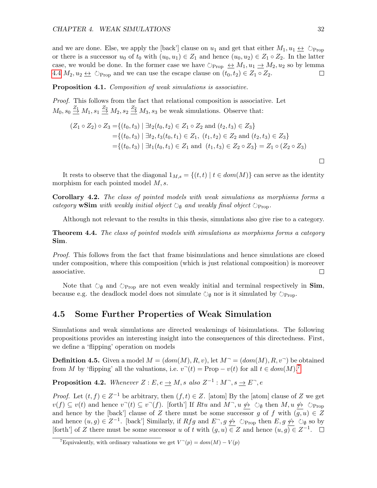and we are done. Else, we apply the [back'] clause on  $u_1$  and get that either  $M_1, u_1 \leftrightarrow \circlearrowright_{\text{Proo}}$ or there is a successor  $u_0$  of  $t_0$  with  $(u_0, u_1) \in Z_1$  and hence  $(u_0, u_2) \in Z_1 \circ Z_2$ . In the latter case, we would be done. In the former case we have  $\Diamond_{\text{Prop}} \leftrightarrow M_1, u_1 \to M_2, u_2$  so by lemma [4.4](#page-30-3)  $M_2, u_2 \leftrightarrow \circlearrowright$  and we can use the escape clause on  $(t_0, t_2) \in Z_1 \circ Z_2$ .  $\Box$ 

Proposition 4.1. Composition of weak simulations is associative.

Proof. This follows from the fact that relational composition is associative. Let  $M_0$ ,  $s_0 \stackrel{Z_1}{\rightarrow} M_1$ ,  $s_1 \stackrel{Z_2}{\rightarrow} M_2$ ,  $s_2 \stackrel{Z_2}{\rightarrow} M_3$ ,  $s_3$  be weak simulations. Observe that:

$$
(Z_1 \circ Z_2) \circ Z_3 = \{(t_0, t_3) \mid \exists t_2(t_0, t_2) \in Z_1 \circ Z_2 \text{ and } (t_2, t_3) \in Z_3\}
$$
  
= 
$$
\{(t_0, t_3) \mid \exists t_2, t_3(t_0, t_1) \in Z_1, (t_1, t_2) \in Z_2 \text{ and } (t_2, t_3) \in Z_3\}
$$
  
= 
$$
\{(t_0, t_3) \mid \exists t_1(t_0, t_1) \in Z_1 \text{ and } (t_1, t_3) \in Z_2 \circ Z_3\} = Z_1 \circ (Z_2 \circ Z_3)
$$

It rests to observe that the diagonal  $1_{M,s} = \{(t,t) | t \in dom(M)\}\)$  can serve as the identity morphism for each pointed model  $M, s$ .

Corollary 4.2. The class of pointed models with weak simulations as morphisms forms a category wSim with weakly initial object  $\circlearrowright_{\mathfrak{g}}$  and weakly final object  $\circlearrowright_{\text{Prop}}$ .

Although not relevant to the results in this thesis, simulations also give rise to a category.

Theorem 4.4. The class of pointed models with simulations as morphisms forms a category Sim.

Proof. This follows from the fact that frame bisimulations and hence simulations are closed under composition, where this composition (which is just relational composition) is moreover associative.  $\Box$ 

Note that  $\circlearrowright_{\emptyset}$  and  $\circlearrowright_{\text{Prop}}$  are not even weakly initial and terminal respectively in **Sim**, because e.g. the deadlock model does not simulate  $\circ$ <sub>0</sub> nor is it simulated by  $\circlearrowright_{\text{Prop}}$ .

## <span id="page-32-0"></span>4.5 Some Further Properties of Weak Simulation

Simulations and weak simulations are directed weakenings of bisimulations. The following propositions provides an interesting insight into the consequences of this directedness. First, we define a 'flipping' operation on models

**Definition 4.5.** Given a model  $M = (dom(M), R, v)$ , let  $M^- = (dom(M), R, v^-)$  be obtained from M by 'flipping' all the valuations, i.e.  $v^-(t) = \text{Prop} - v(t)$  for all  $t \in dom(M)$ .<sup>[7](#page-32-1)</sup>

<span id="page-32-2"></span>**Proposition 4.2.** Whenever  $Z : E, e \rightarrow M$ , s also  $Z^{-1} : M^{-}$ , s  $\rightarrow E^{-}$ , e

*Proof.* Let  $(t, f) \in Z^{-1}$  be arbitrary, then  $(f, t) \in Z$ . [atom] By the [atom] clause of Z we get  $v(f) \subseteq v(t)$  and hence  $v^-(t) \subseteq v^-(f)$ . [forth'] If Rtu and  $M^-$ ,  $u \nleftrightarrow \circ$   $\circ$  then  $M$ ,  $u \nleftrightarrow \circ$   $\circ$   $\circ$   $\circ$ and hence by the [back'] clause of Z there must be some successor g of f with  $(g, u) \in Z$ and hence  $(u, g) \in Z^{-1}$ . [back'] Similarly, if  $Rfg$  and  $E^{\neg}, g \nleftrightarrow \heartsuit$   $\Diamond_{\text{Prop}}$  then  $E, g \nleftrightarrow \heartsuit_{\emptyset}$  so by [forth'] of Z there must be some successor u of t with  $(g, u) \in Z$  and hence  $(u, g) \in Z^{-1}$ .

 $\Box$ 

<span id="page-32-1"></span><sup>&</sup>lt;sup>7</sup>Equivalently, with ordinary valuations we get  $V^{\dagger}(p) = dom(M) - V(p)$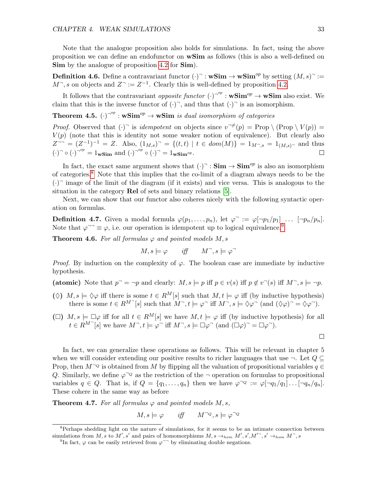Note that the analogue proposition also holds for simulations. In fact, using the above proposition we can define an endofunctor on wSim as follows (this is also a well-defined on Sim by the analogue of proposition [4.2](#page-32-2) for Sim.

**Definition 4.6.** Define a contravariant functor  $(\cdot)^{\top}$ :  $\mathbf{wSim} \to \mathbf{wSim}^{op}$  by setting  $(M, s)^{\top}$ :=  $M^{\neg}$ , s on objects and  $Z^{\neg} := Z^{-1}$ . Clearly this is well-defined by proposition [4.2.](#page-32-2)

It follows that the contravariant *opposite functor*  $(\cdot)^{-op}$  :  $\mathbf{wSim}^{op} \to \mathbf{wSim}$  also exist. We claim that this is the inverse functor of  $(\cdot)$ <sup>-</sup>, and thus that  $(\cdot)$ <sup>-</sup> is an isomorphism.

**Theorem 4.5.**  $(\cdot)^{-op}$  :  $\mathbf{wSim}^{op} \to \mathbf{wSim}$  is dual isomorphism of categories

*Proof.* Observed that  $(\cdot)^{\neg}$  is *idempotent* on objects since  $v^{\neg \neq}(p) = \text{Prop} \setminus (\text{Prop} \setminus V(p)) =$  $V(p)$  (note that this is identity not some weaker notion of equivalence). But clearly also  $Z^{--} = (Z^{-1})^{-1} = Z$ . Also,  $(1_{M,s})^{-} = \{(t,t) | t \in dom(M)\} = 1_{M^{-},s} = 1_{(M,s)^{-}}$  and thus  $(\cdot)$ <sup>-op</sup> = 1<sub>wSim</sub> and  $(\cdot)$ <sup>-op</sup>  $\circ (\cdot)$ <sup>-</sup> = 1<sub>wSim</sub><sub>op</sub>.

In fact, the exact same argument shows that  $(\cdot)^{\neg} : \mathbf{Sim} \to \mathbf{Sim}^{op}$  is also an isomorphism of categories.[8](#page-33-0) Note that this implies that the co-limit of a diagram always needs to be the  $(\cdot)$ <sup>-</sup> image of the limit of the diagram (if it exists) and vice versa. This is analogous to the situation in the category Rel of sets and binary relations [\[5\]](#page-53-8).

Next, we can show that our functor also coheres nicely with the following syntactic operation on formulas.

**Definition 4.7.** Given a modal formula  $\varphi(p_1,\ldots,p_n)$ , let  $\varphi^- := \varphi[\neg p_1/p_1] \ldots [\neg p_n/p_n].$ Note that  $\varphi^{-1} \equiv \varphi$ , i.e. our operation is idempotent up to logical equivalence.<sup>[9](#page-33-1)</sup>

<span id="page-33-2"></span>**Theorem 4.6.** For all formulas  $\varphi$  and pointed models M, s

$$
M, s \models \varphi \qquad \text{iff} \qquad M^{\neg}, s \models \varphi^{\neg}
$$

*Proof.* By induction on the complexity of  $\varphi$ . The boolean case are immediate by inductive hypothesis.

(atomic) Note that  $p^- = \neg p$  and clearly:  $M, s \models p$  iff  $p \in v(s)$  iff  $p \notin v^{\neg}(s)$  iff  $M^{\neg}, s \models \neg p$ .

- ( $\Diamond$ )  $M, s \models \Diamond \varphi$  iff there is some  $t \in R^M[s]$  such that  $M, t \models \varphi$  iff (by inductive hypothesis) there is some  $t \in R^{M^-}[s]$  such that  $M^-$ ,  $t \models \varphi^-$  iff  $M^-$ ,  $s \models \Diamond \varphi^-$  (and  $(\Diamond \varphi)^- = \Diamond \varphi^-$ ).
- ( $\square$ )  $M, s \models \square \varphi$  iff for all  $t \in R^M[s]$  we have  $M, t \models \varphi$  iff (by inductive hypothesis) for all  $t \in R^{M}$  [s] we have  $M^{-}$ ,  $t \models \varphi^{-}$  iff  $M^{-}$ ,  $s \models \Box \varphi^{-}$  (and  $(\Box \varphi)^{-} = \Box \varphi^{-}$ ).

 $\Box$ 

In fact, we can generalize these operations as follows. This will be relevant in chapter 5 when we will consider extending our positive results to richer languages that use  $\neg$ . Let  $Q \subseteq$ Prop, then  $M^{\neg Q}$  is obtained from M by flipping all the valuation of propositional variables  $q \in$ Q. Similarly, we define  $\varphi^{\neg Q}$  as the restriction of the  $\neg$  operation on formulas to propositional variables  $q \in Q$ . That is, if  $Q = \{q_1, \ldots, q_n\}$  then we have  $\varphi^{\neg Q} := \varphi[\neg q_1/q_1] \ldots [\neg q_n/q_n].$ These cohere in the same way as before

<span id="page-33-3"></span>**Theorem 4.7.** For all formulas  $\varphi$  and pointed models  $M, s$ ,

$$
M, s \models \varphi \qquad \text{iff} \qquad M^{\neg Q}, s \models \varphi^{\neg Q}
$$

<span id="page-33-0"></span><sup>&</sup>lt;sup>8</sup>Perhaps shedding light on the nature of simulations, for it seems to be an intimate connection between simulations from M, s to M', s' and pairs of homomorphisms  $M$ ,  $s \rightarrow_{hom} M'$ ,  $s'$ ,  $M'^{\dagger}$ ,  $s' \rightarrow_{hom} M^{\dagger}$ , s

<span id="page-33-1"></span><sup>&</sup>lt;sup>9</sup>In fact,  $\varphi$  can be easily retrieved from  $\varphi$ <sup>--</sup> by eliminating double negations.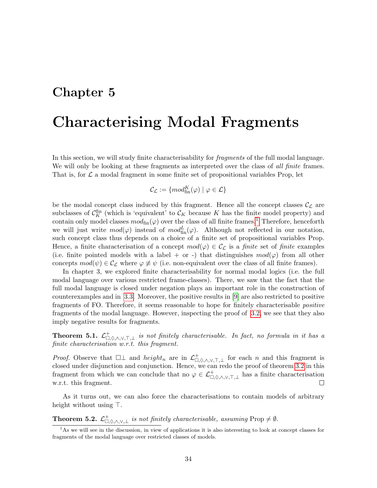## <span id="page-34-0"></span>Chapter 5

# Characterising Modal Fragments

In this section, we will study finite characterisability for *fragments* of the full modal language. We will only be looking at these fragments as interpreted over the class of all finite frames. That is, for  $\mathcal L$  a modal fragment in some finite set of propositional variables Prop, let

$$
\mathcal{C}_{\mathcal{L}} := \{ mod^K_{\text{fin}}(\varphi) \mid \varphi \in \mathcal{L} \}
$$

be the modal concept class induced by this fragment. Hence all the concept classes  $\mathcal{C}_{\mathcal{L}}$  are subclasses of  $\mathcal{C}_K^{\text{fin}}$  (which is 'equivalent' to  $\mathcal{C}_K$  because K has the finite model property) and contain only model classes  $mod_{fin}(\varphi)$  over the class of all finite frames.<sup>[1](#page-34-1)</sup> Therefore, henceforth we will just write  $mod(\varphi)$  instead of  $mod_{fin}^L(\varphi)$ . Although not reflected in our notation, such concept class thus depends on a choice of a finite set of propositional variables Prop. Hence, a finite characterisation of a concept  $mod(\varphi) \in C_{\mathcal{L}}$  is a *finite* set of *finite* examples (i.e. finite pointed models with a label + or -) that distinguishes  $mod(\varphi)$  from all other concepts  $mod(\psi) \in C_{\mathcal{L}}$  where  $\varphi \neq \psi$  (i.e. non-equivalent over the class of all finite frames).

In chapter 3, we explored finite characterisability for normal modal logics (i.e. the full modal language over various restricted frame-classes). There, we saw that the fact that the full modal language is closed under negation plays an important role in the construction of counterexamples and in [3.3.](#page-25-0) Moreover, the positive results in [\[9\]](#page-53-1) are also restricted to positive fragments of FO. Therefore, it seems reasonable to hope for finitely characterisable positive fragments of the modal language. However, inspecting the proof of [3.2,](#page-23-3) we see that they also imply negative results for fragments.

**Theorem 5.1.**  $\mathcal{L}^+_{\Box,\Diamond,\wedge,\vee,\top,\bot}$  is not finitely characterisable. In fact, no formula in it has a finite characterisation w.r.t. this fragment.

*Proof.* Observe that  $\Box \bot$  and  $height_n$  are in  $\mathcal{L}^+_{\Box,\Diamond,\wedge,\vee,\top,\bot}$  for each n and this fragment is closed under disjunction and conjunction. Hence, we can redo the proof of theorem [3.2](#page-23-3) in this fragment from which we can conclude that no  $\varphi \in \mathcal{L}^+_{\Box,\Diamond,\wedge,\vee,\top,\bot}$  has a finite characterisation w.r.t. this fragment.  $\Box$ 

As it turns out, we can also force the characterisations to contain models of arbitrary height without using ⊤.

**Theorem 5.2.**  $\mathcal{L}^+_{\Box,\Diamond,\wedge,\vee,\perp}$  is not finitely characterisable, assuming Prop  $\neq \emptyset$ .

<span id="page-34-1"></span><sup>&</sup>lt;sup>1</sup>As we will see in the discussion, in view of applications it is also interesting to look at concept classes for fragments of the modal language over restricted classes of models.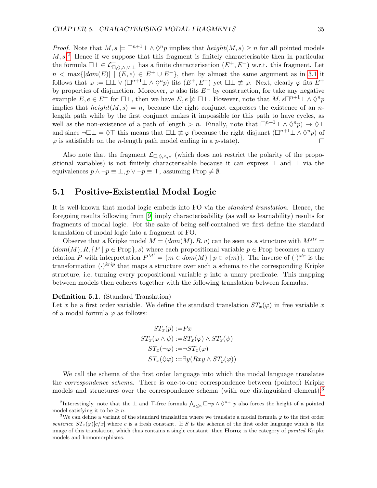*Proof.* Note that  $M, s \models \Box^{n+1} \bot \land \Diamond^n p$  implies that  $height(M, s) \geq n$  for all pointed models  $M, s<sup>2</sup>$  $M, s<sup>2</sup>$  $M, s<sup>2</sup>$  Hence if we suppose that this fragment is finitely characterisable then in particular the formula  $\Box \bot \in \mathcal{L}^+_{\Box,\Diamond,\wedge,\vee,\bot}$  has a finite characterisation  $(E^+,E^-)$  w.r.t. this fragment. Let  $n < \max\{|dom(E)| \mid (E, e) \in E^+ \cup E^-\}$ , then by almost the same argument as in [3.1](#page-23-4) it follows that  $\varphi := \Box \bot \vee (\Box^{n+1} \bot \wedge \Diamond^n p)$  fits  $(E^+, E^-)$  yet  $\Box \bot \neq \varphi$ . Next, clearly  $\varphi$  fits  $E^+$ by properties of disjunction. Moreover,  $\varphi$  also fits  $E^-$  by construction, for take any negative example  $E, e \in E^-$  for  $\Box \bot$ , then we have  $E, e \not\models \Box \bot$ . However, note that  $M, s\Box^{n+1}\bot \wedge \Diamond^n p$ implies that  $height(M, s) = n$ , because the right conjunct expresses the existence of an nlength path while by the first conjunct makes it impossible for this path to have cycles, as well as the non-existence of a path of length > n. Finally, note that  $\Box^{n+1} \bot \wedge \Diamond^n p$   $\rightarrow \Diamond \top$ and since  $\neg \Box \bot = \Diamond \top$  this means that  $\Box \bot \neq \varphi$  (because the right disjunct  $(\Box^{n+1} \bot \land \Diamond^n p)$  of  $\varphi$  is satisfiable on the *n*-length path model ending in a *p*-state).  $\Box$ 

Also note that the fragment  $\mathcal{L}_{\Box,\Diamond,\wedge,\vee}$  (which does not restrict the polarity of the propositional variables) is not finitely characterisable because it can express ⊤ and ⊥ via the equivalences  $p \wedge \neg p \equiv \bot, p \vee \neg p \equiv \top$ , assuming Prop  $\neq \emptyset$ .

## <span id="page-35-0"></span>5.1 Positive-Existential Modal Logic

It is well-known that modal logic embeds into FO via the standard translation. Hence, the foregoing results following from [\[9\]](#page-53-1) imply characterisability (as well as learnability) results for fragments of modal logic. For the sake of being self-contained we first define the standard translation of modal logic into a fragment of FO.

Observe that a Kripke model  $M = (dom(M), R, v)$  can be seen as a structure with  $M^{str} =$  $(dom(M), R, {P | p \in Prop}, s)$  where each propositional variable  $p \in Prop$  becomes a unary relation P with interpretation  $P^{M'} = \{m \in dom(M) \mid p \in v(m)\}\$ . The inverse of  $(\cdot)^{str}$  is the transformation  $(\cdot)^{krip}$  that maps a structure over such a schema to the corresponding Kripke structure, i.e. turning every propositional variable  $p$  into a unary predicate. This mapping between models then coheres together with the following translation between formulas.

#### Definition 5.1. (Standard Translation)

Let x be a first order variable. We define the standard translation  $ST_x(\varphi)$  in free variable x of a modal formula  $\varphi$  as follows:

$$
ST_x(p) := Px
$$
  
\n
$$
ST_x(\varphi \land \psi) := ST_x(\varphi) \land ST_x(\psi)
$$
  
\n
$$
ST_x(\neg \varphi) := \neg ST_x(\varphi)
$$
  
\n
$$
ST_x(\Diamond \varphi) := \exists y(Rxy \land ST_y(\varphi))
$$

We call the schema of the first order language into which the modal language translates the correspondence schema. There is one-to-one correspondence between (pointed) Kripke models and structures over the correspondence schema (with one distinguished element).<sup>[3](#page-35-2)</sup>

<span id="page-35-1"></span><sup>&</sup>lt;sup>2</sup>Interestingly, note that the  $\perp$  and  $\top$ -free formula  $\bigwedge_{i\leq n}\Box\neg p\wedge\Diamond^{n+1}p$  also forces the height of a pointed model satisfying it to be  $\geq n$ .

<span id="page-35-2"></span><sup>&</sup>lt;sup>3</sup>We can define a variant of the standard translation where we translate a modal formula  $\varphi$  to the first order sentence  $ST_x(\varphi)[c/x]$  where c is a fresh constant. If S is the schema of the first order language which is the image of this translation, which thus contains a single constant, then  $\bf{Hom}_{S}$  is the category of *pointed* Kripke models and homomorphisms.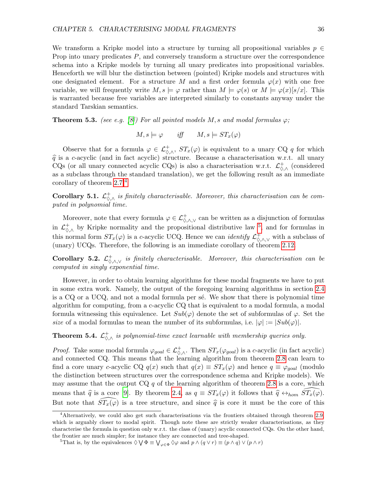We transform a Kripke model into a structure by turning all propositional variables  $p \in \mathbb{R}$ Prop into unary predicates  $P$ , and conversely transform a structure over the correspondence schema into a Kripke models by turning all unary predicates into propositional variables. Henceforth we will blur the distinction between (pointed) Kripke models and structures with one designated element. For a structure M and a first order formula  $\varphi(x)$  with one free variable, we will frequently write  $M, s \models \varphi$  rather than  $M \models \varphi(s)$  or  $M \models \varphi(x)[s/x]$ . This is warranted because free variables are interpreted similarly to constants anyway under the standard Tarskian semantics.

**Theorem 5.3.** (see e.g. [\[8\]](#page-53-3)) For all pointed models M, s and modal formulas  $\varphi$ ;

$$
M, s \models \varphi \qquad \text{iff} \qquad M, s \models ST_x(\varphi)
$$

Observe that for a formula  $\varphi \in \mathcal{L}^+_{\Diamond, \land}$ ,  $ST_x(\varphi)$  is equivalent to a unary CQ q for which  $\hat{q}$  is a c-acyclic (and in fact acyclic) structure. Because a characterisation w.r.t. all unary CQs (or all unary connected acyclic CQs) is also a characterisation w.r.t.  $\mathcal{L}^+_{\Diamond,\wedge}$  (considered as a subclass through the standard translation), we get the following result as an immediate corollary of theorem [2.7.](#page-17-5)[4](#page-36-0)

**Corollary 5.1.**  $\mathcal{L}^+_{\Diamond, \wedge}$  is finitely characterisable. Moreover, this characterisation can be computed in polynomial time.

Moreover, note that every formula  $\varphi \in \mathcal{L}^+_{\Diamond,\wedge,\vee}$  can be written as a disjunction of formulas in  $\mathcal{L}^+_{\Diamond,\wedge}$  by Kripke normality and the propositional distributive law <sup>[5](#page-36-1)</sup>, and for formulas in this normal form  $ST_x(\varphi)$  is a c-acyclic UCQ. Hence we can *identify*  $\mathcal{L}^+_{\Diamond,\wedge,\vee}$  with a subclass of (unary) UCQs. Therefore, the following is an immediate corollary of theorem [2.12.](#page-19-1)

<span id="page-36-2"></span>**Corollary 5.2.**  $\mathcal{L}^+_{\Diamond,\wedge,\vee}$  is finitely characterisable. Moreover, this characterisation can be computed in singly exponential time.

However, in order to obtain learning algorithms for these modal fragments we have to put in some extra work. Namely, the output of the foregoing learning algorithms in section [2.4](#page-15-0) is a  $CQ$  or a UCQ, and not a modal formula per se. We show that there is polynomial time algorithm for computing, from a c-acyclic CQ that is equivalent to a modal formula, a modal formula witnessing this equivalence. Let  $Sub(\varphi)$  denote the set of subformulas of  $\varphi$ . Set the size of a modal formulas to mean the number of its subformulas, i.e.  $|\varphi| := |Sub(\varphi)|$ .

**Theorem 5.4.**  $\mathcal{L}^+_{\Diamond, \wedge}$  is polynomial-time exact learnable with membership queries only.

*Proof.* Take some modal formula  $\varphi_{goal} \in \mathcal{L}^+_{\Diamond, \wedge}$ . Then  $ST_x(\varphi_{goal})$  is a c-acyclic (in fact acyclic) and connected CQ. This means that the learning algorithm from theorem [2.8](#page-17-6) can learn to find a core unary c-acyclic CQ  $q(x)$  such that  $q(x) \equiv ST_x(\varphi)$  and hence  $q \equiv \varphi_{goal}$  (modulo the distinction between structures over the correspondence schema and Kripke models). We may assume that the output  $CQ q$  of the learning algorithm of theorem [2.8](#page-17-6) is a core, which means that  $\hat{q}$  is a core [\[9\]](#page-53-1). By theorem [2.4,](#page-16-3) as  $q \equiv ST_x(\varphi)$  it follows that  $\hat{q} \leftrightarrow_{hom} \widehat{ST}_x(\overline{\varphi})$ . But note that  $ST_x(\varphi)$  is a tree structure, and since  $\hat{q}$  is core it must be the core of this

<span id="page-36-0"></span><sup>4</sup>Alternatively, we could also get such characterisations via the frontiers obtained through theorem [2.9,](#page-18-2) which is arguably closer to modal spirit. Though note these are strictly weaker characterisations, as they characterise the formula in question only w.r.t. the class of (unary) acyclic connected CQs. On the other hand, the frontier are much simpler; for instance they are connected and tree-shaped.

<span id="page-36-1"></span><sup>&</sup>lt;sup>5</sup>That is, by the equivalences  $\Diamond \bigvee \Phi \equiv \bigvee_{\varphi \in \Phi} \Diamond \varphi$  and  $p \land (q \lor r) \equiv (p \land q) \lor (p \land r)$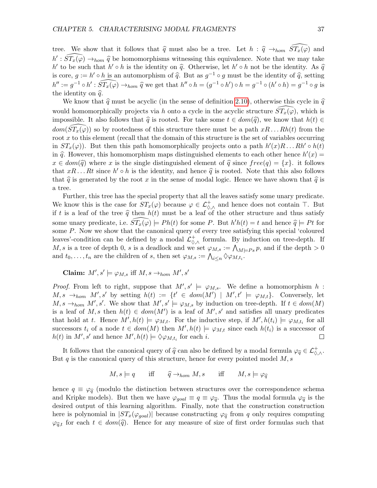tree. We show that it follows that  $\hat{q}$  must also be a tree. Let  $h : \hat{q} \to_{hom} ST_x(\varphi)$  and  $h' : \widehat{ST_x(\varphi)} \to_{hom} \widehat{q}$  be homomorphisms witnessing this equivalence. Note that we may take h' to be such that  $h' \circ h$  is the identity on  $\hat{q}$ . Otherwise, let  $h' \circ h$  not be the identity. As  $\hat{q}$  is an automorphism of  $\hat{q}$ . But as  $q^{-1} \circ q$  must be the identity of  $\hat{q}$  setting is core,  $g := h' \circ h$  is an automorphism of  $\hat{q}$ . But as  $g^{-1} \circ g$  must be the identity of  $\hat{q}$ , setting  $h'' := g^{-1} \circ h' : \widehat{ST_x(\varphi)} \to_{hom} \widehat{q}$  we get that  $h'' \circ h = (g^{-1} \circ h') \circ h = g^{-1} \circ (h' \circ h) = g^{-1} \circ g$  is<br>the identity on  $\widehat{\mathcal{R}}$ the identity on  $\hat{q}$ .

We know that  $\hat{q}$  must be acyclic (in the sense of definition [2.10\)](#page-7-4), otherwise this cycle in  $\hat{q}$ would homomorphically projects via h onto a cycle in the acyclic structure  $ST_x(\varphi)$ , which is impossible. It also follows that  $\hat{q}$  is rooted. For take some  $t \in dom(\hat{q})$ , we know that  $h(t) \in$  $dom(ST_x(\varphi))$  so by rootedness of this structure there must be a path  $xR \dots Rh(t)$  from the root  $x$  to this element (recall that the domain of this structure is the set of variables occurring in  $ST_x(\varphi)$ . But then this path homomorphically projects onto a path  $h'(x)R \dots Rh' \circ h(t)$ in  $\hat{q}$ . However, this homomorphism maps distinguished elements to each other hence  $h'(x) =$ <br> $x \in dom(\hat{x})$  where x is the single distinguished element of  $\hat{x}$  singe  $f_{n}(q) = [x]$ , it follows  $x \in dom(\widehat{q})$  where x is the single distinguished element of  $\widehat{q}$  since  $free(q) = \{x\}$ . it follows that  $xR \dots Rt$  since  $h' \circ h$  is the identity, and hence  $\hat{q}$  is rooted. Note that this also follows that  $\hat{q}$  is roomanted by the root  $x$  in the conse of model logic. Hence we have shown that  $\hat{q}$  is that  $\hat{q}$  is generated by the root x in the sense of modal logic. Hence we have shown that  $\hat{q}$  is a tree.

Further, this tree has the special property that all the leaves satisfy some unary predicate. We know this is the case for  $ST_x(\varphi)$  because  $\varphi \in \mathcal{L}^+_{\Diamond,\wedge}$  and hence does not contain  $\top$ . But if t is a leaf of the tree  $\hat{q}$  then  $h(t)$  must be a leaf of the other structure and thus satisfy some unary predicate, i.e.  $\widehat{ST_x(\varphi)} \models Ph(t)$  for some P. But  $h'h(t) = t$  and hence  $\widehat{q} \models Pt$  for some P. Now we show that the canonical query of every tree satisfying this special 'coloured leaves'-condition can be defined by a modal  $\mathcal{L}^+_{\Diamond,\wedge}$  formula. By induction on tree-depth. If M, s is a tree of depth 0, s is a deadlock and we set  $\varphi_{M,s} := \bigwedge_{M \models Ps} p$ , and if the depth  $> 0$ and  $t_0, \ldots, t_n$  are the children of s, then set  $\varphi_{M,s} := \bigwedge_{i \leq n} \Diamond \varphi_{M,t_i}$ .

Claim:  $M', s' \models \varphi_{M, s}$  iff  $M, s \rightarrow_{hom} M', s'$ 

*Proof.* From left to right, suppose that  $M', s' \models \varphi_{M,s}$ . We define a homomorphism h:  $M, s \rightarrow_{hom} M', s'$  by setting  $h(t) := \{t' \in dom(M') \mid M', t' \models \varphi_{M,t}\}.$  Conversely, let  $M, s \rightarrow_{hom} M', s'.$  We show that  $M', s' \models \varphi_{M, s}$  by induction on tree-depth. If  $t \in dom(M)$ is a leaf of M, s then  $h(t) \in dom(M')$  is a leaf of  $M'$ , s' and satisfies all unary predicates that hold at t. Hence  $M', h(t) \models \varphi_{M,t}$ . For the inductive step, if  $M', h(t_i) \models \varphi_{M,t_i}$  for all successors  $t_i$  of a node  $t \in dom(M)$  then  $M', h(t) \models \varphi_{M,t}$  since each  $h(t_i)$  is a successor of  $h(t)$  in  $M', s'$  and hence  $M', h(t) \models \Diamond \varphi_{M,t_i}$  for each i.  $\Box$ 

It follows that the canonical query of  $\hat{q}$  can also be defined by a modal formula  $\varphi_{\hat{q}} \in \mathcal{L}^+_{\Diamond, \wedge}$ . But q is the canonical query of this structure, hence for every pointed model  $M$ , s

$$
M, s \models q
$$
 iff  $\widehat{q} \rightarrow_{hom} M, s$  iff  $M, s \models \varphi_{\widehat{q}}$ 

hence  $q \equiv \varphi_{\hat{q}}$  (modulo the distinction between structures over the correspondence schema and Kripke models). But then we have  $\varphi_{goal} \equiv q \equiv \varphi_{\hat{q}}$ . Thus the modal formula  $\varphi_{\hat{q}}$  is the desired output of this learning algorithm. Finally, note that the construction construction here is polynomial in  $|ST_x(\varphi_{goal})|$  because constructing  $\varphi_{\widehat{q}}$  from q only requires computing  $\varphi_{\hat{q},t}$  for each  $t \in dom(\hat{q})$ . Hence for any measure of size of first order formulas such that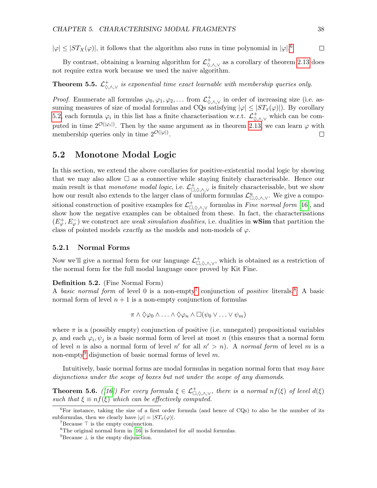$|\varphi| \leq |ST_X(\varphi)|$ , it follows that the algorithm also runs in time polynomial in  $|\varphi|$ .<sup>[6](#page-38-2)</sup>

By contrast, obtaining a learning algorithm for  $\mathcal{L}^+_{\Diamond,\wedge,\vee}$  as a corollary of theorem [2.13](#page-20-1) does not require extra work because we used the naive algorithm.

## **Theorem 5.5.**  $\mathcal{L}^+_{\Diamond,\wedge,\vee}$  is exponential time exact learnable with membership queries only.

*Proof.* Enumerate all formulas  $\varphi_0, \varphi_1, \varphi_2, \ldots$  from  $\mathcal{L}^+_{\Diamond, \land, \lor}$  in order of increasing size (i.e. assuming measures of size of modal formulas and CQs satisfying  $|\varphi| \leq |ST_x(\varphi)|$ . By corollary [5.2,](#page-36-2) each formula  $\varphi_i$  in this list has a finite characterisation w.r.t.  $\mathcal{L}^+_{\Diamond,\wedge,\vee}$  which can be computed in time  $2^{\mathcal{O}(|\varphi_i|)}$ . Then by the same argument as in theorem [2.13,](#page-20-1) we can learn  $\varphi$  with membership queries only in time  $2^{\mathcal{O}(|\varphi|)}$ .  $\Box$ 

## <span id="page-38-0"></span>5.2 Monotone Modal Logic

In this section, we extend the above corollaries for positive-existential modal logic by showing that we may also allow  $\square$  as a connective while staying finitely characterisable. Hence our main result is that monotone modal logic, i.e.  $\mathcal{L}^+_{\Box,\Diamond,\wedge,\vee}$  is finitely characterisable, but we show how our result also extends to the larger class of uniform formulas  $\mathcal{L}^u_{\Box,\Diamond,\wedge,\vee}$ . We give a compositional construction of positive examples for  $\mathcal{L}^+_{\Box,\Diamond,\wedge,\vee}$  formulas in Fine normal form [\[16\]](#page-54-14), and show how the negative examples can be obtained from these. In fact, the characterisations  $(E^+_{\varphi}, E^-_{\varphi})$  we construct are *weak simulation dualities*, i.e. dualities in **wSim** that partition the class of pointed models exactly as the models and non-models of  $\varphi$ .

## <span id="page-38-1"></span>5.2.1 Normal Forms

Now we'll give a normal form for our language  $\mathcal{L}^+_{\Box,\Diamond,\wedge,\vee}$ , which is obtained as a restriction of the normal form for the full modal language once proved by Kit Fine.

### Definition 5.2. (Fine Normal Form)

A basic normal form of level 0 is a non-empty<sup>[7](#page-38-3)</sup> conjunction of positive literals.<sup>[8](#page-38-4)</sup> A basic normal form of level  $n + 1$  is a non-empty conjunction of formulas

$$
\pi \wedge \Diamond \varphi_0 \wedge \ldots \wedge \Diamond \varphi_n \wedge \Box(\psi_0 \vee \ldots \vee \psi_m)
$$

where  $\pi$  is a (possibly empty) conjunction of positive (i.e. unnegated) propositional variables p, and each  $\varphi_i, \psi_j$  is a basic normal form of level at most n (this ensures that a normal form of level *n* is also a normal form of level *n'* for all  $n' > n$ ). A *normal form* of level *m* is a non-empty<sup>[9](#page-38-5)</sup> disjunction of basic normal forms of level m.

Intuitively, basic normal forms are modal formulas in negation normal form that may have disjunctions under the scope of boxes but not under the scope of any diamonds.

<span id="page-38-6"></span>**Theorem 5.6.** ([\[16\]](#page-54-14)) For every formula  $\xi \in \mathcal{L}^+_{\Box,\Diamond,\wedge,\vee}$ , there is a normal  $nf(\xi)$  of level  $d(\xi)$ such that  $\xi \equiv nf(\xi)$  which can be effectively computed.

 $\Box$ 

<span id="page-38-2"></span> ${}^{6}$ For instance, taking the size of a first order formula (and hence of CQs) to also be the number of its subformulas, then we clearly have  $|\varphi| = |ST_x(\varphi)|$ .

<span id="page-38-3"></span> $7$ Because  $\top$  is the empty conjunction.

<span id="page-38-4"></span> ${}^{8}$ The original normal form in [\[16\]](#page-54-14) is formulated for *all* modal formulas.

<span id="page-38-5"></span> $9^9$ Because  $\perp$  is the empty disjunction.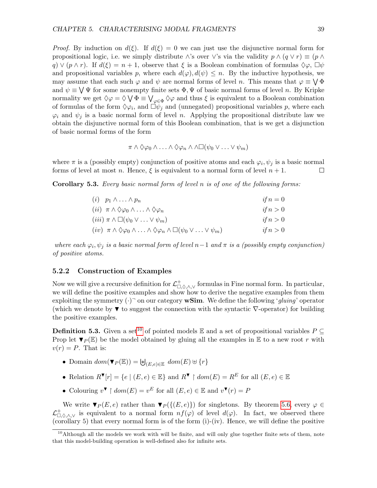*Proof.* By induction on  $d(\xi)$ . If  $d(\xi) = 0$  we can just use the disjunctive normal form for propositional logic, i.e. we simply distribute ∧'s over  $\vee$ 's via the validity  $p \wedge (q \vee r) \equiv (p \wedge q)$  $q \nightharpoonup (p \wedge r)$ . If  $d(\xi) = n + 1$ , observe that  $\xi$  is a Boolean combination of formulas  $\Diamond \varphi$ ,  $\Box \psi$ and propositional variables p, where each  $d(\varphi), d(\psi) \leq n$ . By the inductive hypothesis, we may assume that each such  $\varphi$  and  $\psi$  are normal forms of level n. This means that  $\varphi \equiv \bigvee \Phi$ and  $\psi \equiv \bigvee \Psi$  for some nonempty finite sets  $\Phi, \Psi$  of basic normal forms of level n. By Kripke normality we get  $\Diamond \varphi = \Diamond \bigvee \Phi \equiv \bigvee_{\varphi \in \Phi} \Diamond \varphi$  and thus  $\xi$  is equivalent to a Boolean combination of formulas of the form  $\Diamond \varphi_i$ , and  $\overrightarrow{\Box \psi_j}$  and (unnegated) propositional variables p, where each  $\varphi_i$  and  $\psi_j$  is a basic normal form of level n. Applying the propositional distribute law we obtain the disjunctive normal form of this Boolean combination, that is we get a disjunction of basic normal forms of the form

$$
\pi \wedge \Diamond \varphi_0 \wedge \ldots \wedge \Diamond \varphi_n \wedge \wedge \Box(\psi_0 \vee \ldots \vee \psi_m)
$$

where  $\pi$  is a (possibly empty) conjunction of positive atoms and each  $\varphi_i, \psi_j$  is a basic normal forms of level at most n. Hence,  $\xi$  is equivalent to a normal form of level  $n + 1$ . □

<span id="page-39-2"></span>**Corollary 5.3.** Every basic normal form of level  $n$  is of one of the following forms:

| $(i)$ $p_1 \wedge \ldots \wedge p_n$                                                                                      | if $n=0$ |
|---------------------------------------------------------------------------------------------------------------------------|----------|
| $(ii) \pi \wedge \Diamond \varphi_0 \wedge \ldots \wedge \Diamond \varphi_n$                                              | if $n>0$ |
| $(iii) \pi \wedge \Box(\psi_0 \vee \ldots \vee \psi_m)$                                                                   | if $n>0$ |
| $(iv) \pi \wedge \Diamond \varphi_0 \wedge \ldots \wedge \Diamond \varphi_n \wedge \Box (\psi_0 \vee \ldots \vee \psi_m)$ | if $n>0$ |

where each  $\varphi_i, \psi_j$  is a basic normal form of level  $n-1$  and  $\pi$  is a (possibly empty conjunction) of positive atoms.

## <span id="page-39-0"></span>5.2.2 Construction of Examples

Now we will give a recursive definition for  $\mathcal{L}^+_{\Box,\Diamond,\wedge,\vee}$  formulas in Fine normal form. In particular, we will define the positive examples and show how to derive the negative examples from them exploiting the symmetry  $(\cdot)$ <sup>-</sup> on our category **wSim**. We define the following '*gluing*' operator (which we denote by  $\blacktriangledown$  to suggest the connection with the syntactic  $\nabla$ -operator) for building the positive examples.

**Definition 5.3.** Given a set<sup>[10](#page-39-1)</sup> of pointed models  $\mathbb{E}$  and a set of propositional variables  $P \subseteq$ Prop let  $\Psi_P(\mathbb{E})$  be the model obtained by gluing all the examples in  $\mathbb{E}$  to a new root r with  $v(r) = P$ . That is:

- Domain  $dom(\blacktriangledown_P(\mathbb{E})) = \biguplus_{(E,e) \in \mathbb{E}} dom(E) \uplus \{r\}$
- Relation  $R^{\blacktriangledown}[r] = \{e \mid (E, e) \in \mathbb{E}\}$  and  $R^{\blacktriangledown} \restriction dom(E) = R^E$  for all  $(E, e) \in \mathbb{E}$
- Colouring  $v^{\blacktriangledown} \restriction dom(E) = v^E$  for all  $(E, e) \in \mathbb{E}$  and  $v^{\blacktriangledown}(r) = P$

We write  $\Psi_P(E, e)$  rather than  $\Psi_P(\{(E, e)\})$  for singletons. By theorem [5.6,](#page-38-6) every  $\varphi \in$  $\mathcal{L}^+_{\Box,\Diamond,\wedge,\vee}$  is equivalent to a normal form  $nf(\varphi)$  of level  $d(\varphi)$ . In fact, we observed there (corollary 5) that every normal form is of the form (i)-(iv). Hence, we will define the positive

<span id="page-39-1"></span><sup>&</sup>lt;sup>10</sup>Although all the models we work with will be finite, and will only glue together finite sets of them, note that this model-building operation is well-defined also for infinite sets.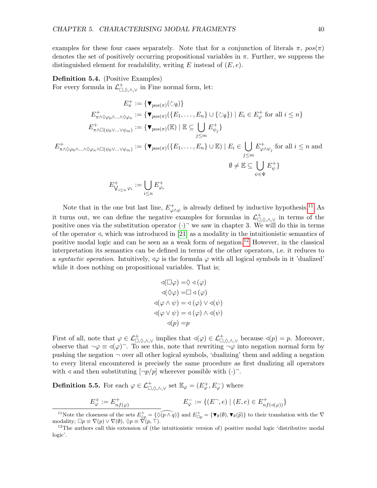examples for these four cases separately. Note that for a conjunction of literals  $\pi$ ,  $pos(\pi)$ denotes the set of positively occurring propositional variables in  $\pi$ . Further, we suppress the distinguished element for readability, writing  $E$  instead of  $(E, e)$ .

## <span id="page-40-2"></span>Definition 5.4. (Positive Examples)

For every formula in  $\mathcal{L}^+_{\Box,\Diamond,\wedge,\vee}$  in Fine normal form, let:

$$
E_{\pi}^{+} := \{ \mathbf{v}_{pos(\pi)}(\circlearrowright_{\emptyset}) \}
$$
\n
$$
E_{\pi \wedge \Diamond \varphi_{0} \wedge \ldots \wedge \Diamond \varphi_{n}}^{+} := \{ \mathbf{v}_{pos(\pi)}(\{E_{1}, \ldots, E_{n}\} \cup \{ \Diamond_{\emptyset} \}) \mid E_{i} \in E_{\varphi}^{+} \text{ for all } i \leq n \}
$$
\n
$$
E_{\pi \wedge \Box(\psi_{0} \vee \ldots \vee \psi_{m})}^{+} := \{ \mathbf{v}_{pos(\pi)}(\mathbb{E}) \mid \mathbb{E} \subseteq \bigcup_{j \leq m} E_{\psi_{j}}^{+} \}
$$
\n
$$
E_{\pi \wedge \Diamond \varphi_{0} \wedge \ldots \wedge \Diamond \varphi_{n} \wedge \Box(\psi_{0} \vee \ldots \vee \psi_{m})}^{+} := \{ \mathbf{v}_{pos(\pi)}(\{E_{1}, \ldots, E_{n}\} \cup \mathbb{E}) \mid E_{i} \in \bigcup_{j \leq m} E_{\varphi \wedge \psi_{j}}^{+} \text{ for all } i \leq n \text{ and }
$$
\n
$$
\emptyset \neq \mathbb{E} \subseteq \bigcup_{\psi \in \Psi} E_{\psi}^{+} \}
$$
\n
$$
E_{\bigvee_{i \leq n} \varphi_{i}}^{+} := \bigcup_{i \leq n} E_{\varphi_{i}}^{+}
$$

Note that in the one but last line,  $E_{\omega}^{+}$  $\psi_{\varphi \wedge \psi}^{+}$  is already defined by inductive hypothesis.<sup>[11](#page-40-0)</sup> As it turns out, we can define the negative examples for formulas in  $\mathcal{L}^+_{\Box,\Diamond,\wedge,\vee}$  in terms of the positive ones via the substitution operator  $(\cdot)$ <sup>-</sup> we saw in chapter 3. We will do this in terms of the operator  $\triangleleft$ , which was introduced in [\[21\]](#page-54-15) as a modality in the intuitionistic semantics of positive modal logic and can be seen as a weak form of negation.[12](#page-40-1) However, in the classical interpretation its semantics can be defined in terms of the other operators, i.e. it reduces to a syntactic operation. Intuitively,  $\triangleleft\varphi$  is the formula  $\varphi$  with all logical symbols in it 'dualized' while it does nothing on propositional variables. That is;

$$
\begin{aligned}\n&\triangleleft(\Box\varphi) = \Diamond \triangleleft(\varphi) \\
&\triangleleft(\Diamond\varphi) = \Box \triangleleft(\varphi) \\
\triangleleft(\varphi \land \psi) = \triangleleft(\varphi) \lor \triangleleft(\psi) \\
\triangleleft(\varphi \lor \psi) = \triangleleft(\varphi) \land \triangleleft(\psi) \\
&\triangleleft(p) = p\n\end{aligned}
$$

First of all, note that  $\varphi \in \mathcal{L}^+_{\Box,\Diamond,\wedge,\vee}$  implies that  $\triangleleft(\varphi) \in \mathcal{L}^+_{\Box,\Diamond,\wedge,\vee}$  because  $\triangleleft(p) = p$ . Moreover, observe that  $\neg \varphi \equiv \varphi(\varphi)$ . To see this, note that rewriting  $\neg \varphi$  into negation normal form by pushing the negation  $\neg$  over all other logical symbols, 'dualizing' them and adding a negation to every literal encountered is precisely the same procedure as first dualizing all operators with  $\triangleleft$  and then substituting  $[\neg p/p]$  wherever possible with  $(\cdot)$ .

<span id="page-40-3"></span>**Definition 5.5.** For each  $\varphi \in \mathcal{L}^+_{\Box,\Diamond,\wedge,\vee}$  set  $\mathbb{E}_{\varphi} = (E^+_{\varphi}, E^-_{\varphi})$  where

$$
E_{\varphi}^{+} := E_{nf(\varphi)}^{+}
$$
  

$$
E_{\varphi}^{-} := \{(E^-, e) \mid (E, e) \in E_{nf(\triangleleft(\varphi))}^{+}\}
$$

<span id="page-40-0"></span><sup>&</sup>lt;sup>11</sup>Note the closeness of the sets  $E_{\Diamond p}^+ = \{ \widehat{\Diamond(p \land q)} \}$  and  $E_{\Box p}^+ = \{ \blacktriangledown_{\emptyset}(\emptyset), \blacktriangledown_{\emptyset}(\widehat{p}) \}$  to their translation with the  $\nabla$  modality;  $\Box p \equiv \nabla(p) \lor \nabla(\emptyset), \Diamond p \equiv \nabla(p, \top).$ 

<span id="page-40-1"></span><sup>&</sup>lt;sup>12</sup>The authors call this extension of (the intuitionistic version of) positive modal logic 'distributive modal logic'.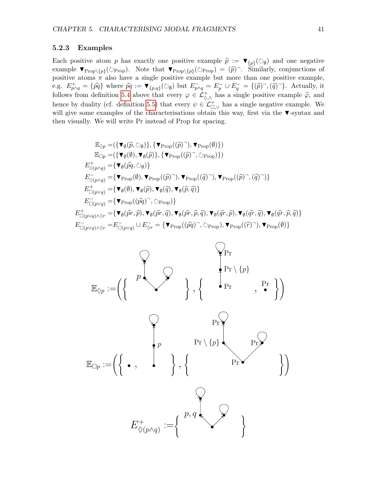## <span id="page-41-0"></span>5.2.3 Examples

Each positive atom p has exactly one positive example  $\hat{p} := \mathbf{v}_{\{p\}}(\Diamond \phi)$  and one negative example  $\mathbf{v}_{\{p\}}(z) = \mathbf{v}_{\{p\}}(z) = \mathbf{v}_{\{p\}}(z)$ example  $\mathbf{v}_{\text{Prop}}(\mathcal{O}_{\text{Prop}})$ . Note that  $\mathbf{v}_{\text{Prop}}(\mathcal{O}_{\text{Prop}}) = (\hat{p})^{\top}$ . Similarly, conjunctions of positive atoms  $\pi$  also have a single positive example but more than one positive example, e.g.  $E_{p\wedge q}^+ = \{\hat{pq}\}\$  where  $\hat{pq} := \mathbf{v}_{\{p,q\}}(\bigcirc_{\emptyset})$  but  $E_{p\wedge q}^- = E_p^- \cup E_q^- = \{(\hat{p})^-, (\hat{q})^-\}\$ . Actually, it follows from definition [5.4](#page-40-2) above that every  $\varphi \in \mathcal{L}^+_{\diamond, \wedge}$  has a single positive example  $\widehat{\varphi}$ , and hence by duality (cf. definition [5.5\)](#page-40-3) that every  $\psi \in \mathcal{L}_{\Box,\vee}^+$  has a single negative example. We will give some examples of the characterisations obtain this way, first via the ▼-syntax and then visually. We will write Pr instead of Prop for spacing.

$$
\mathbb{E}_{\Diamond p} = (\{\mathbf{v}_{\emptyset}(\widehat{p}, \Diamond_{\emptyset})\}, \{\mathbf{v}_{\text{Prop}}((\widehat{p})^{-}), \mathbf{v}_{\text{Prop}}(\emptyset)\})
$$
\n
$$
\mathbb{E}_{\Box p} = (\{\mathbf{v}_{\emptyset}(\emptyset), \mathbf{v}_{\emptyset}(\widehat{p})\}, \{\mathbf{v}_{\text{Prop}}((\widehat{p})^{-}, \Diamond_{\text{Prop}})\})
$$
\n
$$
E_{\Diamond(p \land q)}^{+} = \{\mathbf{v}_{\emptyset}(\widehat{pq}, \Diamond_{\emptyset})\}
$$
\n
$$
E_{\Diamond(p \land q)}^{-} = \{\mathbf{v}_{\text{Prop}}(\emptyset), \mathbf{v}_{\text{Prop}}((\widehat{p})^{-}), \mathbf{v}_{\text{Prop}}((\widehat{q})^{-}), \mathbf{v}_{\text{Prop}}((\widehat{p})^{-}, (\widehat{q})^{-})\}
$$
\n
$$
E_{\Box(p \lor q)}^{+} = \{\mathbf{v}_{\emptyset}(\emptyset), \mathbf{v}_{\emptyset}(\widehat{p}), \mathbf{v}_{\emptyset}(\widehat{q}), \mathbf{v}_{\emptyset}(\widehat{p}, \widehat{q})\}
$$
\n
$$
E_{\Box(p \lor q)}^{-} = \{\mathbf{v}_{\text{Prop}}((\widehat{pq})^{-}, \Diamond_{\text{Prop}})\}
$$
\n
$$
E_{\Box(p \lor q) \land \Diamond r}^{+} = \{\mathbf{v}_{\emptyset}(\widehat{pr}, \widehat{p}), \mathbf{v}_{\emptyset}(\widehat{pr}, \widehat{p}), \mathbf{v}_{\emptyset}(\widehat{qr}, \widehat{p}), \mathbf{v}_{\emptyset}(\widehat{qr}, \widehat{q}), \mathbf{v}_{\emptyset}(\widehat{qr}, \widehat{p})\}
$$
\n
$$
E_{\Box(p \lor q) \land \Diamond r}^{-} = E_{\Box(p \lor q)}^{-} \cup E_{\Diamond r}^{-} = \{\mathbf{v}_{\text{Prop}}((\widehat{pq})^{-}, \Diamond_{\text{Prop}}), \mathbf{v}_{\text{Prop}}((\widehat{r})^{-}), \mathbf{v}_{\text{Prop}}(\emptyset)\}
$$

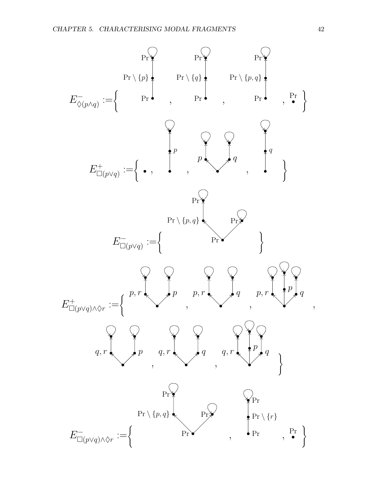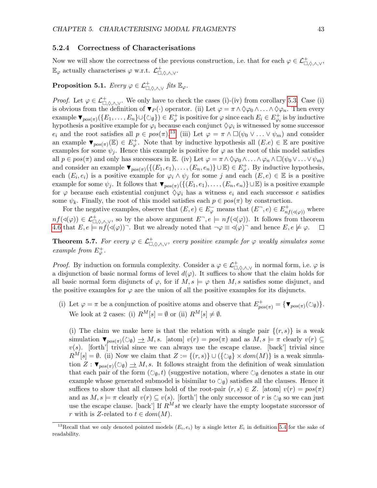#### <span id="page-43-0"></span>5.2.4 Correctness of Characterisations

Now we will show the correctness of the previous construction, i.e. that for each  $\varphi \in \mathcal{L}^+_{\Box, \Diamond, \land, \lor},$  $\mathbb{E}_{\varphi}$  actually characterises  $\varphi$  w.r.t.  $\mathcal{L}^+_{\Box,\Diamond,\wedge,\vee}$ .

## <span id="page-43-3"></span> $\textbf{Proposition 5.1.} \ \textit{Every} \ \varphi \in \mathcal{L}_{\Box,\Diamond,\wedge,\vee}^+ \ \textit{fits} \ \mathbb{E}_{\varphi}.$

*Proof.* Let  $\varphi \in \mathcal{L}^+_{\Box, \Diamond, \land, \lor}$ . We only have to check the cases (i)-(iv) from corollary [5.3.](#page-39-2) Case (i) is obvious from the definition of  $\Psi_P(\cdot)$  operator. (ii) Let  $\varphi = \pi \wedge \Diamond \varphi_0 \wedge \ldots \wedge \Diamond \varphi_n$ . Then every example  $\blacktriangledown_{pos(\pi)}(\lbrace E_1,\ldots,E_n \rbrace \cup \lbrace \circlearrowright_{\emptyset} \rbrace) \in E^+_{\varphi}$  is positive for  $\varphi$  since each  $E_i \in E^+_{\varphi_i}$  is by inductive hypothesis a positive example for  $\varphi_i$  because each conjunct  $\Diamond \varphi_i$  is witnessed by some successor  $e_i$  and the root satisfies all  $p \in pos(\pi)$ .<sup>[13](#page-43-1)</sup> (iii) Let  $\varphi = \pi \wedge \Box(\psi_0 \vee \ldots \vee \psi_m)$  and consider an example  $\blacktriangledown_{pos(\pi)}(\mathbb{E}) \in E^+_{\varphi}$ . Note that by inductive hypothesis all  $(E.e) \in \mathbb{E}$  are positive examples for some  $\psi_j$ . Hence this example is positive for  $\varphi$  as the root of this model satisfies all  $p \in pos(\pi)$  and only has successors in E. (iv) Let  $\varphi = \pi \wedge \Diamond \varphi_0 \wedge ... \wedge \varphi_n \wedge \Box(\psi_0 \vee ... \vee \psi_m)$ and consider an example  $\blacktriangledown_{pos(\pi)}(\{(E_1, e_1), \ldots, (E_n, e_n)\} \cup \mathbb{E}) \in E^+_{\varphi}$ . By inductive hypothesis, each  $(E_i, e_i)$  is a positive example for  $\varphi_i \wedge \psi_j$  for some j and each  $(E, e) \in \mathbb{E}$  is a positive example for some  $\psi_j$ . It follows that  $\blacktriangledown_{pos(\pi)}(\{(E_1, e_1), \ldots, (E_n, e_n)\} \cup \mathbb{E})$  is a positive example for  $\varphi$  because each existential conjunct  $\Diamond \varphi_i$  has a witness  $e_i$  and each successor e satisfies some  $\psi_k$ . Finally, the root of this model satisfies each  $p \in pos(\pi)$  by construction.

For the negative examples, observe that  $(E, e) \in E_{\varphi}^-$  means that  $(E^-, e) \in E^+_{nf(\triangleleft(\varphi))}$  where  $nf(\triangleleft(\varphi)) \in \mathcal{L}^+_{\Box,\Diamond,\wedge,\vee}$ , so by the above argument  $E^-, e \models nf(\triangleleft(\varphi))$ . It follows from theorem [4.6](#page-33-2) that  $E, e \models n \hat{f}(\triangleleft(\varphi))$ . But we already noted that  $\neg \varphi \equiv \triangleleft(\varphi)$  and hence  $E, e \not\models \varphi$ .  $\Box$ 

<span id="page-43-2"></span>**Theorem 5.7.** For every  $\varphi \in \mathcal{L}^+_{\Box,\Diamond,\wedge,\vee}$ , every positive example for  $\varphi$  weakly simulates some example from  $E^+_{\varphi}$ .

*Proof.* By induction on formula complexity. Consider a  $\varphi \in \mathcal{L}^+_{\Box, \Diamond, \wedge, \vee}$  in normal form, i.e.  $\varphi$  is a disjunction of basic normal forms of level  $d(\varphi)$ . It suffices to show that the claim holds for all basic normal form disjuncts of  $\varphi$ , for if  $M, s \models \varphi$  then M, s satisfies some disjunct, and the positive examples for  $\varphi$  are the union of all the positive examples for its disjuncts.

(i) Let  $\varphi = \pi$  be a conjunction of positive atoms and observe that  $E_{pos(\pi)}^{+} = {\lbrace \mathbf{v}_{pos(\pi)}(\circlearrowright_{\emptyset}) \rbrace}$ . We look at 2 cases: (i)  $R^M[s] = \emptyset$  or (ii)  $R^M[s] \neq \emptyset$ .

(i) The claim we make here is that the relation with a single pair  $\{(r, s)\}\$ is a weak simulation  $\blacktriangledown_{pos(\pi)}(\bigcirc_{\emptyset}) \to M$ , s. [atom]  $v(r) = pos(\pi)$  and as  $M, s \models \pi$  clearly  $v(r) \subseteq$  $v(s)$ . [forth'] trivial since we can always use the escape clause. [back'] trivial since  $R^M[s] = \emptyset$ . (ii) Now we claim that  $Z := \{(r, s)\} \cup (\{\circlearrowright_{\emptyset}\} \times dom(M))$  is a weak simulation  $Z: \mathbf{v}_{pos(\pi)}(\mathcal{O}_{\emptyset}) \to M$ , s. It follows straight from the definition of weak simulation that each pair of the form  $(\circlearrowright_{\emptyset}, t)$  (suggestive notation, where  $\circlearrowright_{\emptyset}$  denotes a state in our example whose generated submodel is bisimilar to  $\circlearrowright_{\emptyset}$  satisfies all the clauses. Hence it suffices to show that all clauses hold of the root-pair  $(r, s) \in Z$ . [atom]  $v(r) = pos(\pi)$ and as  $M, s \models \pi$  clearly  $v(r) \subseteq v(s)$ . [forth'] the only successor of r is  $\circlearrowright_{\emptyset}$  so we can just use the escape clause. [back'] If  $R^M st$  we clearly have the empty loopstate successor of r with is Z-related to  $t \in dom(M)$ .

<span id="page-43-1"></span><sup>&</sup>lt;sup>13</sup>Recall that we only denoted pointed models  $(E_i, e_i)$  by a single letter  $E_i$  in definition [5.4](#page-40-2) for the sake of readability.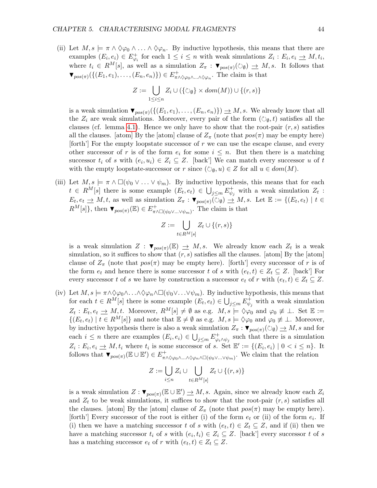(ii) Let  $M, s \models \pi \wedge \Diamond \varphi_0 \wedge \ldots \wedge \Diamond \varphi_n$ . By inductive hypothesis, this means that there are examples  $(E_i, e_i) \in E_{\varphi_i}^+$  for each  $1 \leq i \leq n$  with weak simulations  $Z_i : E_i, e_i \to M, t_i$ , where  $t_i \in R^M[s]$ , as well as a simulation  $Z_\pi : \blacktriangledown_{pos(\pi)}(\bigcirc \emptyset) \to M, s$ . It follows that  $\blacktriangledown_{pos(\pi)}(\{(E_1, e_1), \ldots, (E_n, e_n)\}) \in E^+_{\pi \wedge \Diamond \varphi_0 \wedge \ldots \wedge \Diamond \varphi_n}$ . The claim is that

$$
Z := \bigcup_{1 \leq i \leq n} Z_i \cup (\{\bigcirc_{\emptyset}\} \times dom(M)) \cup \{(r, s)\}\
$$

is a weak simulation  $\blacktriangledown_{pos(\pi)}(\{(E_1, e_1), \ldots, (E_n, e_n)\}) \rightarrow M$ , s. We already know that all the  $Z_i$  are weak simulations. Moreover, every pair of the form  $(\circledcirc_{\emptyset}, t)$  satisfies all the clauses (cf. lemma [4.1\)](#page-29-3). Hence we only have to show that the root-pair  $(r, s)$  satisfies all the clauses. [atom] By the [atom] clause of  $Z_{\pi}$  (note that  $pos(\pi)$  may be empty here) [forth'] For the empty loopstate successor of r we can use the escape clause, and every other successor of r is of the form  $e_i$  for some  $i \leq n$ . But then there is a matching successor  $t_i$  of s with  $(e_i, u_i) \in Z_i \subseteq Z$ . [back'] We can match every successor u of t with the empty loopstate-successor or r since  $(\circlearrowright_{\emptyset}, u) \in Z$  for all  $u \in dom(M)$ .

(iii) Let  $M, s \models \pi \wedge \Box(\psi_0 \vee \ldots \vee \psi_m)$ . By inductive hypothesis, this means that for each  $t \in R^M[s]$  there is some example  $(E_t, e_t) \in \bigcup_{j \leq m} E_{\psi}^+$  $\psi_j^+$  with a weak simulation  $Z_t$ :  $E_t, e_t \to M, t$ , as well as simulation  $Z_{\pi} : \blacktriangledown_{pos(\pi)}(\circlearrowright_{\emptyset}) \to M, s$ . Let  $\mathbb{E} := \{ (E_t, e_t) \mid t \in$  $R^M[s]$ , then  $\blacktriangledown_{pos(\pi)}(\mathbb{E}) \in E^+_{\pi \wedge \square(\psi_0 \vee \ldots \vee \psi_m)}$ . The claim is that

$$
Z := \bigcup_{t \in R^M[s]} Z_t \cup \{(r,s)\}
$$

is a weak simulation  $Z : \blacktriangledown_{pos(\pi)} (\mathbb{E}) \rightarrow M, s$ . We already know each  $Z_t$  is a weak simulation, so it suffices to show that  $(r, s)$  satisfies all the clauses. [atom] By the [atom] clause of  $Z_{\pi}$  (note that  $pos(\pi)$  may be empty here). [forth'] every successor of r is of the form  $e_t$  and hence there is some successor t of s with  $(e_t, t) \in Z_t \subseteq Z$ . [back'] For every successor t of s we have by construction a successor  $e_t$  of r with  $(e_t, t) \in Z_t \subseteq Z$ .

(iv) Let  $M, s \models \pi \wedge \Diamond \varphi_0 \wedge \ldots \wedge \Diamond \varphi_n \wedge \Box(\psi_0 \vee \ldots \vee \psi_m)$ . By inductive hypothesis, this means that for each  $t \in R^M[s]$  there is some example  $(E_t, e_t) \in \bigcup_{j \leq m} E_{\psi}^+$  $\psi_j$  with a weak simulation  $Z_t: E_t, e_t \to M, t$ . Moreover,  $R^M[s] \neq \emptyset$  as e.g.  $M, s \models \Diamond \varphi_0$  and  $\varphi_0 \neq \bot$ . Set  $\mathbb{E} :=$  $\{(E_t, e_t) \mid t \in R^M[s]\}\$  and note that  $\mathbb{E} \neq \emptyset$  as e.g.  $M, s \models \Diamond \varphi_0$  and  $\varphi_0 \neq \bot$ . Moreover, by inductive hypothesis there is also a weak simulation  $Z_{\pi}$ :  $\blacktriangledown_{pos(\pi)}(\circlearrowright_{\emptyset}) \to M$ , s and for each  $i \leq n$  there are examples  $(E_i, e_i) \in \bigcup_{j \leq m} E_{\varphi_i}^+$  $\varphi_i \wedge \psi_j$  such that there is a simulation  $Z_i : E_i, e_i \to M, t_i$  where  $t_i$  is some successor of s. Set  $\mathbb{E}' := \{ (E_i, e_i) \mid 0 \leq i \leq n \}.$  It follows that  $\blacktriangledown_{pos(\pi)} (\mathbb{E} \cup \mathbb{E}') \in E^+_{\pi \wedge \Diamond \varphi_0 \wedge ... \wedge \Diamond \varphi_n \wedge \Box(\psi_0 \vee ... \vee \psi_m)}$ . We claim that the relation

$$
Z := \bigcup_{i \le n} Z_i \cup \bigcup_{t \in R^M[s]} Z_t \cup \{(r, s)\}
$$

is a weak simulation  $Z: \blacktriangledown_{pos(\pi)} (\mathbb{E} \cup \mathbb{E}') \to M$ , s. Again, since we already know each  $Z_i$ and  $Z_t$  to be weak simulations, it suffices to show that the root-pair  $(r, s)$  satisfies all the clauses. [atom] By the [atom] clause of  $Z_{\pi}$  (note that  $pos(\pi)$  may be empty here). [forth'] Every successor of the root is either (i) of the form  $e_t$  or (ii) of the form  $e_i$ . If (i) then we have a matching successor t of s with  $(e_t, t) \in Z_t \subseteq Z$ , and if (ii) then we have a matching successor  $t_i$  of s with  $(e_i, t_i) \in Z_i \subseteq Z$ . [back'] every successor t of s has a matching successor  $e_t$  of r with  $(e_t, t) \in Z_t \subseteq Z$ .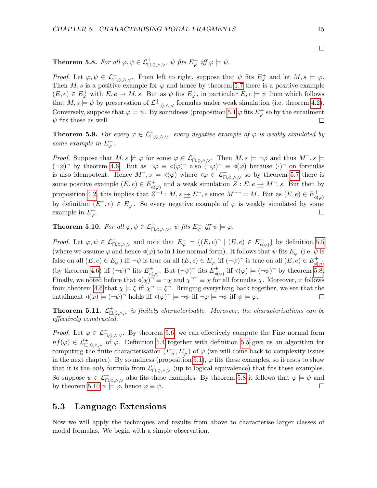$\Box$ 

## <span id="page-45-1"></span>**Theorem 5.8.** For all  $\varphi, \psi \in \mathcal{L}^+_{\Box, \Diamond, \land, \lor}, \psi$  fits  $E^+_{\varphi}$  iff  $\varphi \models \psi$ .

Proof. Let  $\varphi, \psi \in \mathcal{L}^+_{\Box, \Diamond, \wedge, \vee}$ . From left to right, suppose that  $\psi$  fits  $E^+_{\varphi}$  and let  $M, s \models \varphi$ . Then M, s is a positive example for  $\varphi$  and hence by theorem 5.[7](#page-43-2) there is a positive example  $(E, e) \in E^+_{\varphi}$  with  $E, e \to M$ , s. But as  $\psi$  fits  $E^+_{\varphi}$ , in particular  $E, e \models \psi$  from which follows that  $M, s \models \psi$  by preservation of  $\mathcal{L}^+_{\Box, \Diamond, \land, \lor}$  formulas under weak simulation (i.e. theorem [4.2\)](#page-29-4). Conversely, suppose that  $\varphi \models \psi$ . By soundness (proposition [5.1](#page-43-3)  $\varphi$  fits  $E^+_{\varphi}$  so by the entailment  $\psi$  fits these as well.  $\Box$ 

**Theorem 5.9.** For every  $\varphi \in \mathcal{L}^+_{\Box, \Diamond, \land, \lor}$ , every negative example of  $\varphi$  is weakly simulated by some example in  $E_{\varphi}^-$ .

*Proof.* Suppose that  $M, s \not\models \varphi$  for some  $\varphi \in \mathcal{L}^+_{\Box, \Diamond, \land, \lor}$ . Then  $M, s \models \neg \varphi$  and thus  $M^-, s \models \neg \varphi$  $(\neg \varphi)$  by theorem [4.6.](#page-33-2) But as  $\neg \varphi \equiv \varphi(\varphi)$  also  $(\neg \varphi)$  =  $\varphi(\varphi)$  because  $(\cdot)$  on formulas is also idempotent. Hence  $M^-, s \models \triangleleft(\varphi)$  where  $\triangleleft\varphi \in \mathcal{L}^+_{\Box,\Diamond,\wedge,\vee}$  so by theorem [5.7](#page-43-2) there is some positive example  $(E, e) \in E_{\mathcal{A}}^{+}$  $\mathcal{A}^+_{\preccurlyeq(\varphi)}$  and a weak simulation  $Z: E, e \to M^-$ , s. But then by proposition [4.2,](#page-32-2) this implies that  $Z^{-1}: M, s \to E^-$ , e since  $M^{-1} = M$ . But as  $(E, e) \in E^+_{\mathcal{A}}$  $\triangleleft(\varphi)$ by definition  $(E^-, e) \in E_{\varphi}^-$ . So every negative example of  $\varphi$  is weakly simulated by some example in  $E_{\varphi}^-$ . П

<span id="page-45-2"></span>**Theorem 5.10.** For all  $\varphi, \psi \in \mathcal{L}^+_{\Box, \Diamond, \land, \lor}, \psi$  fits  $E_{\varphi}^-$  iff  $\psi \models \varphi$ .

Proof. Let  $\varphi, \psi \in \mathcal{L}^+_{\Box, \Diamond, \land, \lor}$  and note that  $E^-_\varphi = \{(E, e) \cap \mid (E, e) \in E^+_{\varphi\Diamond}$  $\{\phi_{\varphi}\}\$  by definition [5.5](#page-40-3) (where we assume  $\varphi$  and hence  $\triangleleft(\varphi)$  to in Fine normal form). It follows that  $\psi$  fits  $E_{\varphi}^-$  (i.e.  $\psi$  is false on all  $(E, e) \in E_{\varphi}^-$  iff  $\neg \psi$  is true on all  $(E, e) \in E_{\varphi}^-$  iff  $(\neg \psi)^-$  is true on all  $(E, e) \in E_{\varphi}^+$  $\triangleleft(\varphi)$ (by theorem [4.6\)](#page-33-2) iff  $(\neg \psi)$ <sup> $\top$ </sup> fits  $E_{d}^{+}$  $\mathcal{A}(\varphi)$ . But  $(\neg \psi)$ <sup>-</sup> fits  $E_{\varphi(\varphi)}^{+}$  $\phi_{\mathcal{A}(\varphi)}^+$  iff  $\mathcal{A}(\varphi) \models (\neg \psi)^{\neg}$  by theorem [5.8.](#page-45-1) Finally, we noted before that  $\triangleleft(\chi)$ <sup> $\stackrel{\sim}{=} \neg \chi$  and  $\chi$ <sup> $\neg \neg \equiv \chi$  for all formulas  $\chi$ . Moreover, it follows</sup></sup> from theorem [4.6](#page-33-2) that  $\chi \models \xi$  iff  $\chi \ni \xi$ . Bringing everything back together, we see that the entailment  $\triangleleft(\varphi) \models (\neg \psi)$ <sup>-</sup> holds iff  $\triangleleft(\varphi)$ <sup>-</sup>  $\models \neg \psi$  iff  $\neg \varphi \models \neg \psi$  iff  $\psi \models \varphi$ .  $\Box$ 

<span id="page-45-3"></span>**Theorem 5.11.**  $\mathcal{L}^+_{\Box,\Diamond,\wedge,\vee}$  is finitely characterisable. Moreover, the characterisations can be effectively constructed.

*Proof.* Let  $\varphi \in \mathcal{L}^+_{\Box,\Diamond,\wedge,\vee}$ . By theorem [5.6,](#page-38-6) we can effectively compute the Fine normal form  $nf(\varphi) \in \mathcal{L}^+_{\Box,\Diamond,\wedge,\vee}$  of  $\varphi$ . Definition [5.4](#page-40-2) together with definition [5.5](#page-40-3) give us an algorithm for computing the finite characterisation  $(E_{\varphi}^+, E_{\varphi}^-)$  of  $\varphi$  (we will come back to complexity issues in the next chapter). By soundness (proposition [5.1\)](#page-43-3),  $\varphi$  fits these examples, so it rests to show that it is the *only* formula from  $\mathcal{L}^+_{\Box,\Diamond,\wedge,\vee}$  (up to logical equivalence) that fits these examples. So suppose  $\psi \in \mathcal{L}^+_{\Box,\Diamond,\wedge,\vee}$  also fits these examples. By theorem [5.8](#page-45-1) it follows that  $\varphi \models \psi$  and by theorem [5.10](#page-45-2)  $\psi \models \varphi$ , hence  $\varphi \equiv \psi$ .  $\Box$ 

## <span id="page-45-0"></span>5.3 Language Extensions

Now we will apply the techniques and results from above to characterise larger classes of modal formulas. We begin with a simple observation.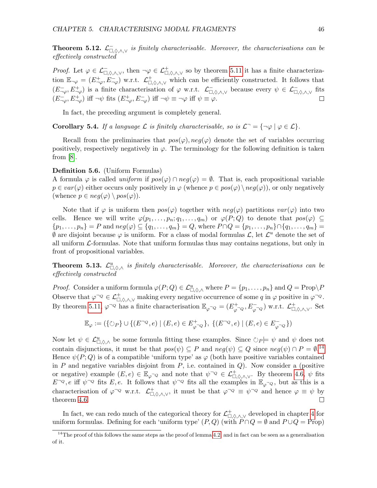<span id="page-46-1"></span>**Theorem 5.12.**  $\mathcal{L}_{\Box,\Diamond,\wedge,\vee}^-$  is finitely characterisable. Moreover, the characterisations can be effectively constructed

Proof. Let  $\varphi \in \mathcal{L}^-_{\Box,\Diamond,\wedge,\vee}$ , then  $\neg \varphi \in \mathcal{L}^+_{\Box,\Diamond,\wedge,\vee}$  so by theorem [5.11](#page-45-3) it has a finite characterization  $\mathbb{E}_{\neg \varphi} = (E_{\neg \varphi}^+, E_{\neg \varphi}^-)$  w.r.t.  $\mathcal{L}_{\Box, \Diamond, \wedge, \vee}^+$  which can be efficiently constructed. It follows that  $(E^{-}_{\neg\varphi}, E^{+}_{\neg\varphi})$  is a finite characterisation of  $\varphi$  w.r.t.  $\mathcal{L}^{-}_{\Box, \Diamond, \land, \lor}$  because every  $\psi \in \mathcal{L}^{-}_{\Box, \Diamond, \land, \lor}$  fits  $(E_{\neg\varphi}^{-}, E_{\neg\varphi}^{+})$  iff  $\neg\psi$  fits  $(E_{\neg\varphi}^{+}, E_{\neg\varphi}^{-})$  iff  $\neg\psi \equiv \neg\varphi$  iff  $\psi \equiv \varphi$ . П

In fact, the preceding argument is completely general.

**Corollary 5.4.** If a language  $\mathcal L$  is finitely characterisable, so is  $\mathcal L^- = \{\neg \varphi \mid \varphi \in \mathcal L\}.$ 

Recall from the preliminaries that  $pos(\varphi)$ ,  $neg(\varphi)$  denote the set of variables occurring positively, respectively negatively in  $\varphi$ . The terminology for the following definition is taken from  $[8]$ .

#### Definition 5.6. (Uniform Formulas)

A formula  $\varphi$  is called uniform if  $pos(\varphi) \cap neg(\varphi) = \emptyset$ . That is, each propositional variable  $p \in var(\varphi)$  either occurs only positively in  $\varphi$  (whence  $p \in pos(\varphi) \backslash neg(\varphi)$ ), or only negatively (whence  $p \in neg(\varphi) \setminus pos(\varphi)$ ).

Note that if  $\varphi$  is uniform then  $pos(\varphi)$  together with  $neg(\varphi)$  partitions  $var(\varphi)$  into two cells. Hence we will write  $\varphi(p_1,\ldots,p_n;q_1,\ldots,q_m)$  or  $\varphi(P;Q)$  to denote that  $pos(\varphi) \subseteq$  ${p_1, \ldots, p_n} = P$  and  $neg(\varphi) \subseteq {q_1, \ldots, q_m} = Q$ , where  $P \cap Q = {p_1, \ldots, p_n} \cap {q_1, \ldots, q_m} =$  $\emptyset$  are disjoint because  $\varphi$  is uniform. For a class of modal formulas  $\mathcal{L}$ , let  $\mathcal{L}^u$  denote the set of all uniform  $\mathcal{L}$ -formulas. Note that uniform formulas thus may contains negations, but only in front of propositional variables.

<span id="page-46-2"></span>**Theorem 5.13.**  $\mathcal{L}^u_{\Box,\Diamond,\wedge}$  is finitely characterisable. Moreover, the characterisations can be effectively constructed

*Proof.* Consider a uniform formula  $\varphi(P;Q) \in \mathcal{L}^u_{\Box,\Diamond,\wedge}$  where  $P = \{p_1,\ldots,p_n\}$  and  $Q = \text{Prop} \backslash P$ Observe that  $\varphi^{\neg Q} \in \mathcal{L}^+_{\Box,\Diamond,\wedge,\vee}$  making every negative occurrence of some q in  $\varphi$  positive in  $\varphi^{\neg Q}$ . By theorem [5.11,](#page-45-3)  $\varphi^{\neg Q}$  has a finite characterisation  $\mathbb{E}_{\varphi^{\neg Q}} = (E_{\varphi}^{\perp})$  $(\varphi^{\neg}Q, E_{\varphi^{\neg}Q}^{\neg})$  w.r.t.  $\mathcal{L}^{\perp}_{\Box,\Diamond,\wedge,\vee}$ . Set

$$
\mathbb{E}_{\varphi}:=\left(\{\circlearrowright_{P}\}\cup \{(E^{\neg Q},e)\mid (E,e)\in E_{\varphi^{\neg Q}}^{+}\},\ \{(E^{\neg Q},e)\mid (E,e)\in E_{\varphi^{\neg Q}}^{-}\}\right)
$$

Now let  $\psi \in \mathcal{L}^u_{\Box,\Diamond,\wedge}$  be some formula fitting these examples. Since  $\Diamond_P \models \psi$  and  $\psi$  does not contain disjunctions, it must be that  $pos(\psi) \subseteq P$  and  $neg(\psi) \subseteq Q$  since  $neg(\psi) \cap P = \emptyset$ .<sup>[14](#page-46-0)</sup> Hence  $\psi(P; Q)$  is of a compatible 'uniform type' as  $\varphi$  (both have positive variables contained in  $P$  and negative variables disjoint from  $P$ , i.e. contained in  $Q$ ). Now consider a (positive or negative) example  $(E, e) \in \mathbb{E}_{\varphi}$  and note that  $\psi^{\neg Q} \in \mathcal{L}^+_{\Box, \Diamond, \land, \lor}$ . By theorem [4.6,](#page-33-2)  $\psi$  fits  $E^{-Q}$ , e iff  $\psi^{-Q}$  fits E, e. It follows that  $\psi^{-Q}$  fits all the examples in  $\mathbb{E}_{\varphi^{-Q}}$ , but as this is a characterisation of  $\varphi^{\neg Q}$  w.r.t.  $\mathcal{L}^+_{\Box,\Diamond,\wedge,\vee}$ , it must be that  $\varphi^{\neg Q} \equiv \psi^{\neg Q}$  and hence  $\varphi \equiv \psi$  by theorem [4.6.](#page-33-2)  $\Box$ 

In fact, we can redo much of the categorical theory for  $\mathcal{L}^+_{\Box,\Diamond,\wedge,\vee}$  developed in chapter [4](#page-27-0) for uniform formulas. Defining for each 'uniform type'  $(P,Q)$  (with  $P \cap Q = \emptyset$  and  $P \cup Q = \text{Prop}$ )

<span id="page-46-0"></span> $14$ The proof of this follows the same steps as the proof of lemma [4.2,](#page-29-1) and in fact can be seen as a generalisation of it.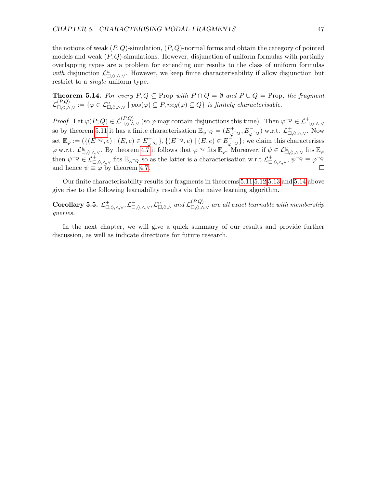the notions of weak  $(P, Q)$ -simulation,  $(P, Q)$ -normal forms and obtain the category of pointed models and weak  $(P, Q)$ -simulations. However, disjunction of uniform formulas with partially overlapping types are a problem for extending our results to the class of uniform formulas with disjunction  $\mathcal{L}^u_{\Box,\Diamond,\wedge,\vee}$ . However, we keep finite characterisability if allow disjunction but restrict to a single uniform type.

<span id="page-47-0"></span>**Theorem 5.14.** For every  $P, Q \subseteq$  Prop with  $P \cap Q = \emptyset$  and  $P \cup Q =$  Prop, the fragment  $\mathcal{L}^{(P,Q)}_{\Box,\Diamond,\wedge,\vee} := \{ \varphi \in \mathcal{L}^u_{\Box,\Diamond,\wedge,\vee} \mid pos(\varphi) \subseteq P, neg(\varphi) \subseteq Q \}$  is finitely characterisable.

Proof. Let  $\varphi(P;Q) \in \mathcal{L}_{\Box,\Diamond,\wedge,\vee}^{(P,Q)}$  (so  $\varphi$  may contain disjunctions this time). Then  $\varphi^{\Box Q} \in \mathcal{L}_{\Box,\Diamond,\wedge,\vee}^+$ so by theorem [5.11](#page-45-3) it has a finite characterisation  $\mathbb{E}_{\varphi \cap Q} = (E_{\varphi}^{+})$  $(\varphi \neg Q, E \neg Q)$  w.r.t.  $\mathcal{L}^+_{\Box,\Diamond,\wedge,\vee}$ . Now set  $\mathbb{E}_{\varphi} := (\{(E^{\neg Q}, e) \mid (E, e) \in E^+_{\varphi})\}$  $\{\phi^{-Q}\}, \{(E^{\neg Q}, e) \mid (E, e) \in E_{\varphi}^{-1}\}$  $\varphi_{\varphi}$ ; we claim this characterises  $\varphi$  w.r.t.  $\mathcal{L}_{\Box,\Diamond,\wedge,\vee}^u$ . By theorem [4.7](#page-33-3) it follows that  $\varphi^{\neg Q}$  fits  $\mathbb{E}_{\varphi}$ . Moreover, if  $\psi \in \mathcal{L}_{\Box,\Diamond,\wedge,\vee}^u$  fits  $\mathbb{E}_{\varphi}$ then  $\psi^{\neg Q} \in \mathcal{L}^+_{\Box,\Diamond,\wedge,\vee}$  fits  $\mathbb{E}_{\varphi^{\neg Q}}$  so as the latter is a characterisation w.r.t  $\mathcal{L}^+_{\Box,\Diamond,\wedge,\vee}, \psi^{\neg Q} \equiv \varphi^{\neg Q}$ and hence  $\psi \equiv \varphi$  by theorem [4.7.](#page-33-3) П

Our finite characterisability results for fragments in theorems [5.11,](#page-45-3)[5.12](#page-46-1)[,5.13](#page-46-2) and [5.14](#page-47-0) above give rise to the following learnability results via the naive learning algorithm.

<span id="page-47-1"></span>Corollary 5.5.  $\mathcal{L}^+_{\Box,\Diamond,\wedge,\vee},\mathcal{L}^-_{\Box,\Diamond,\wedge,\vee},\mathcal{L}^u_{\Box,\Diamond,\wedge,\vee}$  and  $\mathcal{L}^{(P,Q)}_{\Box,\Diamond,\wedge,\vee}$  are all exact learnable with membership queries.

In the next chapter, we will give a quick summary of our results and provide further discussion, as well as indicate directions for future research.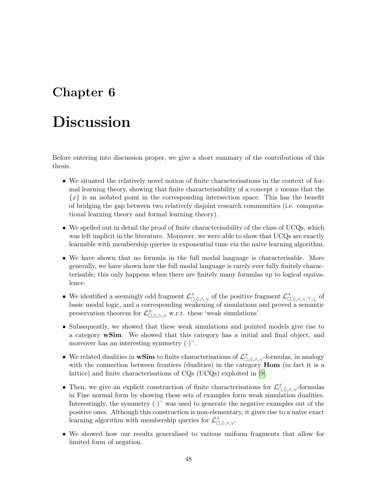## <span id="page-48-0"></span>Chapter 6

# Discussion

Before entering into discussion proper, we give a short summary of the contributions of this thesis.

- We situated the relatively novel notion of finite characterisations in the context of formal learning theory, showing that finite characterisability of a concept  $x$  means that the  ${x}$  is an isolated point in the corresponding intersection space. This has the benefit of bridging the gap between two relatively disjoint research communities (i.e. computational learning theory and formal learning theory).
- We spelled out in detail the proof of finite characterisability of the class of UCQs, which was left implicit in the literature. Moreover, we were able to show that UCQs are exactly learnable with membership queries in exponential time via the naive learning algorithm.
- We have shown that no formula in the full modal language is characterisable. More generally, we have shown how the full modal language is rarely ever fully finitely characterisable; this only happens when there are finitely many formulas up to logical equivalence.
- We identified a seemingly odd fragment  $\mathcal{L}^+_{\Box,\Diamond,\wedge,\vee}$  of the positive fragment  $\mathcal{L}^+_{\Box,\Diamond,\wedge,\vee,\top,\bot}$  of basic modal logic, and a corresponding weakening of simulations and proved a semantic preservation theorem for  $\mathcal{L}^+_{\Box,\Diamond,\wedge,\vee}$  w.r.t. these 'weak simulations'.
- Subsequently, we showed that these weak simulations and pointed models give rise to a category wSim. We showed that this category has a initial and final object, and moreover has an interesting symmetry  $(\cdot)$ .
- We related dualities in wSim to finite characterisations of  $\mathcal{L}^+_{\Box,\Diamond,\wedge,\vee}$ -formulas, in analogy with the connection between frontiers (dualities) in the category **Hom** (in fact it is a lattice) and finite characterisations of CQs (UCQs) exploited in [\[9\]](#page-53-1).
- Then, we give an explicit construction of finite characterisations for  $\mathcal{L}^+_{\Box,\Diamond,\wedge,\vee}$ -formulas in Fine normal form by showing these sets of examples form weak simulation dualities. Interestingly, the symmetry  $(\cdot)$ <sup>-</sup> was used to generate the negative examples out of the positive ones. Although this construction is non-elementary, it gives rise to a naive exact learning algorithm with membership queries for  $\mathcal{L}^+_{\Box,\Diamond,\wedge,\vee}$ .
- We showed how our results generalised to various uniform fragments that allow for limited form of negation.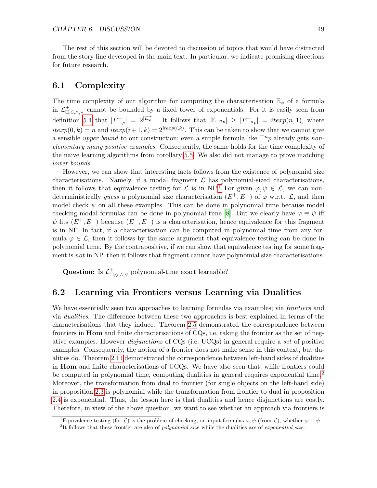The rest of this section will be devoted to discussion of topics that would have distracted from the story line developed in the main text. In particular, we indicate promising directions for future research.

## <span id="page-49-0"></span>6.1 Complexity

The time complexity of our algorithm for computing the characterisation  $\mathbb{E}_{\varphi}$  of a formula in  $\mathcal{L}^+_{\Box,\Diamond,\wedge,\vee}$  cannot be bounded by a fixed tower of exponentials. For it is easily seen from definition [5.4](#page-40-2) that  $|E_{\Box \varphi}^+| = 2^{|E_{\varphi}^+|}$ . It follows that  $|\mathbb{E}_{\Box^n p}| \geq |E_{\Box^n p}^+| = i \exp(n, 1)$ , where  $iterp(0,k) = n$  and  $iterp(i+1,k) = 2^{iterp(i,k)}$ . This can be taken to show that we cannot give a sensible upper bound to our construction; even a simple formula like  $\Box^n p$  already gets nonelementary many positive examples. Consequently, the same holds for the time complexity of the naive learning algorithms from corollary [5.5.](#page-47-1) We also did not manage to prove matching lower bounds.

However, we can show that interesting facts follows from the existence of polynomial size characterisations. Namely, if a modal fragment  $\mathcal L$  has polynomial-sized characterisations, then it follows that equivalence testing for  $\mathcal L$  is in NP.<sup>[1](#page-49-2)</sup> For given  $\varphi, \psi \in \mathcal L$ , we can nondeterministically *guess* a polynomial size characterisation  $(E^+, E^-)$  of  $\varphi$  w.r.t.  $\mathcal{L}$ , and then model check  $\psi$  on all these examples. This can be done in polynomial time because model checking modal formulas can be done in polynomial time [\[8\]](#page-53-3). But we clearly have  $\varphi \equiv \psi$  iff  $\psi$  fits  $(E^+, E^-)$  because  $(E^+, E^-)$  is a characterisation, hence equivalence for this fragment is in NP. In fact, if a characterisation can be computed in polynomial time from any formula  $\varphi \in \mathcal{L}$ , then it follows by the same argument that equivalence testing can be done in polynomial time. By the contrapositive, if we can show that equivalence testing for some fragment is not in NP, then it follows that fragment cannot have polynomial size characterisations.

Question: Is  $\mathcal{L}^+_{\Box,\lozenge,\wedge,\vee}$  polynomial-time exact learnable?

## <span id="page-49-1"></span>6.2 Learning via Frontiers versus Learning via Dualities

We have essentially seen two approaches to learning formulas via examples; via *frontiers* and via dualities. The difference between these two approaches is best explained in terms of the characterisations that they induce. Theorem [2.5](#page-17-3) demonstrated the correspondence between frontiers in Hom and finite characterisations of CQs, i.e. taking the frontier as the set of negative examples. However disjunctions of CQs (i.e. UCQs) in general require a set of positive examples. Consequently, the notion of a frontier does not make sense in this context, but dualities do. Theorem [2.11](#page-19-0) demonstrated the correspondence between left-hand sides of dualities in Hom and finite characterisations of UCQs. We have also seen that, while frontiers could be computed in polynomial time, computing dualities in general requires exponential time.<sup>[2](#page-49-3)</sup> Moreover, the transformation from dual to frontier (for single objects on the left-hand side) in proposition [2.3](#page-14-2) is polynomial while the transformation from frontier to dual in proposition [2.4](#page-14-3) is exponential. Thus, the lesson here is that dualities and hence disjunctions are costly. Therefore, in view of the above question, we want to see whether an approach via frontiers is

<span id="page-49-2"></span><sup>&</sup>lt;sup>1</sup>Equivalence testing (for  $\mathcal{L}$ ) is the problem of checking, on input formulas  $\varphi, \psi$  (from  $\mathcal{L}$ ), whether  $\varphi \equiv \psi$ .

<span id="page-49-3"></span><sup>&</sup>lt;sup>2</sup>It follows that these frontier are also of *polynomial size* while the dualities are of exponential size.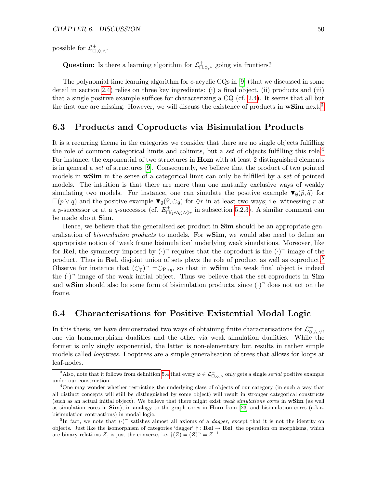possible for  $\mathcal{L}^+_{\Box,\Diamond,\wedge}.$ 

Question: Is there a learning algorithm for  $\mathcal{L}^+_{\Box,\Diamond,\wedge}$  going via frontiers?

The polynomial time learning algorithm for  $c$ -acyclic CQs in [\[9\]](#page-53-1) (that we discussed in some detail in section [2.4\)](#page-15-0) relies on three key ingredients: (i) a final object, (ii) products and (iii) that a single positive example suffices for characterizing a CQ (cf. [2.4\)](#page-16-3). It seems that all but the first one are missing. However, we will discuss the existence of products in  $\mathbf{wSim}$  next.<sup>[3](#page-50-2)</sup>

## <span id="page-50-0"></span>6.3 Products and Coproducts via Bisimulation Products

It is a recurring theme in the categories we consider that there are no single objects fulfilling the role of common categorical limits and colimits, but a set of objects fulfilling this role.<sup>[4](#page-50-3)</sup> For instance, the exponential of two structures in Hom with at least 2 distinguished elements is in general a set of structures [\[9\]](#page-53-1). Consequently, we believe that the product of two pointed models in **wSim** in the sense of a categorical limit can only be fulfilled by a set of pointed models. The intuition is that there are more than one mutually exclusive ways of weakly simulating two models. For instance, one can simulate the positive example  $\Psi_{\emptyset}(\widehat{p}, \widehat{q})$  for  $\nabla_{\emptyset}(\widehat{p}, \widehat{q})$  for  $\nabla_{\emptyset}(\widehat{p}, \widehat{q})$  for  $\nabla_{\emptyset}(\widehat{p}, \widehat{q})$  for  $\nabla_{\emptyset}(\widehat{p}, \widehat{q})$  is a strongly se  $\square(p \lor q)$  and the positive example  $\blacktriangledown_{\emptyset}(\widehat{r}, \bigcirc_{\emptyset})$  for  $\diamondsuit r$  in at least two ways; i.e. witnessing r at a given comparison of  $F^+$  in our properties 5.2.3). A given compart can a p-successor or at a q-successor (cf.  $E^+_{\Box(p\vee q)\wedge\Diamond r}$  in subsection [5.2.3\)](#page-41-0). A similar comment can be made about Sim.

Hence, we believe that the generalised set-product in **Sim** should be an appropriate generalisation of *bisimulation products* to models. For **wSim**, we would also need to define an appropriate notion of 'weak frame bisimulation' underlying weak simulations. Moreover, like for Rel, the symmetry imposed by  $(\cdot)$ <sup>-</sup> requires that the coproduct is the  $(\cdot)$ <sup>-</sup> image of the product. Thus in Rel, disjoint union of sets plays the role of product as well as coproduct.<sup>[5](#page-50-4)</sup> Observe for instance that  $(\circledcirc_{\emptyset})$ <sup>-</sup> = $\circlearrowright_{\text{Prop}}$  so that in **wSim** the weak final object is indeed the  $(\cdot)$ <sup>-</sup> image of the weak initial object. Thus we believe that the set-coproducts in **Sim** and **wSim** should also be some form of bisimulation products, since  $(\cdot)$ <sup>-</sup> does not act on the frame.

## <span id="page-50-1"></span>6.4 Characterisations for Positive Existential Modal Logic

In this thesis, we have demonstrated two ways of obtaining finite characterisations for  $\mathcal{L}^+_{\Diamond,\wedge,\vee}$ , one via homomorphism dualities and the other via weak simulation dualities. While the former is only singly exponential, the latter is non-elementary but results in rather simple models called *looptrees*. Looptrees are a simple generalisation of trees that allows for loops at leaf-nodes.

<span id="page-50-2"></span><sup>&</sup>lt;sup>3</sup>Also, note that it follows from definition [5.4](#page-40-2) that every  $\varphi \in \mathcal{L}^+_{\Box,\Diamond,\wedge}$  only gets a single *serial* positive example under our construction.

<span id="page-50-3"></span><sup>&</sup>lt;sup>4</sup>One may wonder whether restricting the underlying class of objects of our category (in such a way that all distinct concepts will still be distinguished by some object) will result in stronger categorical constructs (such as an actual initial object). We believe that there might exist weak simulations cores in wSim (as well as simulation cores in  $\textbf{Sim}$ ), in analogy to the graph cores in  $\textbf{Hom}$  from [\[23\]](#page-54-0) and bisimulation cores (a.k.a. bisimulation contractions) in modal logic.

<span id="page-50-4"></span><sup>&</sup>lt;sup>5</sup>In fact, we note that  $(\cdot)$ <sup>-</sup> satisfies almost all axioms of a *dagger*, except that it is not the identity on objects. Just like the isomorphism of categories 'dagger'  $\dagger$  : Rel  $\rightarrow$  Rel, the operation on morphisms, which are binary relations Z, is just the converse, i.e.  $\dagger(Z) = (Z)^{-} = Z^{-1}$ .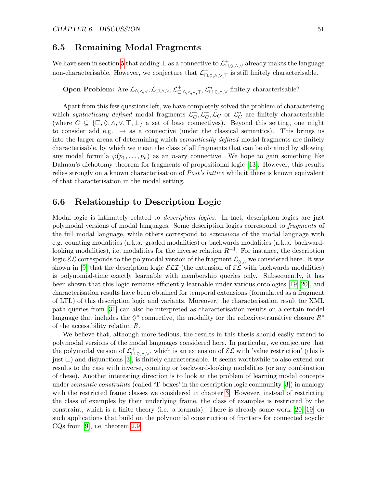## <span id="page-51-0"></span>6.5 Remaining Modal Fragments

We have seen in section [5](#page-34-0) that adding  $\perp$  as a connective to  $\mathcal L^-_{\Box,\Diamond,\wedge,\vee}$  already makes the language non-characterisable. However, we conjecture that  $\mathcal{L}^+_{\Box,\Diamond,\wedge,\vee,\top}$  is still finitely characterisable.

**Open Problem:** Are  $\mathcal{L}_{\Diamond,\wedge,\vee},\mathcal{L}_{\Box,\Diamond,\wedge,\vee},\mathcal{L}_{\Box,\Diamond,\wedge,\vee,\top}^+, \mathcal{L}_{\Box,\Diamond,\wedge,\vee}^u$  finitely characterisable?

Apart from this few questions left, we have completely solved the problem of characterising which syntactically defined modal fragments  $\mathcal{L}_C^+$  $_C^+$ ,  $\mathcal{L}_C^ C_C$ ,  $\mathcal{L}_C$  or  $\mathcal{L}_C^u$  are finitely characterisable (where  $C \subseteq {\{\Box, \Diamond, \land, \lor, \top, \bot\}}$  a set of base connectives). Beyond this setting, one might to consider add e.g.  $\rightarrow$  as a connective (under the classical semantics). This brings us into the larger arena of determining which *semantically defined* modal fragments are finitely characterisable, by which we mean the class of all fragments that can be obtained by allowing any modal formula  $\varphi(p_1,\ldots,p_n)$  as an *n*-ary connective. We hope to gain something like Dalmau's dichotomy theorem for fragments of propositional logic [\[13\]](#page-53-9). However, this results relies strongly on a known characterisation of Post's lattice while it there is known equivalent of that characterisation in the modal setting.

## <span id="page-51-1"></span>6.6 Relationship to Description Logic

Modal logic is intimately related to *description logics*. In fact, description logics are just polymodal versions of modal languages. Some description logics correspond to fragments of the full modal language, while others correspond to extensions of the modal language with e.g. counting modalities (a.k.a. graded modalities) or backwards modalities (a.k.a. backwardlooking modalities), i.e. modalities for the inverse relation  $R^{-1}$ . For instance, the description logic  $\mathcal{EL}$  corresponds to the polymodal version of the fragment  $\mathcal{L}^+_{\Diamond,\wedge}$  we considered here. It was shown in [\[9\]](#page-53-1) that the description logic  $\mathcal{ELI}$  (the extension of  $\mathcal{EL}$  with backwards modalities) is polynomial-time exactly learnable with membership queries only. Subsequently, it has been shown that this logic remains efficiently learnable under various ontologies [\[19,](#page-54-16) [20\]](#page-54-17), and characterisation results have been obtained for temporal extensions (formulated as a fragment of LTL) of this description logic and variants. Moreover, the characterisation result for XML path queries from [\[31\]](#page-54-2) can also be interpreted as characterisation results on a certain model language that includes the  $\diamondsuit^*$  connective, the modality for the reflexive-transitive closure  $R^*$ of the accessibility relation R.

We believe that, although more tedious, the results in this thesis should easily extend to polymodal versions of the modal languages considered here. In particular, we conjecture that the polymodal version of  $\mathcal{L}^+_{\Box,\Diamond,\wedge,\vee}$ , which is an extension of  $\mathcal{EL}$  with 'value restriction' (this is just  $\Box$ ) and disjunctions [\[3\]](#page-53-10), is finitely characterisable. It seems worthwhile to also extend our results to the case with inverse, counting or backward-looking modalities (or any combination of these). Another interesting direction is to look at the problem of learning modal concepts under semantic constraints (called 'T-boxes' in the description logic community [\[3\]](#page-53-10)) in analogy with the restricted frame classes we considered in chapter [3.](#page-22-0) However, instead of restricting the class of examples by their underlying frame, the class of examples is restricted by the constraint, which is a finite theory (i.e. a formula). There is already some work [\[20,](#page-54-17) [19\]](#page-54-16) on such applications that build on the polynomial construction of frontiers for connected acyclic CQs from [\[9\]](#page-53-1), i.e. theorem [2.9.](#page-18-2)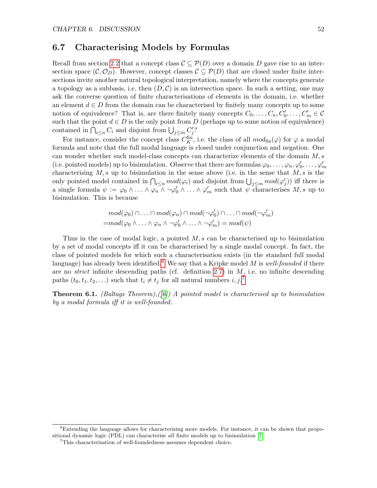## <span id="page-52-0"></span>6.7 Characterising Models by Formulas

Recall from section [2.2](#page-9-0) that a concept class  $\mathcal{C} \subseteq \mathcal{P}(D)$  over a domain D gave rise to an intersection space  $(C, \mathcal{O}_D)$ . However, concept classes  $\mathcal{C} \subseteq \mathcal{P}(D)$  that are closed under finite intersections invite another natural topological interpretation, namely where the concepts generate a topology as a subbasis, i.e. then  $(D, C)$  is an intersection space. In such a setting, one may ask the converse question of finite characterisations of elements in the domain, i.e. whether an element  $d \in D$  from the domain can be characterised by finitely many concepts up to some notion of equivalence? That is, are there finitely many concepts  $C_0, \ldots, C_n, C'_0, \ldots, C'_m \in \mathcal{C}$ such that the point  $d \in D$  is the only point from D (perhaps up to some notion of equivalence) contained in  $\bigcap_{i\leq n} C_i$  and disjoint from  $\bigcup_{j\leq m} C'_j$ ?

For instance, consider the concept class  $C_K^{\text{fin}}$ , i.e. the class of all  $mod_{\text{fin}}(\varphi)$  for  $\varphi$  a modal formula and note that the full modal language is closed under conjunction and negation. One can wonder whether such model-class concepts can characterize elements of the domain  $M, s$ (i.e. pointed models) up to bisimulation. Observe that there are formulas  $\varphi_0, \ldots, \varphi_n, \varphi'_0, \ldots, \varphi'_m$ characterising  $M, s$  up to bisimulation in the sense above (i.e. in the sense that  $M, s$  is the only pointed model contained in  $\bigcap_{i\leq n} mod(\varphi_i)$  and disjoint from  $\bigcup_{j\leq m} mod(\varphi'_j)$  iff there is a single formula  $\psi := \varphi_0 \wedge \ldots \wedge \varphi_n \wedge \neg \varphi_0' \wedge \ldots \wedge \varphi_m'$  such that  $\psi$  characterises  $M, s$  up to bisimulation. This is because

$$
mod(\varphi_0) \cap ... \cap mod(\varphi_n) \cap mod(\neg \varphi'_0) \cap ... \cap mod(\neg \varphi'_m)
$$
  
= $mod(\varphi_0 \land ... \land \varphi_n \land \neg \varphi'_0 \land ... \land \neg \varphi'_m) = mod(\psi)$ 

Thus in the case of modal logic, a pointed  $M$ , s can be characterised up to bisimulation by a set of modal concepts iff it can be characterised by a single modal concept. In fact, the class of pointed models for which such a characterisation exists (in the standard full modal language) has already been identified.<sup>[6](#page-52-1)</sup> We say that a Kripke model M is well-founded if there are no *strict* infinite descending paths (cf. definition [2.7\)](#page-7-5) in  $M$ , i.e. no infinite descending paths  $(t_0, t_1, t_2, \ldots)$  such that  $t_i \neq t_j$  for all natural numbers  $i, j$ .<sup>[7](#page-52-2)</sup>

**Theorem 6.1.** (Baltags Theorem),([\[6\]](#page-53-11)) A pointed model is characterised up to bisimulation by a modal formula iff it is well-founded.

<span id="page-52-1"></span> ${}^{6}$ Extending the language allows for characterising more models. For instance, it can be shown that propositional dynamic logic (PDL) can characterise all finite models up to bisimulation [\[7\]](#page-53-12).

<span id="page-52-2"></span><sup>7</sup>This characterisation of well-foundedness assumes dependent choice.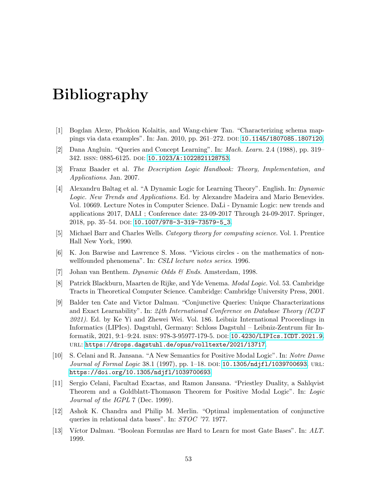# Bibliography

- <span id="page-53-2"></span>[1] Bogdan Alexe, Phokion Kolaitis, and Wang-chiew Tan. "Characterizing schema mappings via data examples". In: Jan. 2010, pp. 261–272. doi: [10.1145/1807085.1807120](https://doi.org/10.1145/1807085.1807120).
- <span id="page-53-0"></span>[2] Dana Angluin. "Queries and Concept Learning". In: Mach. Learn. 2.4 (1988), pp. 319– 342. issn: 0885-6125. doi: [10.1023/A:1022821128753](https://doi.org/10.1023/A:1022821128753).
- <span id="page-53-10"></span>[3] Franz Baader et al. The Description Logic Handbook: Theory, Implementation, and Applications. Jan. 2007.
- <span id="page-53-4"></span>[4] Alexandru Baltag et al. "A Dynamic Logic for Learning Theory". English. In: Dynamic Logic. New Trends and Applications. Ed. by Alexandre Madeira and Mario Benevides. Vol. 10669. Lecture Notes in Computer Science. DaLi - Dynamic Logic: new trends and applications 2017, DALI ; Conference date: 23-09-2017 Through 24-09-2017. Springer, 2018, pp. 35–54. DOI: [10.1007/978-3-319-73579-5\\_3](https://doi.org/10.1007/978-3-319-73579-5_3).
- <span id="page-53-8"></span>[5] Michael Barr and Charles Wells. Category theory for computing science. Vol. 1. Prentice Hall New York, 1990.
- <span id="page-53-11"></span>[6] K. Jon Barwise and Lawrence S. Moss. "Vicious circles - on the mathematics of nonwellfounded phenomena". In: CSLI lecture notes series. 1996.
- <span id="page-53-12"></span>[7] Johan van Benthem. Dynamic Odds & Ends. Amsterdam, 1998.
- <span id="page-53-3"></span>[8] Patrick Blackburn, Maarten de Rijke, and Yde Venema. Modal Logic. Vol. 53. Cambridge Tracts in Theoretical Computer Science. Cambridge: Cambridge University Press, 2001.
- <span id="page-53-1"></span>[9] Balder ten Cate and Victor Dalmau. "Conjunctive Queries: Unique Characterizations and Exact Learnability". In: 24th International Conference on Database Theory (ICDT 2021). Ed. by Ke Yi and Zhewei Wei. Vol. 186. Leibniz International Proceedings in Informatics (LIPIcs). Dagstuhl, Germany: Schloss Dagstuhl – Leibniz-Zentrum für Informatik, 2021, 9:1–9:24. isbn: 978-3-95977-179-5. doi: [10.4230/LIPIcs.ICDT.2021.9](https://doi.org/10.4230/LIPIcs.ICDT.2021.9). url: <https://drops.dagstuhl.de/opus/volltexte/2021/13717>.
- <span id="page-53-6"></span>[10] S. Celani and R. Jansana. "A New Semantics for Positive Modal Logic". In: Notre Dame Journal of Formal Logic 38.1 (1997), pp. 1–18. DOI: 10.1305/ndjf1/1039700693. URL: <https://doi.org/10.1305/ndjfl/1039700693>.
- <span id="page-53-7"></span>[11] Sergio Celani, Facultad Exactas, and Ramon Jansana. "Priestley Duality, a Sahlqvist Theorem and a Goldblatt-Thomason Theorem for Positive Modal Logic". In: Logic Journal of the IGPL 7 (Dec. 1999).
- <span id="page-53-5"></span>[12] Ashok K. Chandra and Philip M. Merlin. "Optimal implementation of conjunctive queries in relational data bases". In: STOC '77. 1977.
- <span id="page-53-9"></span>[13] Víctor Dalmau. "Boolean Formulas are Hard to Learn for most Gate Bases". In: ALT. 1999.